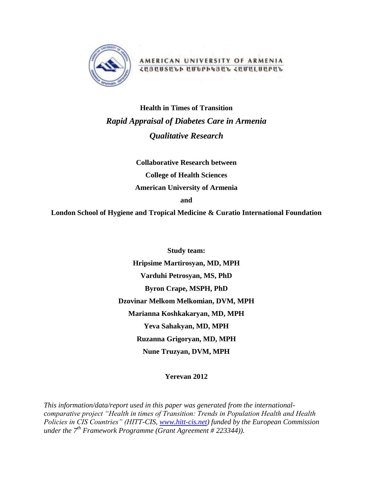

AMERICAN UNIVERSITY OF ARMENIA ՀԱՅԱՍՏԱՆԻ ԱՄԵԲԻԿՅԱՆ ՀԱՄԱԼՍԱԲԱՆ

# **Health in Times of Transition** *Rapid Appraisal of Diabetes Care in Armenia Qualitative Research*

**Collaborative Research between College of Health Sciences American University of Armenia and** 

**London School of Hygiene and Tropical Medicine & Curatio International Foundation**

**Study team: Hripsime Martirosyan, MD, MPH Varduhi Petrosyan, MS, PhD Byron Crape, MSPH, PhD Dzovinar Melkom Melkomian, DVM, MPH Marianna Koshkakaryan, MD, MPH Yeva Sahakyan, MD, MPH Ruzanna Grigoryan, MD, MPH Nune Truzyan, DVM, MPH**

**Yerevan 2012**

*This information/data/report used in this paper was generated from the internationalcomparative project "Health in times of Transition: Trends in Population Health and Health Policies in CIS Countries" (HITT-CIS, [www.hitt-cis.net\)](http://www.hitt-cis.net/) funded by the European Commission under the 7th Framework Programme (Grant Agreement # 223344)).*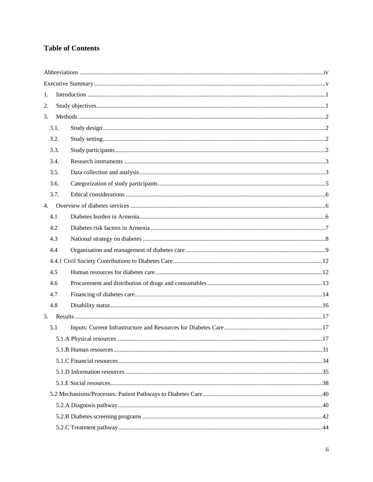# **Table of Contents**

| 1.   |  |  |  |  |  |
|------|--|--|--|--|--|
| 2.   |  |  |  |  |  |
| 3.   |  |  |  |  |  |
| 3.1. |  |  |  |  |  |
| 3.2. |  |  |  |  |  |
| 3.3. |  |  |  |  |  |
| 3.4. |  |  |  |  |  |
| 3.5. |  |  |  |  |  |
| 3.6. |  |  |  |  |  |
| 3.7. |  |  |  |  |  |
| 4.   |  |  |  |  |  |
| 4.1  |  |  |  |  |  |
| 4.2  |  |  |  |  |  |
| 4.3  |  |  |  |  |  |
| 4.4  |  |  |  |  |  |
|      |  |  |  |  |  |
| 4.5  |  |  |  |  |  |
| 4.6  |  |  |  |  |  |
| 4.7  |  |  |  |  |  |
| 4.8  |  |  |  |  |  |
| 5.   |  |  |  |  |  |
| 5.1  |  |  |  |  |  |
|      |  |  |  |  |  |
|      |  |  |  |  |  |
|      |  |  |  |  |  |
|      |  |  |  |  |  |
|      |  |  |  |  |  |
|      |  |  |  |  |  |
|      |  |  |  |  |  |
|      |  |  |  |  |  |
|      |  |  |  |  |  |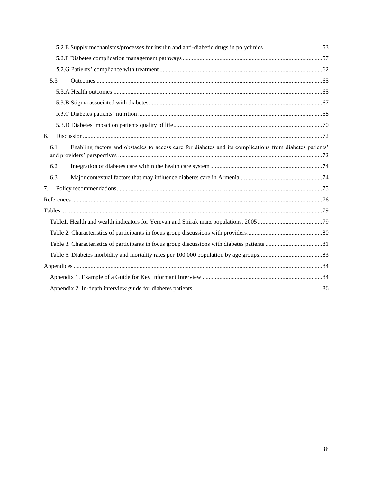|    | 5.3 |                                                                                                          |  |  |
|----|-----|----------------------------------------------------------------------------------------------------------|--|--|
|    |     |                                                                                                          |  |  |
|    |     |                                                                                                          |  |  |
|    |     |                                                                                                          |  |  |
|    |     |                                                                                                          |  |  |
| 6. |     |                                                                                                          |  |  |
|    | 6.1 | Enabling factors and obstacles to access care for diabetes and its complications from diabetes patients' |  |  |
|    | 6.2 |                                                                                                          |  |  |
|    | 6.3 |                                                                                                          |  |  |
| 7. |     |                                                                                                          |  |  |
|    |     |                                                                                                          |  |  |
|    |     |                                                                                                          |  |  |
|    |     |                                                                                                          |  |  |
|    |     |                                                                                                          |  |  |
|    |     |                                                                                                          |  |  |
|    |     |                                                                                                          |  |  |
|    |     |                                                                                                          |  |  |
|    |     |                                                                                                          |  |  |
|    |     |                                                                                                          |  |  |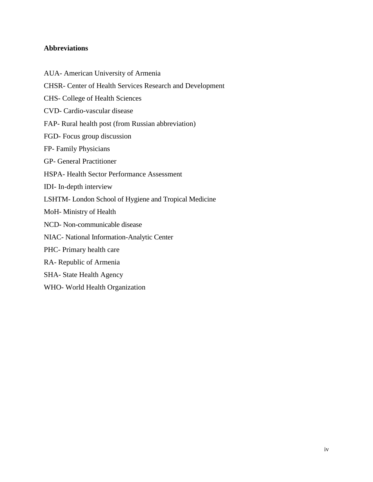### <span id="page-3-0"></span>**Abbreviations**

- AUA- American University of Armenia CHSR- Center of Health Services Research and Development CHS- College of Health Sciences CVD- Cardio-vascular disease FAP- Rural health post (from Russian abbreviation) FGD- Focus group discussion FP- Family Physicians GP- General Practitioner HSPA- Health Sector Performance Assessment IDI- In-depth interview LSHTM- London School of Hygiene and Tropical Medicine MoH- Ministry of Health NCD- Non-communicable disease NIAC- National Information-Analytic Center PHC- Primary health care RA- Republic of Armenia SHA- State Health Agency
- WHO- World Health Organization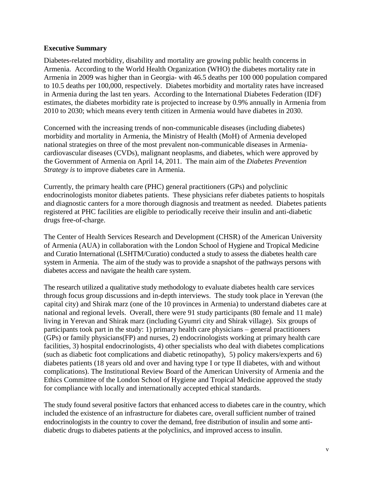#### <span id="page-4-0"></span>**Executive Summary**

Diabetes-related morbidity, disability and mortality are growing public health concerns in Armenia. According to the World Health Organization (WHO) the diabetes mortality rate in Armenia in 2009 was higher than in Georgia- with 46.5 deaths per 100 000 population compared to 10.5 deaths per 100,000, respectively. Diabetes morbidity and mortality rates have increased in Armenia during the last ten years. According to the International Diabetes Federation (IDF) estimates, the diabetes morbidity rate is projected to increase by 0.9% annually in Armenia from 2010 to 2030; which means every tenth citizen in Armenia would have diabetes in 2030.

Concerned with the increasing trends of non-communicable diseases (including diabetes) morbidity and mortality in Armenia, the Ministry of Health (MoH) of Armenia developed national strategies on three of the most prevalent non-communicable diseases in Armeniacardiovascular diseases (CVDs), malignant neoplasms, and diabetes, which were approved by the Government of Armenia on April 14, 2011. The main aim of the *Diabetes Prevention Strategy is* to improve diabetes care in Armenia.

Currently, the primary health care (PHC) general practitioners (GPs) and polyclinic endocrinologists monitor diabetes patients. These physicians refer diabetes patients to hospitals and diagnostic canters for a more thorough diagnosis and treatment as needed. Diabetes patients registered at PHC facilities are eligible to periodically receive their insulin and anti-diabetic drugs free-of-charge.

The Center of Health Services Research and Development (CHSR) of the American University of Armenia (AUA) in collaboration with the London School of Hygiene and Tropical Medicine and Curatio International (LSHTM/Curatio) conducted a study to assess the diabetes health care system in Armenia. The aim of the study was to provide a snapshot of the pathways persons with diabetes access and navigate the health care system.

The research utilized a qualitative study methodology to evaluate diabetes health care services through focus group discussions and in-depth interviews. The study took place in Yerevan (the capital city) and Shirak marz (one of the 10 provinces in Armenia) to understand diabetes care at national and regional levels. Overall, there were 91 study participants (80 female and 11 male) living in Yerevan and Shirak marz (including Gyumri city and Shirak village). Six groups of participants took part in the study: 1) primary health care physicians – general practitioners (GPs) or family physicians(FP) and nurses, 2) endocrinologists working at primary health care facilities, 3) hospital endocrinologists, 4) other specialists who deal with diabetes complications (such as diabetic foot complications and diabetic retinopathy), 5) policy makers/experts and 6) diabetes patients (18 years old and over and having type I or type II diabetes, with and without complications). The Institutional Review Board of the American University of Armenia and the Ethics Committee of the London School of Hygiene and Tropical Medicine approved the study for compliance with locally and internationally accepted ethical standards.

The study found several positive factors that enhanced access to diabetes care in the country, which included the existence of an infrastructure for diabetes care, overall sufficient number of trained endocrinologists in the country to cover the demand, free distribution of insulin and some antidiabetic drugs to diabetes patients at the polyclinics, and improved access to insulin.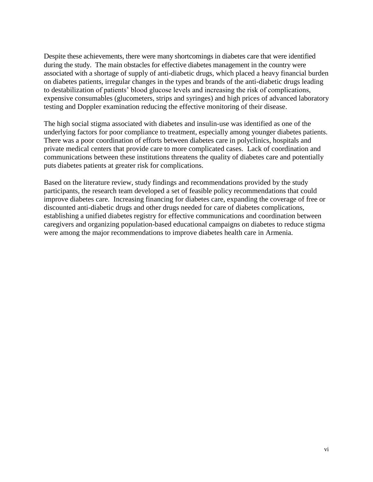Despite these achievements, there were many shortcomings in diabetes care that were identified during the study. The main obstacles for effective diabetes management in the country were associated with a shortage of supply of anti-diabetic drugs, which placed a heavy financial burden on diabetes patients, irregular changes in the types and brands of the anti-diabetic drugs leading to destabilization of patients' blood glucose levels and increasing the risk of complications, expensive consumables (glucometers, strips and syringes) and high prices of advanced laboratory testing and Doppler examination reducing the effective monitoring of their disease.

The high social stigma associated with diabetes and insulin-use was identified as one of the underlying factors for poor compliance to treatment, especially among younger diabetes patients. There was a poor coordination of efforts between diabetes care in polyclinics, hospitals and private medical centers that provide care to more complicated cases. Lack of coordination and communications between these institutions threatens the quality of diabetes care and potentially puts diabetes patients at greater risk for complications.

Based on the literature review, study findings and recommendations provided by the study participants, the research team developed a set of feasible policy recommendations that could improve diabetes care. Increasing financing for diabetes care, expanding the coverage of free or discounted anti-diabetic drugs and other drugs needed for care of diabetes complications, establishing a unified diabetes registry for effective communications and coordination between caregivers and organizing population-based educational campaigns on diabetes to reduce stigma were among the major recommendations to improve diabetes health care in Armenia.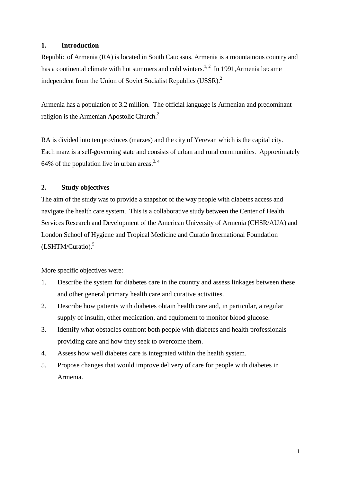# <span id="page-6-0"></span>**1. Introduction**

Republic of Armenia (RA) is located in South Caucasus. Armenia is a mountainous country and has a continental climate with hot summers and cold winters.<sup>1, 2</sup> In 1991, Armenia became independent from the Union of Soviet Socialist Republics (USSR).<sup>2</sup>

Armenia has a population of 3.2 million. The official language is Armenian and predominant religion is the Armenian Apostolic Church.<sup>2</sup>

<span id="page-6-1"></span>RA is divided into ten [provinces](http://en.wikipedia.org/wiki/Administrative_divisions_of_Armenia) (marzes) and the city of Yerevan which is the capital city. Each marz is a self-governing state and consists of urban and rural communities. Approximately 64% of the population live in urban areas.<sup>3, 4</sup>

# **2. Study objectives**

The aim of the study was to provide a snapshot of the way people with diabetes access and navigate the health care system. This is a collaborative study between the Center of Health Services Research and Development of the American University of Armenia (CHSR/AUA) and London School of Hygiene and Tropical Medicine and Curatio International Foundation (LSHTM/Curatio). 5

More specific objectives were:

- 1. Describe the system for diabetes care in the country and assess linkages between these and other general primary health care and curative activities.
- 2. Describe how patients with diabetes obtain health care and, in particular, a regular supply of insulin, other medication, and equipment to monitor blood glucose.
- 3. Identify what obstacles confront both people with diabetes and health professionals providing care and how they seek to overcome them.
- 4. Assess how well diabetes care is integrated within the health system.
- 5. Propose changes that would improve delivery of care for people with diabetes in Armenia.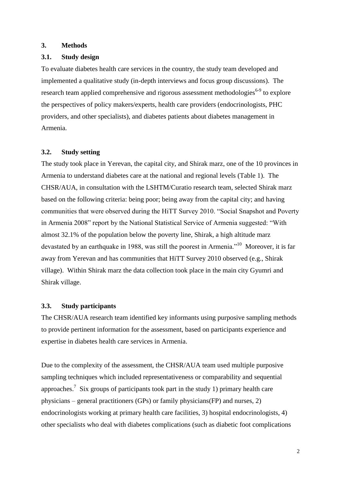#### <span id="page-7-1"></span><span id="page-7-0"></span>**3. Methods**

#### **3.1. Study design**

To evaluate diabetes health care services in the country, the study team developed and implemented a qualitative study (in-depth interviews and focus group discussions). The research team applied comprehensive and rigorous assessment methodologies<sup>6-9</sup> to explore the perspectives of policy makers/experts, health care providers (endocrinologists, PHC providers, and other specialists), and diabetes patients about diabetes management in Armenia.

### <span id="page-7-2"></span>**3.2. Study setting**

The study took place in Yerevan, the capital city, and Shirak marz, one of the 10 provinces in Armenia to understand diabetes care at the national and regional levels (Table 1). The CHSR/AUA, in consultation with the LSHTM/Curatio research team, selected Shirak marz based on the following criteria: being poor; being away from the capital city; and having communities that were observed during the HiTT Survey 2010. "Social Snapshot and Poverty in Armenia 2008" report by the National Statistical Service of Armenia suggested: "With almost 32.1% of the population below the poverty line, Shirak, a high altitude marz devastated by an earthquake in 1988, was still the poorest in Armenia."<sup>10</sup> Moreover, it is far away from Yerevan and has communities that HiTT Survey 2010 observed (e.g., Shirak village). Within Shirak marz the data collection took place in the main city Gyumri and Shirak village.

#### <span id="page-7-3"></span>**3.3. Study participants**

The CHSR/AUA research team identified key informants using purposive sampling methods to provide pertinent information for the assessment, based on participants experience and expertise in diabetes health care services in Armenia.

Due to the complexity of the assessment, the CHSR/AUA team used multiple purposive sampling techniques which included representativeness or comparability and sequential approaches.<sup>7</sup> Six groups of participants took part in the study 1) primary health care physicians – general practitioners (GPs) or family physicians(FP) and nurses, 2) endocrinologists working at primary health care facilities, 3) hospital endocrinologists, 4) other specialists who deal with diabetes complications (such as diabetic foot complications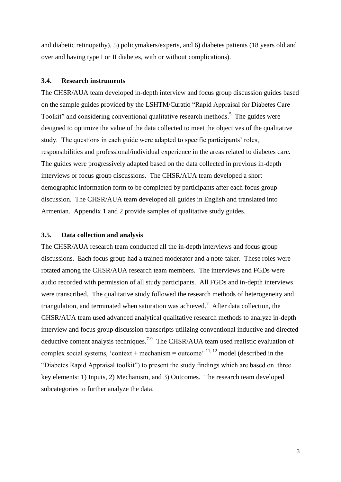<span id="page-8-0"></span>and diabetic retinopathy), 5) policymakers/experts, and 6) diabetes patients (18 years old and over and having type I or II diabetes, with or without complications).

#### **3.4. Research instruments**

The CHSR/AUA team developed in-depth interview and focus group discussion guides based on the sample guides provided by the LSHTM/Curatio "Rapid Appraisal for Diabetes Care Toolkit" and considering conventional qualitative research methods.<sup>5</sup> The guides were designed to optimize the value of the data collected to meet the objectives of the qualitative study. The questions in each guide were adapted to specific participants' roles, responsibilities and professional/individual experience in the areas related to diabetes care. The guides were progressively adapted based on the data collected in previous in-depth interviews or focus group discussions. The CHSR/AUA team developed a short demographic information form to be completed by participants after each focus group discussion. The CHSR/AUA team developed all guides in English and translated into Armenian. Appendix 1 and 2 provide samples of qualitative study guides.

#### <span id="page-8-1"></span>**3.5. Data collection and analysis**

The CHSR/AUA research team conducted all the in-depth interviews and focus group discussions. Each focus group had a trained moderator and a note-taker. These roles were rotated among the CHSR/AUA research team members. The interviews and FGDs were audio recorded with permission of all study participants. All FGDs and in-depth interviews were transcribed. The qualitative study followed the research methods of heterogeneity and triangulation, and terminated when saturation was achieved.<sup>7</sup> After data collection, the CHSR/AUA team used advanced analytical qualitative research methods to analyze in-depth interview and focus group discussion transcripts utilizing conventional inductive and directed deductive content analysis techniques.<sup>7-9</sup> The CHSR/AUA team used realistic evaluation of complex social systems, 'context + mechanism = outcome'  $11, 12$  model (described in the "Diabetes Rapid Appraisal toolkit") to present the study findings which are based on three key elements: 1) Inputs, 2) Mechanism, and 3) Outcomes. The research team developed subcategories to further analyze the data.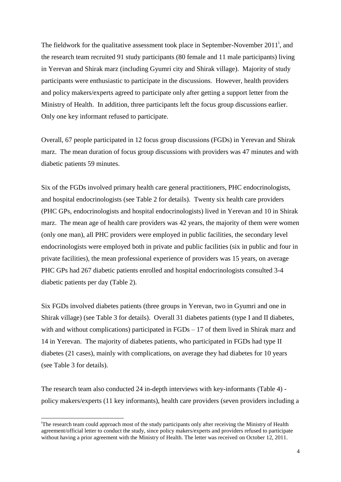The fieldwork for the qualitative assessment took place in September-November  $2011^i$ , and the research team recruited 91 study participants (80 female and 11 male participants) living in Yerevan and Shirak marz (including Gyumri city and Shirak village). Majority of study participants were enthusiastic to participate in the discussions. However, health providers and policy makers/experts agreed to participate only after getting a support letter from the Ministry of Health. In addition, three participants left the focus group discussions earlier. Only one key informant refused to participate.

Overall, 67 people participated in 12 focus group discussions (FGDs) in Yerevan and Shirak marz. The mean duration of focus group discussions with providers was 47 minutes and with diabetic patients 59 minutes.

Six of the FGDs involved primary health care general practitioners, PHC endocrinologists, and hospital endocrinologists (see Table 2 for details). Twenty six health care providers (PHC GPs, endocrinologists and hospital endocrinologists) lived in Yerevan and 10 in Shirak marz. The mean age of health care providers was 42 years, the majority of them were women (only one man), all PHC providers were employed in public facilities, the secondary level endocrinologists were employed both in private and public facilities (six in public and four in private facilities), the mean professional experience of providers was 15 years, on average PHC GPs had 267 diabetic patients enrolled and hospital endocrinologists consulted 3-4 diabetic patients per day (Table 2).

Six FGDs involved diabetes patients (three groups in Yerevan, two in Gyumri and one in Shirak village) (see Table 3 for details). Overall 31 diabetes patients (type I and II diabetes, with and without complications) participated in FGDs – 17 of them lived in Shirak marz and 14 in Yerevan. The majority of diabetes patients, who participated in FGDs had type II diabetes (21 cases), mainly with complications, on average they had diabetes for 10 years (see Table 3 for details).

The research team also conducted 24 in-depth interviews with key-informants (Table 4) policy makers/experts (11 key informants), health care providers (seven providers including a

1

<sup>i</sup>The research team could approach most of the study participants only after receiving the Ministry of Health agreement/official letter to conduct the study, since policy makers/experts and providers refused to participate without having a prior agreement with the Ministry of Health. The letter was received on October 12, 2011.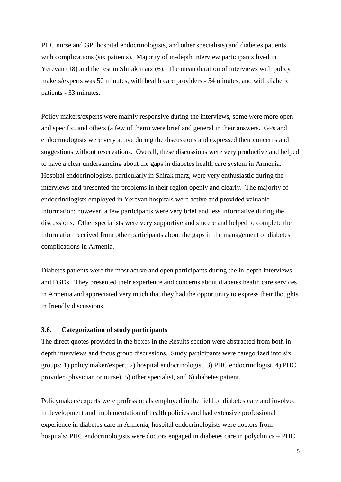PHC nurse and GP, hospital endocrinologists, and other specialists) and diabetes patients with complications (six patients). Majority of in-depth interview participants lived in Yerevan (18) and the rest in Shirak marz (6). The mean duration of interviews with policy makers/experts was 50 minutes, with health care providers - 54 minutes, and with diabetic patients - 33 minutes.

Policy makers/experts were mainly responsive during the interviews, some were more open and specific, and others (a few of them) were brief and general in their answers. GPs and endocrinologists were very active during the discussions and expressed their concerns and suggestions without reservations. Overall, these discussions were very productive and helped to have a clear understanding about the gaps in diabetes health care system in Armenia. Hospital endocrinologists, particularly in Shirak marz, were very enthusiastic during the interviews and presented the problems in their region openly and clearly. The majority of endocrinologists employed in Yerevan hospitals were active and provided valuable information; however, a few participants were very brief and less informative during the discussions. Other specialists were very supportive and sincere and helped to complete the information received from other participants about the gaps in the management of diabetes complications in Armenia.

<span id="page-10-0"></span>Diabetes patients were the most active and open participants during the in-depth interviews and FGDs. They presented their experience and concerns about diabetes health care services in Armenia and appreciated very much that they had the opportunity to express their thoughts in friendly discussions.

### **3.6. Categorization of study participants**

The direct quotes provided in the boxes in the Results section were abstracted from both indepth interviews and focus group discussions. Study participants were categorized into six groups: 1) policy maker/expert, 2) hospital endocrinologist, 3) PHC endocrinologist, 4) PHC provider (physician or nurse), 5) other specialist, and 6) diabetes patient.

Policymakers/experts were professionals employed in the field of diabetes care and involved in development and implementation of health policies and had extensive professional experience in diabetes care in Armenia; hospital endocrinologists were doctors from hospitals; PHC endocrinologists were doctors engaged in diabetes care in polyclinics – PHC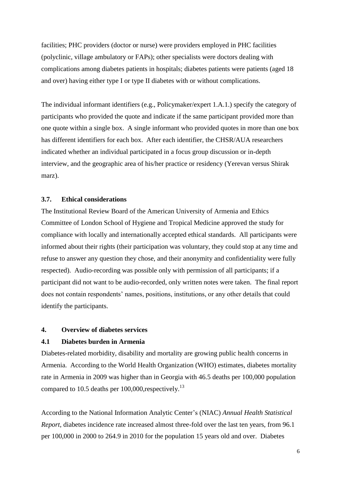facilities; PHC providers (doctor or nurse) were providers employed in PHC facilities (polyclinic, village ambulatory or FAPs); other specialists were doctors dealing with complications among diabetes patients in hospitals; diabetes patients were patients (aged 18 and over) having either type I or type II diabetes with or without complications.

The individual informant identifiers (e.g., Policymaker/expert 1.A.1.) specify the category of participants who provided the quote and indicate if the same participant provided more than one quote within a single box. A single informant who provided quotes in more than one box has different identifiers for each box. After each identifier, the CHSR/AUA researchers indicated whether an individual participated in a focus group discussion or in-depth interview, and the geographic area of his/her practice or residency (Yerevan versus Shirak marz).

#### <span id="page-11-0"></span>**3.7. Ethical considerations**

The Institutional Review Board of the American University of Armenia and Ethics Committee of London School of Hygiene and Tropical Medicine approved the study for compliance with locally and internationally accepted ethical standards. All participants were informed about their rights (their participation was voluntary, they could stop at any time and refuse to answer any question they chose, and their anonymity and confidentiality were fully respected). Audio-recording was possible only with permission of all participants; if a participant did not want to be audio-recorded, only written notes were taken. The final report does not contain respondents' names, positions, institutions, or any other details that could identify the participants.

#### <span id="page-11-2"></span><span id="page-11-1"></span>**4. Overview of diabetes services**

#### **4.1 Diabetes burden in Armenia**

Diabetes-related morbidity, disability and mortality are growing public health concerns in Armenia. According to the World Health Organization (WHO) estimates, diabetes mortality rate in Armenia in 2009 was higher than in Georgia with 46.5 deaths per 100,000 population compared to 10.5 deaths per 100,000, respectively.<sup>13</sup>

According to the National Information Analytic Center's (NIAC) *Annual Health Statistical Report*, diabetes incidence rate increased almost three-fold over the last ten years, from 96.1 per 100,000 in 2000 to 264.9 in 2010 for the population 15 years old and over. Diabetes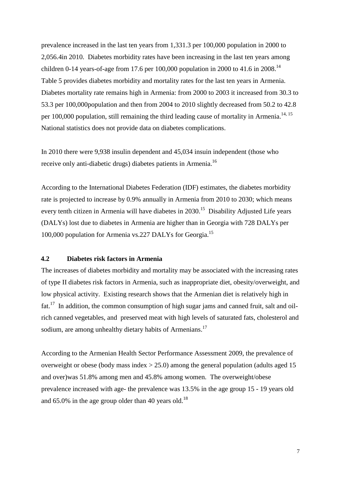prevalence increased in the last ten years from 1,331.3 per 100,000 population in 2000 to 2,056.4in 2010. Diabetes morbidity rates have been increasing in the last ten years among children 0-14 years-of-age from 17.6 per 100,000 population in 2000 to 41.6 in 2008.<sup>14</sup> Table 5 provides diabetes morbidity and mortality rates for the last ten years in Armenia. Diabetes mortality rate remains high in Armenia: from 2000 to 2003 it increased from 30.3 to 53.3 per 100,000population and then from 2004 to 2010 slightly decreased from 50.2 to 42.8 per 100,000 population, still remaining the third leading cause of mortality in Armenia.<sup>14, 15</sup> National statistics does not provide data on diabetes complications.

In 2010 there were 9,938 insulin dependent and 45,034 insuin independent (those who receive only anti-diabetic drugs) diabetes patients in Armenia.<sup>16</sup>

According to the International Diabetes Federation (IDF) estimates, the diabetes morbidity rate is projected to increase by 0.9% annually in Armenia from 2010 to 2030; which means every tenth citizen in Armenia will have diabetes in 2030.<sup>15</sup> Disability Adjusted Life years (DALYs) lost due to diabetes in Armenia are higher than in Georgia with 728 DALYs per 100,000 population for Armenia vs.227 DALYs for Georgia.<sup>15</sup>

#### <span id="page-12-0"></span>**4.2 Diabetes risk factors in Armenia**

The increases of diabetes morbidity and mortality may be associated with the increasing rates of type II diabetes risk factors in Armenia, such as inappropriate diet, obesity/overweight, and low physical activity. Existing research shows that the Armenian diet is relatively high in fat.<sup>17</sup> In addition, the common consumption of high sugar jams and canned fruit, salt and oilrich canned vegetables, and preserved meat with high levels of saturated fats, cholesterol and sodium, are among unhealthy dietary habits of Armenians.<sup>17</sup>

According to the Armenian Health Sector Performance Assessment 2009, the prevalence of overweight or obese (body mass index > 25.0) among the general population (adults aged 15 and over)was 51.8% among men and 45.8% among women. The overweight/obese prevalence increased with age- the prevalence was 13.5% in the age group 15 - 19 years old and 65.0% in the age group older than 40 years old.<sup>18</sup>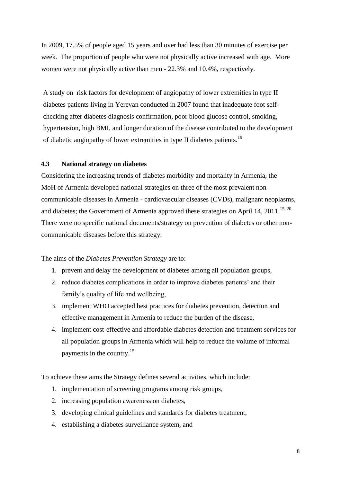In 2009, 17.5% of people aged 15 years and over had less than 30 minutes of exercise per week. The proportion of people who were not physically active increased with age. More women were not physically active than men - 22.3% and 10.4%, respectively.

A study on risk factors for development of angiopathy of lower extremities in type II diabetes patients living in Yerevan conducted in 2007 found that inadequate foot selfchecking after diabetes diagnosis confirmation, poor blood glucose control, smoking, hypertension, high BMI, and longer duration of the disease contributed to the development of diabetic angiopathy of lower extremities in type II diabetes patients.<sup>19</sup>

#### <span id="page-13-0"></span>**4.3 National strategy on diabetes**

Considering the increasing trends of diabetes morbidity and mortality in Armenia, the MoH of Armenia developed national strategies on three of the most prevalent noncommunicable diseases in Armenia - cardiovascular diseases (CVDs), malignant neoplasms, and diabetes; the Government of Armenia approved these strategies on April 14,  $2011$ .<sup>15, 20</sup> There were no specific national documents/strategy on prevention of diabetes or other noncommunicable diseases before this strategy.

#### The aims of the *Diabetes Prevention Strategy* are to:

- 1. prevent and delay the development of diabetes among all population groups,
- 2. reduce diabetes complications in order to improve diabetes patients' and their family's quality of life and wellbeing,
- 3. implement WHO accepted best practices for diabetes prevention, detection and effective management in Armenia to reduce the burden of the disease,
- 4. implement cost-effective and affordable diabetes detection and treatment services for all population groups in Armenia which will help to reduce the volume of informal payments in the country.<sup>15</sup>

To achieve these aims the Strategy defines several activities, which include:

- 1. implementation of screening programs among risk groups,
- 2. increasing population awareness on diabetes,
- 3. developing clinical guidelines and standards for diabetes treatment,
- 4. establishing a diabetes surveillance system, and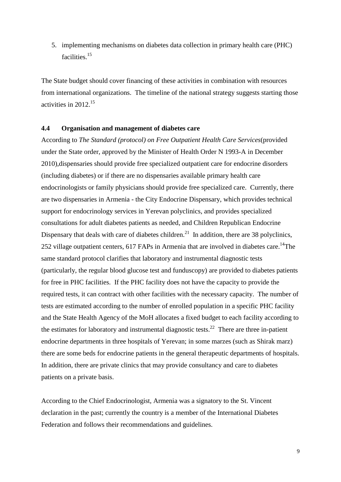5. implementing mechanisms on diabetes data collection in primary health care (PHC) facilities.<sup>15</sup>

<span id="page-14-0"></span>The State budget should cover financing of these activities in combination with resources from international organizations. The timeline of the national strategy suggests starting those activities in 2012.<sup>15</sup>

#### **4.4 Organisation and management of diabetes care**

According to *The Standard (protocol) on Free Outpatient Health Care Services*(provided under the State order, approved by the Minister of Health Order N 1993-A in December 2010),dispensaries should provide free specialized outpatient care for endocrine disorders (including diabetes) or if there are no dispensaries available primary health care endocrinologists or family physicians should provide free specialized care. Currently, there are two dispensaries in Armenia - the City Endocrine Dispensary, which provides technical support for endocrinology services in Yerevan polyclinics, and provides specialized consultations for adult diabetes patients as needed, and Children Republican Endocrine Dispensary that deals with care of diabetes children.<sup>21</sup> In addition, there are 38 polyclinics, 252 village outpatient centers, 617 FAPs in Armenia that are involved in diabetes care.<sup>14</sup>The same standard protocol clarifies that laboratory and instrumental diagnostic tests (particularly, the regular blood glucose test and funduscopy) are provided to diabetes patients for free in PHC facilities. If the PHC facility does not have the capacity to provide the required tests, it can contract with other facilities with the necessary capacity. The number of tests are estimated according to the number of enrolled population in a specific PHC facility and the State Health Agency of the MoH allocates a fixed budget to each facility according to the estimates for laboratory and instrumental diagnostic tests.<sup>22</sup> There are three in-patient endocrine departments in three hospitals of Yerevan; in some marzes (such as Shirak marz) there are some beds for endocrine patients in the general therapeutic departments of hospitals. In addition, there are private clinics that may provide consultancy and care to diabetes patients on a private basis.

According to the Chief Endocrinologist, Armenia was a signatory to the St. Vincent declaration in the past; currently the country is a member of the International Diabetes Federation and follows their recommendations and guidelines.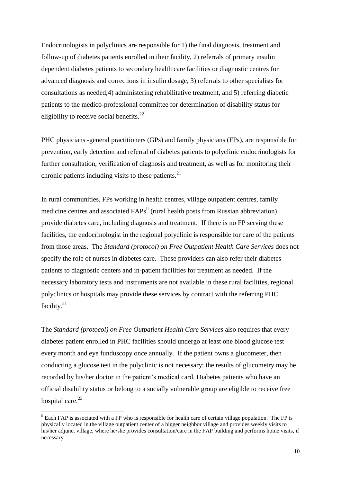Endocrinologists in polyclinics are responsible for 1) the final diagnosis, treatment and follow-up of diabetes patients enrolled in their facility, 2) referrals of primary insulin dependent diabetes patients to secondary health care facilities or diagnostic centres for advanced diagnosis and corrections in insulin dosage, 3) referrals to other specialists for consultations as needed,4) administering rehabilitative treatment, and 5) referring diabetic patients to the medico-professional committee for determination of disability status for eligibility to receive social benefits.<sup>22</sup>

PHC physicians -general practitioners (GPs) and family physicians (FPs), are responsible for prevention, early detection and referral of diabetes patients to polyclinic endocrinologists for further consultation, verification of diagnosis and treatment, as well as for monitoring their chronic patients including visits to these patients.<sup>21</sup>

In rural communities, FPs working in health centres, village outpatient centres, family medicine centres and associated FAPs<sup>ii</sup> (rural health posts from Russian abbreviation) provide diabetes care, including diagnosis and treatment. If there is no FP serving these facilities, the endocrinologist in the regional polyclinic is responsible for care of the patients from those areas. The *Standard (protocol) on Free Outpatient Health Care Services* does not specify the role of nurses in diabetes care. These providers can also refer their diabetes patients to diagnostic centers and in-patient facilities for treatment as needed. If the necessary laboratory tests and instruments are not available in these rural facilities, regional polyclinics or hospitals may provide these services by contract with the referring PHC facility.<sup>21</sup>

The *Standard (protocol) on Free Outpatient Health Care Services* also requires that every diabetes patient enrolled in PHC facilities should undergo at least one blood glucose test every month and eye funduscopy once annually. If the patient owns a glucometer, then conducting a glucose test in the polyclinic is not necessary; the results of glucometry may be recorded by his/her doctor in the patient's medical card. Diabetes patients who have an official disability status or belong to a socially vulnerable group are eligible to receive free hospital care. $^{23}$ 

1

<sup>&</sup>lt;sup>ii</sup> Each FAP is associated with a FP who is responsible for health care of certain village population. The FP is physically located in the village outpatient center of a bigger neighbor village and provides weekly visits to his/her adjunct village, where he/she provides consultation/care in the FAP building and performs home visits, if necessary.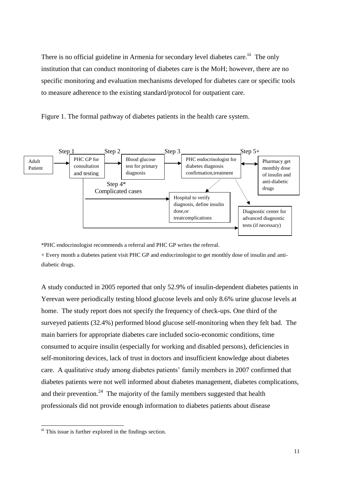There is no official guideline in Armenia for secondary level diabetes care.<sup>iii</sup> The only institution that can conduct monitoring of diabetes care is the MoH; however, there are no specific monitoring and evaluation mechanisms developed for diabetes care or specific tools to measure adherence to the existing standard/protocol for outpatient care.

Figure 1. The formal pathway of diabetes patients in the health care system.



\*PHC endocrinologist recommends a referral and PHC GP writes the referral.

+ Every month a diabetes patient visit PHC GP and endocrinologist to get monthly dose of insulin and antidiabetic drugs.

A study conducted in 2005 reported that only 52.9% of insulin-dependent diabetes patients in Yerevan were periodically testing blood glucose levels and only 8.6% urine glucose levels at home. The study report does not specify the frequency of check-ups. One third of the surveyed patients (32.4%) performed blood glucose self-monitoring when they felt bad. The main barriers for appropriate diabetes care included socio-economic conditions, time consumed to acquire insulin (especially for working and disabled persons), deficiencies in self-monitoring devices, lack of trust in doctors and insufficient knowledge about diabetes care. A qualitative study among diabetes patients' family members in 2007 confirmed that diabetes patients were not well informed about diabetes management, diabetes complications, and their prevention.<sup>24</sup> The majority of the family members suggested that health professionals did not provide enough information to diabetes patients about disease

**.** 

iii This issue is further explored in the findings section.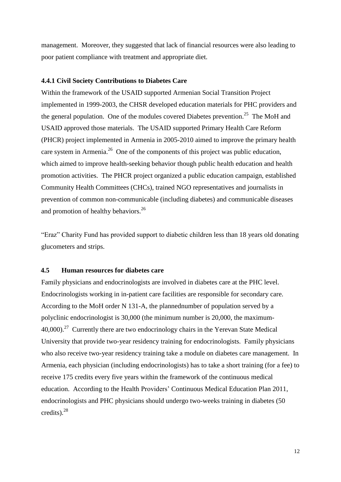<span id="page-17-0"></span>management. Moreover, they suggested that lack of financial resources were also leading to poor patient compliance with treatment and appropriate diet.

#### **4.4.1 Civil Society Contributions to Diabetes Care**

Within the framework of the USAID supported Armenian Social Transition Project implemented in 1999-2003, the CHSR developed education materials for PHC providers and the general population. One of the modules covered Diabetes prevention.<sup>25</sup> The MoH and USAID approved those materials. The USAID supported Primary Health Care Reform (PHCR) project implemented in Armenia in 2005-2010 aimed to improve the primary health care system in Armenia.<sup>26</sup> One of the components of this project was public education, which aimed to improve health-seeking behavior though public health education and health promotion activities. The PHCR project organized a public education campaign, established Community Health Committees (CHCs), trained NGO representatives and journalists in prevention of common non-communicable (including diabetes) and communicable diseases and promotion of healthy behaviors.<sup>26</sup>

<span id="page-17-1"></span>"Eraz" Charity Fund has provided support to diabetic children less than 18 years old donating glucometers and strips.

#### **4.5 Human resources for diabetes care**

Family physicians and endocrinologists are involved in diabetes care at the PHC level. Endocrinologists working in in-patient care facilities are responsible for secondary care. According to the MoH order N 131-A, the plannednumber of population served by a polyclinic endocrinologist is 30,000 (the minimum number is 20,000, the maximum- $40,000$ .<sup>27</sup> Currently there are two endocrinology chairs in the Yerevan State Medical University that provide two-year residency training for endocrinologists. Family physicians who also receive two-year residency training take a module on diabetes care management. In Armenia, each physician (including endocrinologists) has to take a short training (for a fee) to receive 175 credits every five years within the framework of the continuous medical education. According to the Health Providers' Continuous Medical Education Plan 2011, endocrinologists and PHC physicians should undergo two-weeks training in diabetes (50 credits). 28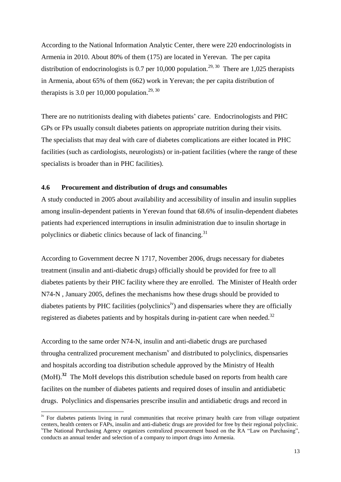According to the National Information Analytic Center, there were 220 endocrinologists in Armenia in 2010. About 80% of them (175) are located in Yerevan. The per capita distribution of endocrinologists is 0.7 per 10,000 population.<sup>29, 30</sup> There are 1,025 therapists in Armenia, about 65% of them (662) work in Yerevan; the per capita distribution of therapists is 3.0 per 10,000 population.<sup>29, 30</sup>

There are no nutritionists dealing with diabetes patients' care. Endocrinologists and PHC GPs or FPs usually consult diabetes patients on appropriate nutrition during their visits. The specialists that may deal with care of diabetes complications are either located in PHC facilities (such as cardiologists, neurologists) or in-patient facilities (where the range of these specialists is broader than in PHC facilities).

#### <span id="page-18-0"></span>**4.6 Procurement and distribution of drugs and consumables**

A study conducted in 2005 about availability and accessibility of insulin and insulin supplies among insulin-dependent patients in Yerevan found that 68.6% of insulin-dependent diabetes patients had experienced interruptions in insulin administration due to insulin shortage in polyclinics or diabetic clinics because of lack of financing.<sup>31</sup>

According to Government decree N 1717, November 2006, drugs necessary for diabetes treatment (insulin and anti-diabetic drugs) officially should be provided for free to all diabetes patients by their PHC facility where they are enrolled. The Minister of Health order N74-N , January 2005, defines the mechanisms how these drugs should be provided to diabetes patients by PHC facilities (polyclinics<sup>iv</sup>) and dispensaries where they are officially registered as diabetes patients and by hospitals during in-patient care when needed.<sup>32</sup>

According to the same order N74-N, insulin and anti-diabetic drugs are purchased througha centralized procurement mechanism $v$  and distributed to polyclinics, dispensaries and hospitals according toa distribution schedule approved by the Ministry of Health (MoH).<sup>32</sup> The MoH develops this distribution schedule based on reports from health care facilites on the number of diabetes patients and required doses of insulin and antidiabetic drugs. Polyclinics and dispensaries prescribe insulin and antidiabetic drugs and record in

1

<sup>&</sup>lt;sup>iv</sup> For diabetes patients living in rural communities that receive primary health care from village outpatient centers, health centers or FAPs, insulin and anti-diabetic drugs are provided for free by their regional polyclinic. <sup>v</sup>The National Purchasing Agency organizes centralized procurement based on the RA "Law on Purchasing", conducts an annual tender and selection of a company to import drugs into Armenia.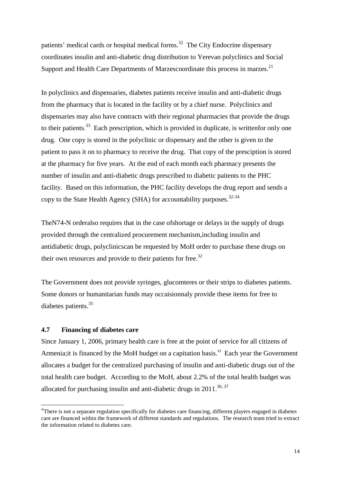patients' medical cards or hospital medical forms.<sup>32</sup> The City Endocrine dispensary coordinates insulin and anti-diabetic drug distribution to Yerevan polyclinics and Social Support and Health Care Departments of Marzescoordinate this process in marzes.<sup>21</sup>

In polyclinics and dispensaries, diabetes patients receive insulin and anti-diabetic drugs from the pharmacy that is located in the facility or by a chief nurse. Polyclinics and dispensaries may also have contracts with their regional pharmacies that provide the drugs to their patients.<sup>33</sup> Each prescription, which is provided in duplicate, is writtenfor only one drug. One copy is stored in the polyclinic or dispensary and the other is given to the patient to pass it on to pharmacy to receive the drug. That copy of the presciption is stored at the pharmacy for five years. At the end of each month each pharmacy presents the number of insulin and anti-diabetic drugs prescribed to diabetic paitents to the PHC facility. Based on this information, the PHC facility develops the drug report and sends a copy to the State Health Agency (SHA) for accountability purposes.<sup>32-34</sup>

TheN74-N orderalso requires that in the case ofshortage or delays in the supply of drugs provided through the centralized procurement mechanism,including insulin and antidiabetic drugs, polyclinicscan be requested by MoH order to purchase these drugs on their own resources and provide to their patients for free.<sup>32</sup>

<span id="page-19-0"></span>The Government does not provide syringes, glucomteres or their strips to diabetes patients. Some donors or humanitarian funds may occaisionnaly provide these items for free to diabetes patients. 35

#### **4.7 Financing of diabetes care**

**.** 

Since January 1, 2006, primary health care is free at the point of service for all citizens of Armenia; it is financed by the MoH budget on a capitation basis.<sup>vi</sup> Each year the Government allocates a budget for the centralized purchasing of insulin and anti-diabetic drugs out of the total health care budget. According to the MoH, about 2.2% of the total health budget was allocated for purchasing insulin and anti-diabetic drugs in  $2011$ .<sup>36, 37</sup>

 $v$ There is not a separate regulation specifically for diabetes care financing, different players engaged in diabetes care are financed within the framework of different standards and regulations. The research team tried to extract the information related to diabetes care.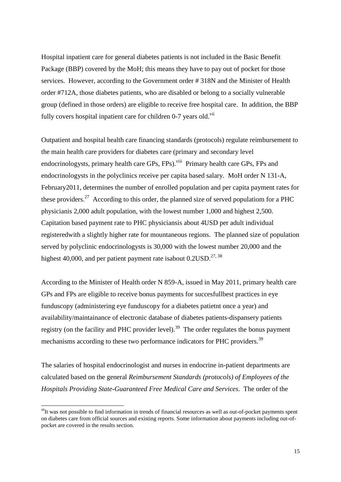Hospital inpatient care for general diabetes patients is not included in the Basic Benefit Package (BBP) covered by the MoH; this means they have to pay out of pocket for those services. However, according to the Government order # 318N and the Minister of Health order #712A, those diabetes patients, who are disabled or belong to a socially vulnerable group (defined in those orders) are eligible to receive free hospital care. In addition, the BBP fully covers hospital inpatient care for children  $0-7$  years old.<sup>vii</sup>

Outpatient and hospital health care financing standards (protocols) regulate reimbursement to the main health care providers for diabetes care (primary and secondary level endocrinologysts, primary health care GPs, FPs).<sup>viii</sup> Primary health care GPs, FPs and endocrinologysts in the polyclinics receive per capita based salary. MoH order N 131-A, February2011, determines the number of enrolled population and per capita payment rates for these providers.<sup>27</sup> According to this order, the planned size of served populatiom for a PHC physicianis 2,000 adult population, with the lowest number 1,000 and highest 2,500. Capitation based payment rate to PHC physiciansis about 4USD per adult individual registeredwith a slightly higher rate for mountaneous regions. The planned size of population served by polyclinic endocrinologysts is 30,000 with the lowest number 20,000 and the highest 40,000, and per patient payment rate isabout  $0.2$ USD.<sup>27,38</sup>

According to the Minister of Health order N 859-A, issued in May 2011, primary health care GPs and FPs are eligible to receive bonus payments for succesfullbest practices in eye funduscopy (administering eye funduscopy for a diabetes patietnt once a year) and availability/maintainance of electronic database of diabetes patients-dispansery patients registry (on the facility and PHC provider level).<sup>39</sup> The order regulates the bonus payment mechanisms according to these two performance indicators for PHC providers.<sup>39</sup>

The salaries of hospital endocrinologist and nurses in endocrine in-patient departments are calculated based on the general *Reimbursement Standards (protocols) of Employees of the Hospitals Providing State-Guaranteed Free Medical Care and Services*. The order of the

**.** 

 $v$ <sup>ii</sup>It was not possible to find information in trends of financial resources as well as out-of-pocket payments spent on diabetes care from official sources and existing reports. Some information about payments including out-ofpocket are covered in the results section.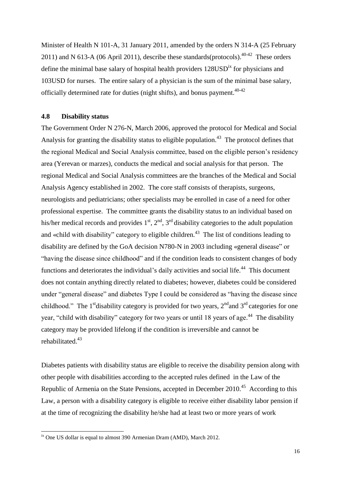Minister of Health N 101-A, 31 January 2011, amended by the orders N 314-A (25 February 2011) and N 613-A (06 April 2011), describe these standards(protocols). <sup>40-42</sup> These orders define the minimal base salary of hospital health providers  $128USD<sup>ix</sup>$  for physicians and 103USD for nurses. The entire salary of a physician is the sum of the minimal base salary, officially determined rate for duties (night shifts), and bonus payment.<sup>40-42</sup>

#### <span id="page-21-0"></span>**4.8 Disability status**

The Government Order N 276-N, March 2006, approved the protocol for Medical and Social Analysis for granting the disability status to eligible population.<sup>43</sup> The protocol defines that the regional Medical and Social Analysis committee, based on the eligible person's residency area (Yerevan or marzes), conducts the medical and social analysis for that person. The regional Medical and Social Analysis committees are the branches of the Medical and Social Analysis Agency established in 2002. The core staff consists of therapists, surgeons, neurologists and pediatricians; other specialists may be enrolled in case of a need for other professional expertise. The committee grants the disability status to an individual based on his/her medical records and provides  $1<sup>st</sup>$ ,  $2<sup>nd</sup>$ ,  $3<sup>rd</sup>$  disability categories to the adult population and «child with disability" category to eligible children.<sup>43</sup> The list of conditions leading to disability are defined by the GoA decision N780-N in 2003 including «general disease" or "having the disease since childhood" and if the condition leads to consistent changes of body functions and deteriorates the individual's daily activities and social life.<sup>44</sup> This document does not contain anything directly related to diabetes; however, diabetes could be considered under "general disease" and diabetes Type I could be considered as "having the disease since childhood." The 1<sup>st</sup>disability category is provided for two years,  $2<sup>nd</sup>$  and  $3<sup>rd</sup>$  categories for one year, "child with disability" category for two years or until 18 years of age.<sup>44</sup> The disability category may be provided lifelong if the condition is irreversible and cannot be rehabilitated.<sup>43</sup>

Diabetes patients with disability status are eligible to receive the disability pension along with other people with disabilities according to the accepted rules defined in the Law of the Republic of Armenia on the State Pensions, accepted in December 2010.<sup>45</sup> According to this Law, a person with a disability category is eligible to receive either disability labor pension if at the time of recognizing the disability he/she had at least two or more years of work

1

<sup>&</sup>lt;sup>ix</sup> One US dollar is equal to almost 390 Armenian Dram (AMD), March 2012.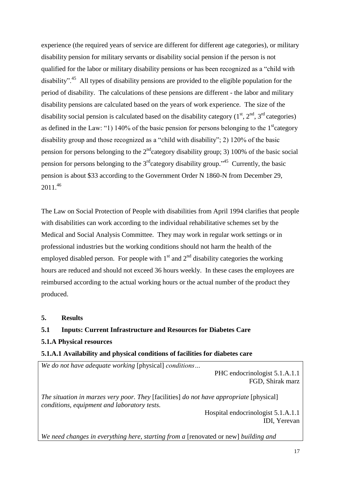experience (the required years of service are different for different age categories), or military disability pension for military servants or disability social pension if the person is not qualified for the labor or military disability pensions or has been recognized as a "child with disability".<sup>45</sup> All types of disability pensions are provided to the eligible population for the period of disability. The calculations of these pensions are different - the labor and military disability pensions are calculated based on the years of work experience. The size of the disability social pension is calculated based on the disability category  $(1<sup>st</sup>, 2<sup>nd</sup>, 3<sup>rd</sup> categories)$ as defined in the Law: "1) 140% of the basic pension for persons belonging to the  $1<sup>st</sup>$ category disability group and those recognized as a "child with disability"; 2) 120% of the basic pension for persons belonging to the  $2<sup>nd</sup>$ category disability group; 3) 100% of the basic social pension for persons belonging to the  $3<sup>rd</sup>$ category disability group.<sup> $,45$ </sup> Currently, the basic pension is about \$33 according to the Government Order N 1860-N from December 29, 2011.<sup>46</sup>

The Law on Social Protection of People with disabilities from April 1994 clarifies that people with disabilities can work according to the individual rehabilitative schemes set by the Medical and Social Analysis Committee. They may work in regular work settings or in professional industries but the working conditions should not harm the health of the employed disabled person. For people with  $1<sup>st</sup>$  and  $2<sup>nd</sup>$  disability categories the working hours are reduced and should not exceed 36 hours weekly. In these cases the employees are reimbursed according to the actual working hours or the actual number of the product they produced.

# <span id="page-22-2"></span><span id="page-22-1"></span><span id="page-22-0"></span>**5. Results**

# **5.1 Inputs: Current Infrastructure and Resources for Diabetes Care**

#### **5.1.A Physical resources**

# **5.1.A.1 Availability and physical conditions of facilities for diabetes care**

*We do not have adequate working* [physical] *conditions…*

PHC endocrinologist 5.1.A.1.1 FGD, Shirak marz

*The situation in marzes very poor. They* [facilities] *do not have appropriate* [physical] *conditions, equipment and laboratory tests.*

> Hospital endocrinologist 5.1.A.1.1 IDI, Yerevan

*We need changes in everything here, starting from a* [renovated or new] *building and*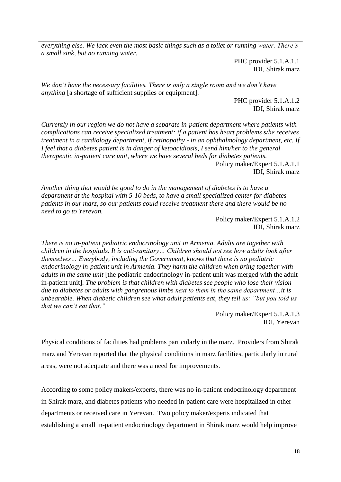*everything else. We lack even the most basic things such as a toilet or running water. There's a small sink, but no running water.* 

> PHC provider 5.1.A.1.1 IDI, Shirak marz

*We don't have the necessary facilities. There is only a single room and we don't have anything* [a shortage of sufficient supplies or equipment].

> PHC provider 5.1.A.1.2 IDI, Shirak marz

*Currently in our region we do not have a separate in-patient department where patients with complications can receive specialized treatment: if a patient has heart problems s/he receives treatment in a cardiology department, if retinopathy - in an ophthalmology department, etc. If I feel that a diabetes patient is in danger of ketoacidiosis, I send him/her to the general therapeutic in-patient care unit, where we have several beds for diabetes patients.*  Policy maker/Expert 5.1.A.1.1

IDI, Shirak marz

*Another thing that would be good to do in the management of diabetes is to have a department at the hospital with 5-10 beds, to have a small specialized center for diabetes patients in our marz, so our patients could receive treatment there and there would be no need to go to Yerevan.*

> Policy maker/Expert 5.1.A.1.2 IDI, Shirak marz

*There is no in-patient pediatric endocrinology unit in Armenia. Adults are together with children in the hospitals. It is anti-sanitary… Children should not see how adults look after themselves… Everybody, including the Government, knows that there is no pediatric endocrinology in-patient unit in Armenia. They harm the children when bring together with adults in the same unit* [the pediatric endocrinology in-patient unit was merged with the adult in-patient unit]*. The problem is that children with diabetes see people who lose their vision due to diabetes or adults with gangrenous limbs next to them in the same department…it is unbearable. When diabetic children see what adult patients eat, they tell us: "but you told us that we can't eat that."*

Policy maker/Expert 5.1.A.1.3 IDI, Yerevan

Physical conditions of facilities had problems particularly in the marz. Providers from Shirak marz and Yerevan reported that the physical conditions in marz facilities, particularly in rural areas, were not adequate and there was a need for improvements.

According to some policy makers/experts, there was no in-patient endocrinology department in Shirak marz, and diabetes patients who needed in-patient care were hospitalized in other departments or received care in Yerevan. Two policy maker/experts indicated that establishing a small in-patient endocrinology department in Shirak marz would help improve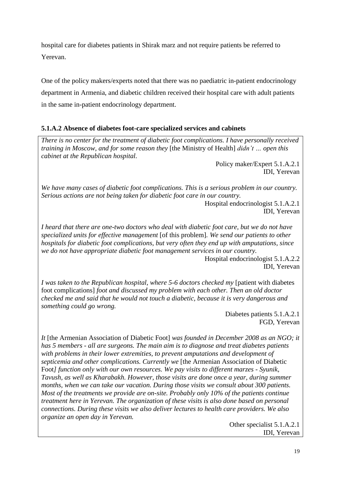hospital care for diabetes patients in Shirak marz and not require patients be referred to Yerevan.

One of the policy makers/experts noted that there was no paediatric in-patient endocrinology department in Armenia, and diabetic children received their hospital care with adult patients in the same in-patient endocrinology department.

# **5.1.A.2 Absence of diabetes foot-care specialized services and cabinets**

*There is no center for the treatment of diabetic foot complications. I have personally received training in Moscow, and for some reason they* [the Ministry of Health] *didn't … open this cabinet at the Republican hospital.* 

> Policy maker/Expert 5.1.A.2.1 IDI, Yerevan

*We have many cases of diabetic foot complications. This is a serious problem in our country. Serious actions are not being taken for diabetic foot care in our country.* 

Hospital endocrinologist 5.1.A.2.1 IDI, Yerevan

*I heard that there are one-two doctors who deal with diabetic foot care, but we do not have specialized units for effective management* [of this problem]*. We send our patients to other hospitals for diabetic foot complications, but very often they end up with amputations, since we do not have appropriate diabetic foot management services in our country.* 

Hospital endocrinologist 5.1.A.2.2 IDI, Yerevan

*I was taken to the Republican hospital, where 5-6 doctors checked my* [patient with diabetes foot complications] *foot and discussed my problem with each other. Then an old doctor checked me and said that he would not touch a diabetic, because it is very dangerous and something could go wrong.*

> Diabetes patients 5.1.A.2.1 FGD, Yerevan

*It* [the Armenian Association of Diabetic Foot] *was founded in December 2008 as an NGO; it has 5 members - all are surgeons. The main aim is to diagnose and treat diabetes patients with problems in their lower extremities, to prevent amputations and development of septicemia and other complications. Currently we* [the Armenian Association of Diabetic Foot*] function only with our own resources. We pay visits to different marzes - Syunik, Tavush, as well as Kharabakh. However, those visits are done once a year, during summer months, when we can take our vacation. During those visits we consult about 300 patients. Most of the treatments we provide are on-site. Probably only 10% of the patients continue treatment here in Yerevan. The organization of these visits is also done based on personal connections. During these visits we also deliver lectures to health care providers. We also organize an open day in Yerevan.* 

> Other specialist 5.1.A.2.1 IDI, Yerevan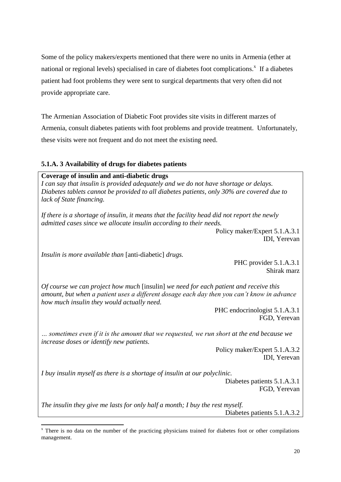Some of the policy makers/experts mentioned that there were no units in Armenia (ether at national or regional levels) specialised in care of diabetes foot complications.<sup>x</sup> If a diabetes patient had foot problems they were sent to surgical departments that very often did not provide appropriate care.

The Armenian Association of Diabetic Foot provides site visits in different marzes of Armenia, consult diabetes patients with foot problems and provide treatment. Unfortunately, these visits were not frequent and do not meet the existing need.

# **5.1.A. 3 Availability of drugs for diabetes patients**

**Coverage of insulin and anti-diabetic drugs**

*I can say that insulin is provided adequately and we do not have shortage or delays. Diabetes tablets cannot be provided to all diabetes patients, only 30% are covered due to lack of State financing.*

*If there is a shortage of insulin, it means that the facility head did not report the newly admitted cases since we allocate insulin according to their needs.*

> Policy maker/Expert 5.1.A.3.1 IDI, Yerevan

*Insulin is more available than* [anti-diabetic] *drugs.*

PHC provider 5.1.A.3.1 Shirak marz

*Of course we can project how much* [insulin] *we need for each patient and receive this amount, but when a patient uses a different dosage each day then you can't know in advance how much insulin they would actually need.*

> PHC endocrinologist 5.1.A.3.1 FGD, Yerevan

*… sometimes even if it is the amount that we requested, we run short at the end because we increase doses or identify new patients.*

> Policy maker/Expert 5.1.A.3.2 IDI, Yerevan

*I buy insulin myself as there is a shortage of insulin at our polyclinic.* 

Diabetes patients 5.1.A.3.1 FGD, Yerevan

*The insulin they give me lasts for only half a month; I buy the rest myself.* Diabetes patients 5.1.A.3.2

**<sup>-</sup>**<sup>x</sup> There is no data on the number of the practicing physicians trained for diabetes foot or other compilations management.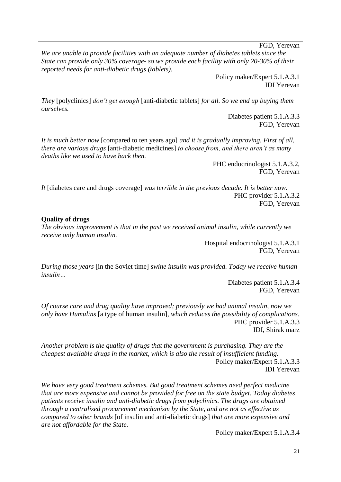FGD, Yerevan

*We are unable to provide facilities with an adequate number of diabetes tablets since the State can provide only 30% coverage- so we provide each facility with only 20-30% of their reported needs for anti-diabetic drugs (tablets).*

> Policy maker/Expert 5.1.A.3.1 IDI Yerevan

*They* [polyclinics] *don't get enough* [anti-diabetic tablets] *for all. So we end up buying them ourselves.*

> Diabetes patient 5.1.A.3.3 FGD, Yerevan

*It is much better now* [compared to ten years ago] *and it is gradually improving. First of all, there are various drugs* [anti-diabetic medicines] *to choose from, and there aren't as many deaths like we used to have back then.*

> PHC endocrinologist 5.1.A.3.2, FGD, Yerevan

*It* [diabetes care and drugs coverage] *was terrible in the previous decade. It is better now.* PHC provider 5.1.A.3.2 FGD, Yerevan

\_\_\_\_\_\_\_\_\_\_\_\_\_\_\_\_\_\_\_\_\_\_\_\_\_\_\_\_\_\_\_\_\_\_\_\_\_\_\_\_\_\_\_\_\_\_\_\_\_\_\_\_\_\_\_\_\_\_\_\_\_\_\_\_\_\_\_\_\_\_\_\_\_\_

# **Quality of drugs**

*The obvious improvement is that in the past we received animal insulin, while currently we receive only human insulin.*

Hospital endocrinologist 5.1.A.3.1 FGD, Yerevan

*During those years* [in the Soviet time] *swine insulin was provided. Today we receive human insulin…*

> Diabetes patient 5.1.A.3.4 FGD, Yerevan

*Of course care and drug quality have improved; previously we had animal insulin, now we only have Humulins* [a type of human insulin], *which reduces the possibility of complications.*  PHC provider 5.1.A.3.3 IDI, Shirak marz

*Another problem is the quality of drugs that the government is purchasing. They are the cheapest available drugs in the market, which is also the result of insufficient funding.* Policy maker/Expert 5.1.A.3.3 IDI Yerevan

*We have very good treatment schemes. But good treatment schemes need perfect medicine that are more expensive and cannot be provided for free on the state budget. Today diabetes patients receive insulin and anti-diabetic drugs from polyclinics. The drugs are obtained through a centralized procurement mechanism by the State, and are not as effective as compared to other brands* [of insulin and anti-diabetic drugs] *that are more expensive and are not affordable for the State.* 

Policy maker/Expert 5.1.A.3.4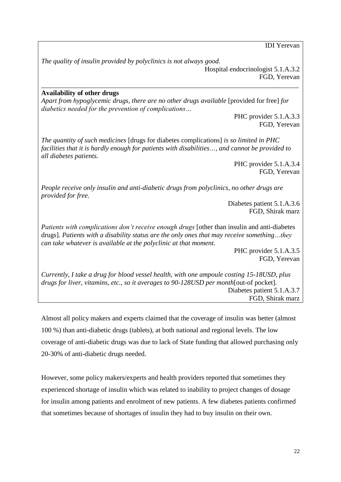IDI Yerevan

*The quality of insulin provided by polyclinics is not always good.*

Hospital endocrinologist 5.1.A.3.2 FGD, Yerevan \_\_\_\_\_\_\_\_\_\_\_\_\_\_\_\_\_\_\_\_\_\_\_\_\_\_\_\_\_\_\_\_\_\_\_\_\_\_\_\_\_\_\_\_\_\_\_\_\_\_\_\_\_\_\_\_\_\_\_\_\_\_\_\_\_\_\_\_\_\_\_\_\_\_\_

# **Availability of other drugs**

*Apart from hypoglycemic drugs, there are no other drugs available* [provided for free] *for diabetics needed for the prevention of complications…*

> PHC provider 5.1.A.3.3 FGD, Yerevan

*The quantity of such medicines* [drugs for diabetes complications] *is so limited in PHC facilities that it is hardly enough for patients with disabilities…, and cannot be provided to all diabetes patients.* 

> PHC provider 5.1.A.3.4 FGD, Yerevan

*People receive only insulin and anti-diabetic drugs from polyclinics, no other drugs are provided for free.* 

Diabetes patient 5.1.A.3.6 FGD, Shirak marz

*Patients with complications don't receive enough drugs* [other than insulin and anti-diabetes drugs]*. Patients with a disability status are the only ones that may receive something…they can take whatever is available at the polyclinic at that moment.* 

> PHC provider 5.1.A.3.5 FGD, Yerevan

*Currently, I take a drug for blood vessel health, with one ampoule costing 15-18USD, plus drugs for liver, vitamins, etc., so it averages to 90-128USD per month*[out-of pocket]*.* Diabetes patient 5.1.A.3.7 FGD, Shirak marz

Almost all policy makers and experts claimed that the coverage of insulin was better (almost 100 %) than anti-diabetic drugs (tablets), at both national and regional levels. The low coverage of anti-diabetic drugs was due to lack of State funding that allowed purchasing only 20-30% of anti-diabetic drugs needed.

However, some policy makers/experts and health providers reported that sometimes they experienced shortage of insulin which was related to inability to project changes of dosage for insulin among patients and enrolment of new patients. A few diabetes patients confirmed that sometimes because of shortages of insulin they had to buy insulin on their own.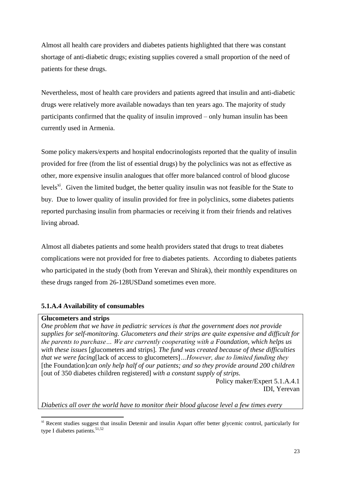Almost all health care providers and diabetes patients highlighted that there was constant shortage of anti-diabetic drugs; existing supplies covered a small proportion of the need of patients for these drugs.

Nevertheless, most of health care providers and patients agreed that insulin and anti-diabetic drugs were relatively more available nowadays than ten years ago. The majority of study participants confirmed that the quality of insulin improved – only human insulin has been currently used in Armenia.

Some policy makers/experts and hospital endocrinologists reported that the quality of insulin provided for free (from the list of essential drugs) by the polyclinics was not as effective as other, more expensive insulin analogues that offer more balanced control of blood glucose levels $x_i$ . Given the limited budget, the better quality insulin was not feasible for the State to buy. Due to lower quality of insulin provided for free in polyclinics, some diabetes patients reported purchasing insulin from pharmacies or receiving it from their friends and relatives living abroad.

Almost all diabetes patients and some health providers stated that drugs to treat diabetes complications were not provided for free to diabetes patients. According to diabetes patients who participated in the study (both from Yerevan and Shirak), their monthly expenditures on these drugs ranged from 26-128USDand sometimes even more.

# **5.1.A.4 Availability of consumables**

#### **Glucometers and strips**

**.** 

*One problem that we have in pediatric services is that the government does not provide supplies for self-monitoring. Glucometers and their strips are quite expensive and difficult for the parents to purchase… We are currently cooperating with a Foundation, which helps us with these issues* [glucometers and strips]*. The fund was created because of these difficulties that we were facing*[lack of access to glucometers]*…However, due to limited funding they*  [the Foundation]*can only help half of our patients; and so they provide around 200 children*  [out of 350 diabetes children registered] *with a constant supply of strips.* 

> Policy maker/Expert 5.1.A.4.1 IDI, Yerevan

*Diabetics all over the world have to monitor their blood glucose level a few times every* 

<sup>&</sup>lt;sup>xi</sup> Recent studies suggest that insulin Detemir and insulin Aspart offer better glycemic control, particularly for type I diabetes patients.<sup>51,52</sup>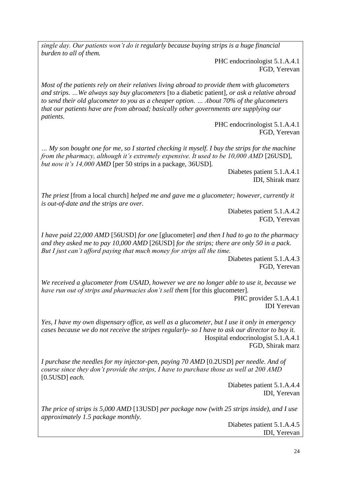*single day. Our patients won't do it regularly because buying strips is a huge financial burden to all of them.* 

> PHC endocrinologist 5.1.A.4.1 FGD, Yerevan

*Most of the patients rely on their relatives living abroad to provide them with glucometers and strips. …We always say buy glucometers* [to a diabetic patient], *or ask a relative abroad to send their old glucometer to you as a cheaper option. … About 70% of the glucometers that our patients have are from abroad; basically other governments are supplying our patients.*

> PHC endocrinologist 5.1.A.4.1 FGD, Yerevan

*… My son bought one for me, so I started checking it myself. I buy the strips for the machine from the pharmacy, although it's extremely expensive. It used to be 10,000 AMD* [26USD]*, but now it's 14,000 AMD* [per 50 strips in a package, 36USD]*.*

> Diabetes patient 5.1.A.4.1 IDI, Shirak marz

*The priest* [from a local church] *helped me and gave me a glucometer; however, currently it is out-of-date and the strips are over.* 

> Diabetes patient 5.1.A.4.2 FGD, Yerevan

*I have paid 22,000 AMD* [56USD] *for one* [glucometer] *and then I had to go to the pharmacy and they asked me to pay 10,000 AMD* [26USD] *for the strips; there are only 50 in a pack. But I just can't afford paying that much money for strips all the time.*

Diabetes patient 5.1.A.4.3 FGD, Yerevan

*We received a glucometer from USAID, however we are no longer able to use it, because we have run out of strips and pharmacies don't sell them* [for this glucometer]*.*

PHC provider 5.1.A.4.1 IDI Yerevan

*Yes, I have my own dispensary office, as well as a glucometer, but I use it only in emergency cases because we do not receive the stripes regularly- so I have to ask our director to buy it.* Hospital endocrinologist 5.1.A.4.1 FGD, Shirak marz

*I purchase the needles for my injector-pen, paying 70 AMD* [0.2USD] *per needle. And of course since they don't provide the strips, I have to purchase those as well at 200 AMD*  [0.5USD] *each.* 

Diabetes patient 5.1.A.4.4 IDI, Yerevan

*The price of strips is 5,000 AMD* [13USD] *per package now (with 25 strips inside), and I use approximately 1.5 package monthly.*

> Diabetes patient 5.1.A.4.5 IDI, Yerevan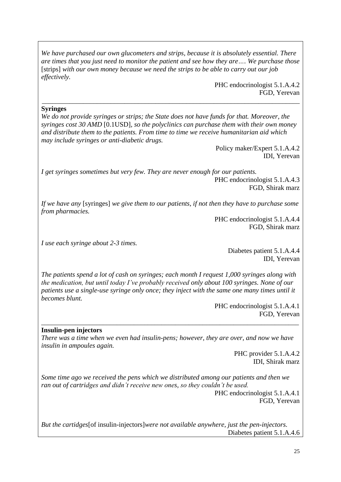*We have purchased our own glucometers and strips, because it is absolutely essential. There are times that you just need to monitor the patient and see how they are…. We purchase those* [strips] *with our own money because we need the strips to be able to carry out our job effectively.*

> PHC endocrinologist 5.1.A.4.2 FGD, Yerevan

#### **Syringes**

*We do not provide syringes or strips; the State does not have funds for that. Moreover, the syringes cost 30 AMD* [0.1USD]*, so the polyclinics can purchase them with their own money and distribute them to the patients. From time to time we receive humanitarian aid which may include syringes or anti-diabetic drugs.* 

\_\_\_\_\_\_\_\_\_\_\_\_\_\_\_\_\_\_\_\_\_\_\_\_\_\_\_\_\_\_\_\_\_\_\_\_\_\_\_\_\_\_\_\_\_\_\_\_\_\_\_\_\_\_\_\_\_\_\_\_\_\_\_\_\_\_\_\_\_\_\_\_\_\_\_

Policy maker/Expert 5.1.A.4.2 IDI, Yerevan

*I get syringes sometimes but very few. They are never enough for our patients.*  PHC endocrinologist 5.1.A.4.3 FGD, Shirak marz

*If we have any* [syringes] *we give them to our patients, if not then they have to purchase some from pharmacies.*

> PHC endocrinologist 5.1.A.4.4 FGD, Shirak marz

*I use each syringe about 2-3 times.*

Diabetes patient 5.1.A.4.4 IDI, Yerevan

*The patients spend a lot of cash on syringes; each month I request 1,000 syringes along with the medication, but until today I've probably received only about 100 syringes. None of our patients use a single-use syringe only once; they inject with the same one many times until it becomes blunt.*

> PHC endocrinologist 5.1.A.4.1 FGD, Yerevan

#### **Insulin-pen injectors**

*There was a time when we even had insulin-pens; however, they are over, and now we have insulin in ampoules again.*

\_\_\_\_\_\_\_\_\_\_\_\_\_\_\_\_\_\_\_\_\_\_\_\_\_\_\_\_\_\_\_\_\_\_\_\_\_\_\_\_\_\_\_\_\_\_\_\_\_\_\_\_\_\_\_\_\_\_\_\_\_\_\_\_\_\_\_\_\_\_\_\_\_\_\_

PHC provider 5.1.A.4.2 IDI, Shirak marz

*Some time ago we received the pens which we distributed among our patients and then we ran out of cartridges and didn't receive new ones, so they couldn't be used.* 

PHC endocrinologist 5.1.A.4.1 FGD, Yerevan

*But the cartidges*[of insulin-injectors]*were not available anywhere, just the pen-injectors.* Diabetes patient 5.1.A.4.6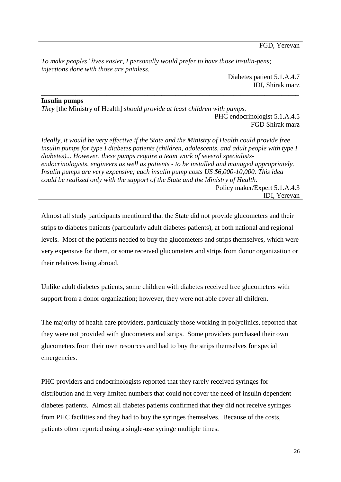FGD, Yerevan

*To make peoples' lives easier, I personally would prefer to have those insulin-pens; injections done with those are painless.*

> Diabetes patient 5.1.A.4.7 IDI, Shirak marz

#### **Insulin pumps**

*They* [the Ministry of Health] *should provide at least children with pumps.* PHC endocrinologist 5.1.A.4.5 FGD Shirak marz

\_\_\_\_\_\_\_\_\_\_\_\_\_\_\_\_\_\_\_\_\_\_\_\_\_\_\_\_\_\_\_\_\_\_\_\_\_\_\_\_\_\_\_\_\_\_\_\_\_\_\_\_\_\_\_\_\_\_\_\_\_\_\_\_\_\_\_\_\_\_\_\_\_\_\_

*Ideally, it would be very effective if the State and the Ministry of Health could provide free insulin pumps for type I diabetes patients (children, adolescents, and adult people with type I diabetes)... However, these pumps require a team work of several specialistsendocrinologists, engineers as well as patients - to be installed and managed appropriately. Insulin pumps are very expensive; each insulin pump costs US \$6,000-10,000. This idea could be realized only with the support of the State and the Ministry of Health.*  Policy maker/Expert 5.1.A.4.3 IDI, Yerevan

Almost all study participants mentioned that the State did not provide glucometers and their strips to diabetes patients (particularly adult diabetes patients), at both national and regional levels. Most of the patients needed to buy the glucometers and strips themselves, which were very expensive for them, or some received glucometers and strips from donor organization or their relatives living abroad.

Unlike adult diabetes patients, some children with diabetes received free glucometers with support from a donor organization; however, they were not able cover all children.

The majority of health care providers, particularly those working in polyclinics, reported that they were not provided with glucometers and strips. Some providers purchased their own glucometers from their own resources and had to buy the strips themselves for special emergencies.

PHC providers and endocrinologists reported that they rarely received syringes for distribution and in very limited numbers that could not cover the need of insulin dependent diabetes patients. Almost all diabetes patients confirmed that they did not receive syringes from PHC facilities and they had to buy the syringes themselves. Because of the costs, patients often reported using a single-use syringe multiple times.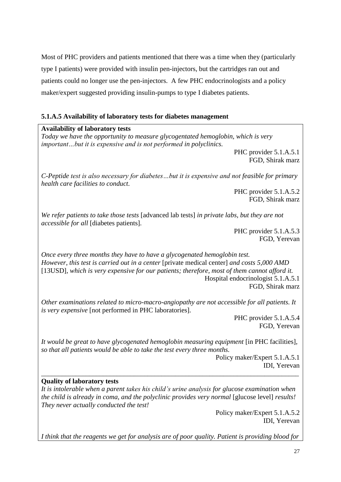Most of PHC providers and patients mentioned that there was a time when they (particularly type I patients) were provided with insulin pen-injectors, but the cartridges ran out and patients could no longer use the pen-injectors. A few PHC endocrinologists and a policy maker/expert suggested providing insulin-pumps to type I diabetes patients.

# **5.1.A.5 Availability of laboratory tests for diabetes management**

| <b>Availability of laboratory tests</b>                                                                                                                               |  |
|-----------------------------------------------------------------------------------------------------------------------------------------------------------------------|--|
| Today we have the opportunity to measure glycogentated hemoglobin, which is very                                                                                      |  |
| importantbut it is expensive and is not performed in polyclinics.                                                                                                     |  |
| PHC provider 5.1.A.5.1                                                                                                                                                |  |
| FGD, Shirak marz                                                                                                                                                      |  |
| C-Peptide test is also necessary for diabetesbut it is expensive and not feasible for primary<br>health care facilities to conduct.                                   |  |
| PHC provider 5.1.A.5.2                                                                                                                                                |  |
| FGD, Shirak marz                                                                                                                                                      |  |
| We refer patients to take those tests [advanced lab tests] in private labs, but they are not<br><i>accessible for all</i> [diabetes patients].                        |  |
| PHC provider 5.1.A.5.3                                                                                                                                                |  |
| FGD, Yerevan                                                                                                                                                          |  |
| Once every three months they have to have a glycogenated hemoglobin test.                                                                                             |  |
| However, this test is carried out in a center [private medical center] and costs 5,000 AMD                                                                            |  |
| [13USD], which is very expensive for our patients; therefore, most of them cannot afford it.                                                                          |  |
| Hospital endocrinologist 5.1.A.5.1                                                                                                                                    |  |
| FGD, Shirak marz                                                                                                                                                      |  |
| Other examinations related to micro-macro-angiopathy are not accessible for all patients. It<br>is very expensive [not performed in PHC laboratories].                |  |
| PHC provider 5.1.A.5.4                                                                                                                                                |  |
| FGD, Yerevan                                                                                                                                                          |  |
| It would be great to have glycogenated hemoglobin measuring equipment [in PHC facilities],<br>so that all patients would be able to take the test every three months. |  |
| Policy maker/Expert 5.1.A.5.1                                                                                                                                         |  |

IDI, Yerevan

### \_\_\_\_\_\_\_\_\_\_\_\_\_\_\_\_\_\_\_\_\_\_\_\_\_\_\_\_\_\_\_\_\_\_\_\_\_\_\_\_\_\_\_\_\_\_\_\_\_\_\_\_\_\_\_\_\_\_\_\_\_\_\_\_\_\_\_\_\_\_\_\_\_\_\_ **Quality of laboratory tests**

*It is intolerable when a parent takes his child's urine analysis for glucose examination when the child is already in coma, and the polyclinic provides very normal* [glucose level] *results! They never actually conducted the test!*

Policy maker/Expert 5.1.A.5.2 IDI, Yerevan

*I think that the reagents we get for analysis are of poor quality. Patient is providing blood for*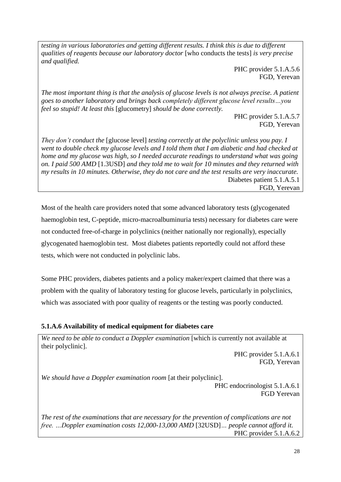*testing in various laboratories and getting different results. I think this is due to different qualities of reagents because our laboratory doctor* [who conducts the tests] *is very precise and qualified.* 

> PHC provider 5.1.A.5.6 FGD, Yerevan

*The most important thing is that the analysis of glucose levels is not always precise. A patient goes to another laboratory and brings back completely different glucose level results…you feel so stupid! At least this* [glucometry] *should be done correctly.* 

> PHC provider 5.1.A.5.7 FGD, Yerevan

*They don't conduct the* [glucose level] *testing correctly at the polyclinic unless you pay. I went to double check my glucose levels and I told them that I am diabetic and had checked at home and my glucose was high, so I needed accurate readings to understand what was going on. I paid 500 AMD* [1.3USD] *and they told me to wait for 10 minutes and they returned with my results in 10 minutes. Otherwise, they do not care and the test results are very inaccurate.* Diabetes patient 5.1.A.5.1 FGD, Yerevan

Most of the health care providers noted that some advanced laboratory tests (glycogenated haemoglobin test, C-peptide, micro-macroalbuminuria tests) necessary for diabetes care were not conducted free-of-charge in polyclinics (neither nationally nor regionally), especially glycogenated haemoglobin test. Most diabetes patients reportedly could not afford these tests, which were not conducted in polyclinic labs.

Some PHC providers, diabetes patients and a policy maker/expert claimed that there was a problem with the quality of laboratory testing for glucose levels, particularly in polyclinics, which was associated with poor quality of reagents or the testing was poorly conducted.

# **5.1.A.6 Availability of medical equipment for diabetes care**

*We need to be able to conduct a Doppler examination* [which is currently not available at their polyclinic].

PHC provider 5.1.A.6.1 FGD, Yerevan

*We should have a Doppler examination room* [at their polyclinic].

PHC endocrinologist 5.1.A.6.1 FGD Yerevan

*The rest of the examinations that are necessary for the prevention of complications are not free. …Doppler examination costs 12,000-13,000 AMD* [32USD]*… people cannot afford it.* PHC provider  $5.1.A.6.2$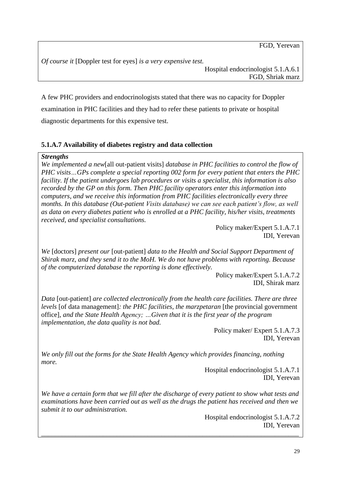FGD, Yerevan

*Of course it* [Doppler test for eyes] *is a very expensive test.* 

Hospital endocrinologist 5.1.A.6.1 FGD, Shriak marz

A few PHC providers and endocrinologists stated that there was no capacity for Doppler examination in PHC facilities and they had to refer these patients to private or hospital diagnostic departments for this expensive test.

# **5.1.A.7 Availability of diabetes registry and data collection**

# *Strengths*

*We implemented a new*[all out-patient visits] *database in PHC facilities to control the flow of PHC visits…GPs complete a special reporting 002 form for every patient that enters the PHC facility. If the patient undergoes lab procedures or visits a specialist, this information is also recorded by the GP on this form. Then PHC facility operators enter this information into computers, and we receive this information from PHC facilities electronically every three months. In this database (Out-patient Visits database) we can see each patient's flow, as well as data on every diabetes patient who is enrolled at a PHC facility, his/her visits, treatments received, and specialist consultations.*

> Policy maker/Expert 5.1.A.7.1 IDI, Yerevan

*We* [doctors] *present our* [out-patient] *data to the Health and Social Support Department of Shirak marz, and they send it to the MoH. We do not have problems with reporting. Because of the computerized database the reporting is done effectively.* 

> Policy maker/Expert 5.1.A.7.2 IDI, Shirak marz

*Data* [out-patient] *are collected electronically from the health care facilities. There are three levels* [of data management]*: the PHC facilities, the marzpetaran* [the provincial government office]*, and the State Health Agency; …Given that it is the first year of the program implementation, the data quality is not bad.* 

Policy maker/ Expert 5.1.A.7.3 IDI, Yerevan

*We only fill out the forms for the State Health Agency which provides financing, nothing more.*

Hospital endocrinologist 5.1.A.7.1 IDI, Yerevan

*We have a certain form that we fill after the discharge of every patient to show what tests and examinations have been carried out as well as the drugs the patient has received and then we submit it to our administration.*

\_\_\_\_\_\_\_\_\_\_\_\_\_\_\_\_\_\_\_\_\_\_\_\_\_\_\_\_\_\_\_\_\_\_\_\_\_\_\_\_\_\_\_\_\_\_\_\_\_\_\_\_\_\_\_\_\_\_\_\_\_\_\_\_\_\_\_\_\_\_\_\_\_\_\_

Hospital endocrinologist 5.1.A.7.2 IDI, Yerevan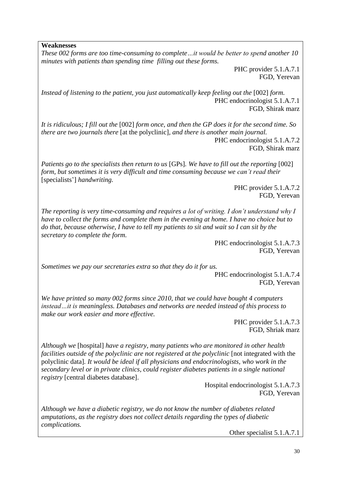#### **Weaknesses**

*These 002 forms are too time-consuming to complete…it would be better to spend another 10 minutes with patients than spending time filling out these forms.*

PHC provider 5.1.A.7.1 FGD, Yerevan

*Instead of listening to the patient, you just automatically keep feeling out the* [002] *form.* PHC endocrinologist 5.1.A.7.1 FGD, Shirak marz

*It is ridiculous; I fill out the* [002] *form once, and then the GP does it for the second time. So there are two journals there* [at the polyclinic]*, and there is another main journal.* 

PHC endocrinologist 5.1.A.7.2 FGD, Shirak marz

*Patients go to the specialists then return to us* [GPs]*. We have to fill out the reporting* [002] *form, but sometimes it is very difficult and time consuming because we can't read their* [specialists'] *handwriting.* 

> PHC provider 5.1.A.7.2 FGD, Yerevan

*The reporting is very time-consuming and requires a lot of writing. I don't understand why I have to collect the forms and complete them in the evening at home. I have no choice but to do that, because otherwise, I have to tell my patients to sit and wait so I can sit by the secretary to complete the form.* 

> PHC endocrinologist 5.1.A.7.3 FGD, Yerevan

*Sometimes we pay our secretaries extra so that they do it for us.*

PHC endocrinologist 5.1.A.7.4 FGD, Yerevan

*We have printed so many 002 forms since 2010, that we could have bought 4 computers instead…it is meaningless. Databases and networks are needed instead of this process to make our work easier and more effective.*

> PHC provider 5.1.A.7.3 FGD, Shriak marz

*Although we* [hospital] *have a registry, many patients who are monitored in other health facilities outside of the polyclinic are not registered at the polyclinic* [not integrated with the polyclinic data]*. It would be ideal if all physicians and endocrinologists, who work in the secondary level or in private clinics, could register diabetes patients in a single national registry* [central diabetes database].

> Hospital endocrinologist 5.1.A.7.3 FGD, Yerevan

*Although we have a diabetic registry, we do not know the number of diabetes related amputations, as the registry does not collect details regarding the types of diabetic complications.*

Other specialist 5.1.A.7.1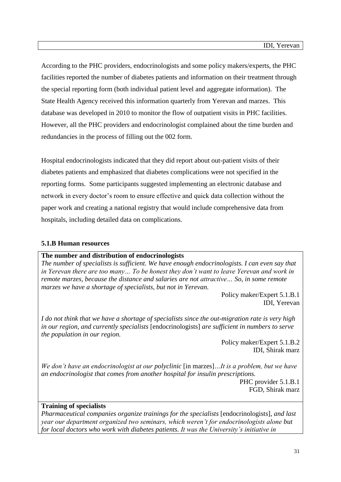According to the PHC providers, endocrinologists and some policy makers/experts, the PHC facilities reported the number of diabetes patients and information on their treatment through the special reporting form (both individual patient level and aggregate information). The State Health Agency received this information quarterly from Yerevan and marzes. This database was developed in 2010 to monitor the flow of outpatient visits in PHC facilities. However, all the PHC providers and endocrinologist complained about the time burden and redundancies in the process of filling out the 002 form.

Hospital endocrinologists indicated that they did report about out-patient visits of their diabetes patients and emphasized that diabetes complications were not specified in the reporting forms. Some participants suggested implementing an electronic database and network in every doctor's room to ensure effective and quick data collection without the paper work and creating a national registry that would include comprehensive data from hospitals, including detailed data on complications.

## **5.1.B Human resources**

#### **The number and distribution of endocrinologists**

*The number of specialists is sufficient. We have enough endocrinologists. I can even say that in Yerevan there are too many… To be honest they don't want to leave Yerevan and work in remote marzes, because the distance and salaries are not attractive… So, in some remote marzes we have a shortage of specialists, but not in Yerevan.* 

> Policy maker/Expert 5.1.B.1 IDI, Yerevan

*I do not think that we have a shortage of specialists since the out-migration rate is very high in our region, and currently specialists* [endocrinologists] *are sufficient in numbers to serve the population in our region.* 

> Policy maker/Expert 5.1.B.2 IDI, Shirak marz

*We don't have an endocrinologist at our polyclinic* [in marzes]*…It is a problem, but we have an endocrinologist that comes from another hospital for insulin prescriptions.* 

> PHC provider 5.1.B.1 FGD, Shirak marz

## **Training of specialists**

*Pharmaceutical companies organize trainings for the specialists* [endocrinologists], *and last year our department organized two seminars, which weren't for endocrinologists alone but for local doctors who work with diabetes patients. It was the University's initiative in*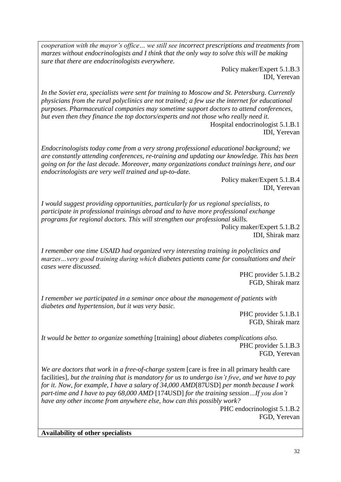*cooperation with the mayor's office… we still see incorrect prescriptions and treatments from marzes without endocrinologists and I think that the only way to solve this will be making sure that there are endocrinologists everywhere.* 

> Policy maker/Expert 5.1.B.3 IDI, Yerevan

*In the Soviet era, specialists were sent for training to Moscow and St. Petersburg. Currently physicians from the rural polyclinics are not trained; a few use the internet for educational purposes. Pharmaceutical companies may sometime support doctors to attend conferences, but even then they finance the top doctors/experts and not those who really need it.*

Hospital endocrinologist 5.1.B.1 IDI, Yerevan

*Endocrinologists today come from a very strong professional educational background; we are constantly attending conferences, re-training and updating our knowledge. This has been going on for the last decade. Moreover, many organizations conduct trainings here, and our endocrinologists are very well trained and up-to-date.* 

> Policy maker/Expert 5.1.B.4 IDI, Yerevan

*I would suggest providing opportunities, particularly for us regional specialists, to participate in professional trainings abroad and to have more professional exchange programs for regional doctors. This will strengthen our professional skills.* 

Policy maker/Expert 5.1.B.2 IDI, Shirak marz

*I remember one time USAID had organized very interesting training in polyclinics and marzes…very good training during which diabetes patients came for consultations and their cases were discussed.*

> PHC provider 5.1.B.2 FGD, Shirak marz

*I remember we participated in a seminar once about the management of patients with diabetes and hypertension, but it was very basic.* 

> PHC provider 5.1.B.1 FGD, Shirak marz

*It would be better to organize something* [training] *about diabetes complications also.* PHC provider 5.1.B.3 FGD, Yerevan

*We are doctors that work in a free-of-charge system* [care is free in all primary health care facilities]*, but the training that is mandatory for us to undergo isn't free, and we have to pay for it. Now, for example, I have a salary of 34,000 AMD*[87USD] *per month because I work part-time and I have to pay 68,000 AMD* [174USD] *for the training session…If you don't have any other income from anywhere else, how can this possibly work?*

PHC endocrinologist 5.1.B.2 FGD, Yerevan

**Availability of other specialists**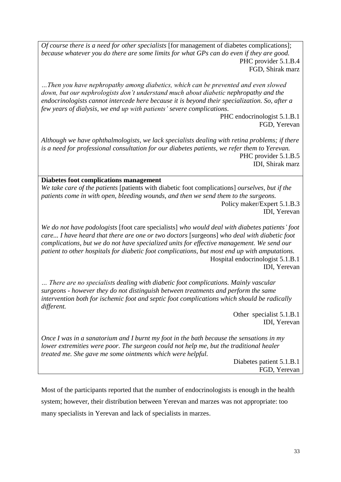*Of course there is a need for other specialists* [for management of diabetes complications]; *because whatever you do there are some limits for what GPs can do even if they are good.*  PHC provider 5.1.B.4 FGD, Shirak marz

*…Then you have nephropathy among diabetics, which can be prevented and even slowed down, but our nephrologists don't understand much about diabetic nephropathy and the endocrinologists cannot intercede here because it is beyond their specialization. So, after a few years of dialysis, we end up with patients' severe complications.* 

> PHC endocrinologist 5.1.B.1 FGD, Yerevan

*Although we have ophthalmologists, we lack specialists dealing with retina problems; if there is a need for professional consultation for our diabetes patients, we refer them to Yerevan.*  PHC provider 5.1.B.5 IDI, Shirak marz

**Diabetes foot complications management**

*We take care of the patients* [patients with diabetic foot complications] *ourselves, but if the patients come in with open, bleeding wounds, and then we send them to the surgeons.*  Policy maker/Expert 5.1.B.3

IDI, Yerevan

*We do not have podologists* [foot care specialists] *who would deal with diabetes patients' foot care... I have heard that there are one or two doctors* [surgeons] *who deal with diabetic foot complications, but we do not have specialized units for effective management. We send our patient to other hospitals for diabetic foot complications, but most end up with amputations.*  Hospital endocrinologist 5.1.B.1

IDI, Yerevan

*… There are no specialists dealing with diabetic foot complications. Mainly vascular surgeons - however they do not distinguish between treatments and perform the same intervention both for ischemic foot and septic foot complications which should be radically different.* 

> Other specialist 5.1.B.1 IDI, Yerevan

*Once I was in a sanatorium and I burnt my foot in the bath because the sensations in my lower extremities were poor. The surgeon could not help me, but the traditional healer treated me. She gave me some ointments which were helpful.*

Diabetes patient 5.1.B.1 FGD, Yerevan

Most of the participants reported that the number of endocrinologists is enough in the health system; however, their distribution between Yerevan and marzes was not appropriate: too many specialists in Yerevan and lack of specialists in marzes.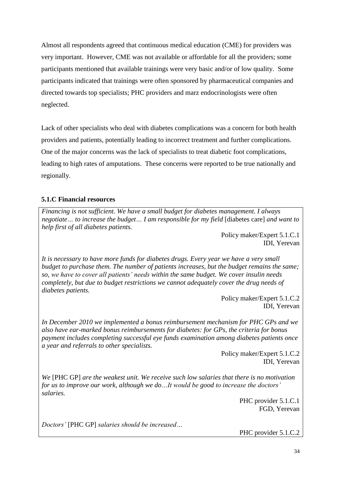Almost all respondents agreed that continuous medical education (CME) for providers was very important. However, CME was not available or affordable for all the providers; some participants mentioned that available trainings were very basic and/or of low quality. Some participants indicated that trainings were often sponsored by pharmaceutical companies and directed towards top specialists; PHC providers and marz endocrinologists were often neglected.

Lack of other specialists who deal with diabetes complications was a concern for both health providers and patients, potentially leading to incorrect treatment and further complications. One of the major concerns was the lack of specialists to treat diabetic foot complications, leading to high rates of amputations. These concerns were reported to be true nationally and regionally.

# **5.1.C Financial resources**

*Financing is not sufficient. We have a small budget for diabetes management. I always negotiate… to increase the budget… I am responsible for my field* [diabetes care] *and want to help first of all diabetes patients.* 

> Policy maker/Expert 5.1.C.1 IDI, Yerevan

*It is necessary to have more funds for diabetes drugs. Every year we have a very small budget to purchase them. The number of patients increases, but the budget remains the same; so, we have to cover all patients' needs within the same budget. We cover insulin needs completely, but due to budget restrictions we cannot adequately cover the drug needs of diabetes patients.*

> Policy maker/Expert 5.1.C.2 IDI, Yerevan

*In December 2010 we implemented a bonus reimbursement mechanism for PHC GPs and we also have ear-marked bonus reimbursements for diabetes: for GPs, the criteria for bonus payment includes completing successful eye funds examination among diabetes patients once a year and referrals to other specialists.* 

> Policy maker/Expert 5.1.C.2 IDI, Yerevan

*We* [PHC GP] *are the weakest unit. We receive such low salaries that there is no motivation for us to improve our work, although we do…It would be good to increase the doctors' salaries.*

> PHC provider 5.1.C.1 FGD, Yerevan

*Doctors'* [PHC GP] *salaries should be increased…*

PHC provider 5.1.C.2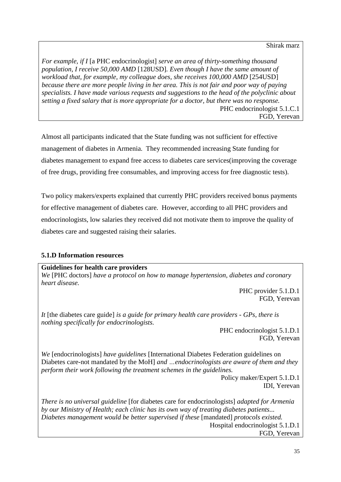Shirak marz

*For example, if I* [a PHC endocrinologist] *serve an area of thirty-something thousand population, I receive 50,000 AMD* [128USD]*. Even though I have the same amount of workload that, for example, my colleague does, she receives 100,000 AMD* [254USD] *because there are more people living in her area. This is not fair and poor way of paying specialists. I have made various requests and suggestions to the head of the polyclinic about setting a fixed salary that is more appropriate for a doctor, but there was no response.*  PHC endocrinologist 5.1.C.1 FGD, Yerevan

Almost all participants indicated that the State funding was not sufficient for effective management of diabetes in Armenia. They recommended increasing State funding for diabetes management to expand free access to diabetes care services(improving the coverage of free drugs, providing free consumables, and improving access for free diagnostic tests).

Two policy makers/experts explained that currently PHC providers received bonus payments for effective management of diabetes care. However, according to all PHC providers and endocrinologists, low salaries they received did not motivate them to improve the quality of diabetes care and suggested raising their salaries.

## **5.1.D Information resources**

## **Guidelines for health care providers**

*We* [PHC doctors] *have a protocol on how to manage hypertension, diabetes and coronary heart disease.*

PHC provider 5.1.D.1 FGD, Yerevan

*It* [the diabetes care guide] *is a guide for primary health care providers - GPs, there is nothing specifically for endocrinologists.*

PHC endocrinologist 5.1.D.1 FGD, Yerevan

*We* [endocrinologists] *have guidelines* [International Diabetes Federation guidelines on Diabetes care-not mandated by the MoH] *and …endocrinologists are aware of them and they perform their work following the treatment schemes in the guidelines.* 

Policy maker/Expert 5.1.D.1 IDI, Yerevan

*There is no universal guideline* [for diabetes care for endocrinologists] *adapted for Armenia by our Ministry of Health; each clinic has its own way of treating diabetes patients... Diabetes management would be better supervised if these* [mandated] *protocols existed.* Hospital endocrinologist 5.1.D.1 FGD, Yerevan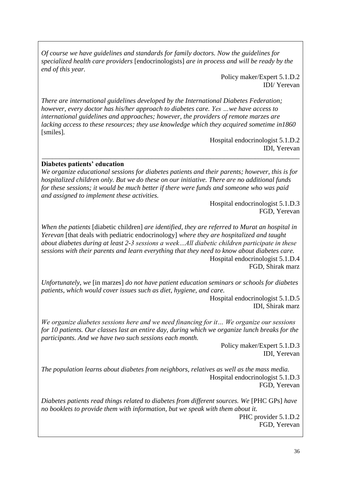*Of course we have guidelines and standards for family doctors. Now the guidelines for specialized health care providers* [endocrinologists] *are in process and will be ready by the end of this year.* 

> Policy maker/Expert 5.1.D.2 IDI/ Yerevan

*There are international guidelines developed by the International Diabetes Federation; however, every doctor has his/her approach to diabetes care. Yes …we have access to international guidelines and approaches; however, the providers of remote marzes are lacking access to these resources; they use knowledge which they acquired sometime in1860*  [smiles]*.* 

> Hospital endocrinologist 5.1.D.2 IDI, Yerevan

#### **Diabetes patients' education**

*We organize educational sessions for diabetes patients and their parents; however, this is for hospitalized children only. But we do these on our initiative. There are no additional funds for these sessions; it would be much better if there were funds and someone who was paid and assigned to implement these activities.*

\_\_\_\_\_\_\_\_\_\_\_\_\_\_\_\_\_\_\_\_\_\_\_\_\_\_\_\_\_\_\_\_\_\_\_\_\_\_\_\_\_\_\_\_\_\_\_\_\_\_\_\_\_\_\_\_\_\_\_\_\_\_\_\_\_\_\_\_\_\_\_\_\_\_\_

Hospital endocrinologist 5.1.D.3 FGD, Yerevan

*When the patients* [diabetic children] *are identified, they are referred to Murat an hospital in Yerevan* [that deals with pediatric endocrinology] *where they are hospitalized and taught about diabetes during at least 2-3 sessions a week…All diabetic children participate in these sessions with their parents and learn everything that they need to know about diabetes care.* Hospital endocrinologist 5.1.D.4

FGD, Shirak marz

*Unfortunately, we* [in marzes] *do not have patient education seminars or schools for diabetes patients, which would cover issues such as diet, hygiene, and care.*

> Hospital endocrinologist 5.1.D.5 IDI, Shirak marz

*We organize diabetes sessions here and we need financing for it… We organize our sessions for 10 patients. Our classes last an entire day, during which we organize lunch breaks for the participants. And we have two such sessions each month.* 

> Policy maker/Expert 5.1.D.3 IDI, Yerevan

*The population learns about diabetes from neighbors, relatives as well as the mass media.*  Hospital endocrinologist 5.1.D.3 FGD, Yerevan

*Diabetes patients read things related to diabetes from different sources. We* [PHC GPs] *have no booklets to provide them with information, but we speak with them about it.* PHC provider 5.1.D.2 FGD, Yerevan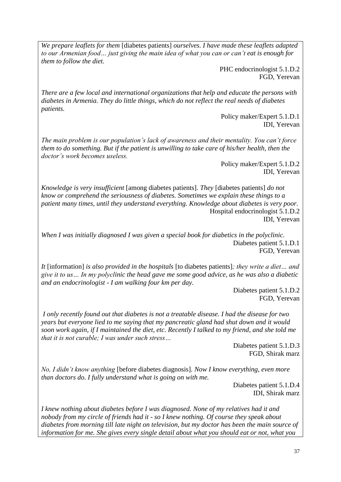*We prepare leaflets for them* [diabetes patients] *ourselves. I have made these leaflets adapted to our Armenian food… just giving the main idea of what you can or can't eat is enough for them to follow the diet.*

> PHC endocrinologist 5.1.D.2 FGD, Yerevan

*There are a few local and international organizations that help and educate the persons with diabetes in Armenia. They do little things, which do not reflect the real needs of diabetes patients.* 

> Policy maker/Expert 5.1.D.1 IDI, Yerevan

*The main problem is our population's lack of awareness and their mentality. You can't force them to do something. But if the patient is unwilling to take care of his/her health, then the doctor's work becomes useless.* 

> Policy maker/Expert 5.1.D.2 IDI, Yerevan

*Knowledge is very insufficient* [among diabetes patients]*. They* [diabetes patients] *do not know or comprehend the seriousness of diabetes. Sometimes we explain these things to a patient many times, until they understand everything. Knowledge about diabetes is very poor.*  Hospital endocrinologist 5.1.D.2 IDI, Yerevan

*When I was initially diagnosed I was given a special book for diabetics in the polyclinic.*  Diabetes patient 5.1.D.1 FGD, Yerevan

*It* [information] *is also provided in the hospitals* [to diabetes patients]*; they write a diet… and give it to us… In my polyclinic the head gave me some good advice, as he was also a diabetic and an endocrinologist - I am walking four km per day.* 

> Diabetes patient 5.1.D.2 FGD, Yerevan

*I only recently found out that diabetes is not a treatable disease. I had the disease for two years but everyone lied to me saying that my pancreatic gland had shut down and it would soon work again, if I maintained the diet, etc. Recently I talked to my friend, and she told me that it is not curable; I was under such stress…*

> Diabetes patient 5.1.D.3 FGD, Shirak marz

*No, I didn't know anything* [before diabetes diagnosis]*. Now I know everything, even more than doctors do. I fully understand what is going on with me.*

> Diabetes patient 5.1.D.4 IDI, Shirak marz

*I knew nothing about diabetes before I was diagnosed. None of my relatives had it and nobody from my circle of friends had it - so I knew nothing. Of course they speak about diabetes from morning till late night on television, but my doctor has been the main source of information for me. She gives every single detail about what you should eat or not, what you*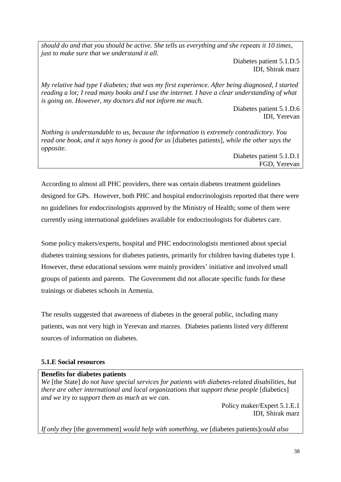*should do and that you should be active. She tells us everything and she repeats it 10 times, just to make sure that we understand it all.* 

> Diabetes patient 5.1.D.5 IDI, Shirak marz

*My relative had type I diabetes; that was my first experience. After being diagnosed, I started reading a lot; I read many books and I use the internet. I have a clear understanding of what is going on. However, my doctors did not inform me much.*

> Diabetes patient 5.1.D.6 IDI, Yerevan

*Nothing is understandable to us, because the information is extremely contradictory. You read one book, and it says honey is good for us* [diabetes patients]*, while the other says the opposite.*

Diabetes patient 5.1.D.1 FGD, Yerevan

According to almost all PHC providers, there was certain diabetes treatment guidelines designed for GPs. However, both PHC and hospital endocrinologists reported that there were no guidelines for endocrinologists approved by the Ministry of Health; some of them were currently using international guidelines available for endocrinologists for diabetes care.

Some policy makers/experts, hospital and PHC endocrinologists mentioned about special diabetes training sessions for diabetes patients, primarily for children having diabetes type I. However, these educational sessions were mainly providers' initiative and involved small groups of patients and parents. The Government did not allocate specific funds for these trainings or diabetes schools in Armenia.

The results suggested that awareness of diabetes in the general public, including many patients, was not very high in Yerevan and marzes. Diabetes patients listed very different sources of information on diabetes.

## **5.1.E Social resources**

## **Benefits for diabetes patients**

*We* [the State] *do not have special services for patients with diabetes-related disabilities, but there are other international and local organizations that support these people* [diabetics] *and we try to support them as much as we can.* 

Policy maker/Expert 5.1.E.1 IDI, Shirak marz

*If only they* [the government] *would help with something, we* [diabetes patients]*could also*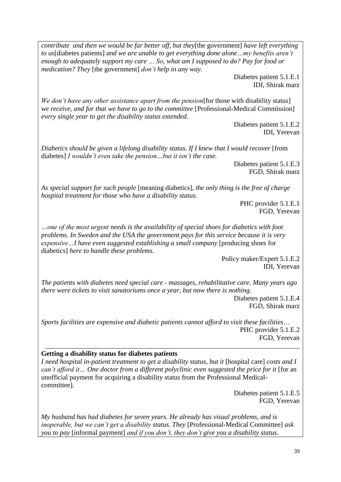*contribute and then we would be far better off, but they*[the government] *have left everything to us*[diabetes patients] *and we are unable to get everything done alone…my benefits aren't enough to adequately support my care … So, what am I supposed to do? Pay for food or medication? They* [the government] *don't help in any way.*

> Diabetes patient 5.1.E.1 IDI, Shirak marz

*We don't have any other assistance apart from the pension* [for those with disability status] *we receive, and for that we have to go to the committee* [Professional-Medical Commission] *every single year to get the disability status extended.*

Diabetes patient 5.1.E.2 IDI, Yerevan

*Diabetics should be given a lifelong disability status. If I knew that I would recover* [from diabetes] *I wouldn't even take the pension…but it isn't the case.*

> Diabetes patient 5.1.E.3 FGD, Shirak marz

*As special support for such people* [meaning diabetics], *the only thing is the free of charge hospital treatment for those who have a disability status.* 

> PHC provider 5.1.E.1 FGD, Yerevan

*…one of the most urgent needs is the availability of special shoes for diabetics with foot problems. In Sweden and the USA the government pays for this service because it is very expensive…I have even suggested establishing a small company* [producing shoes for diabetics] *here to handle these problems.*

> Policy maker/Expert 5.1.E.2 IDI, Yerevan

*The patients with diabetes need special care - massages, rehabilitative care. Many years ago there were tickets to visit sanatoriums once a year, but now there is nothing*.

> Diabetes patient 5.1.E.4 FGD, Shirak marz

*Sports facilities are expensive and diabetic patients cannot afford to visit these facilities*… PHC provider 5.1.E.2 FGD, Yerevan

\_\_\_\_\_\_\_\_\_\_\_\_\_\_\_\_\_\_\_\_\_\_\_\_\_\_\_\_\_\_\_\_\_\_\_\_\_\_\_\_\_\_\_\_\_\_\_\_\_\_\_\_\_\_\_\_\_\_\_\_\_\_\_\_\_\_\_\_\_\_\_\_\_\_

## **Getting a disability status for diabetes patients**

*I need hospital in-patient treatment to get a disability status, but it* [hospital care] *costs and I can't afford it… One doctor from a different polyclinic even suggested the price for it* [for an unofficial payment for acquiring a disability status from the Professional Medicalcommittee]*.* 

> Diabetes patient 5.1.E.5 FGD, Yerevan

*My husband has had diabetes for seven years. He already has visual problems, and is inoperable, but we can't get a disability status. They* [Professional-Medical Committee] *ask you to pay* [informal payment] *and if you don't, they don't give you a disability status.*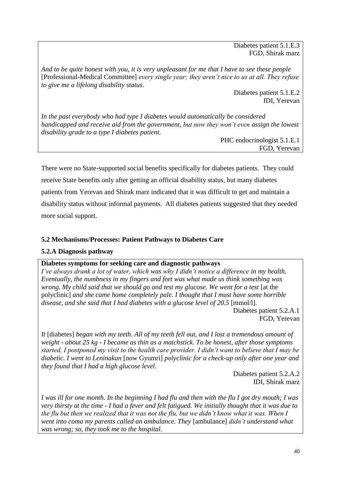Diabetes patient 5.1.E.3 FGD, Shirak marz

*And to be quite honest with you, it is very unpleasant for me that I have to see these people*  [Professional-Medical Committee] *every single year; they aren't nice to us at all. They refuse to give me a lifelong disability status.*

> Diabetes patient 5.1.E.2 IDI, Yerevan

*In the past everybody who had type I diabetes would automatically be considered handicapped and receive aid from the government, but now they won't even assign the lowest disability grade to a type I diabetes patient.* 

> PHC endocrinologist 5.1.E.1 FGD, Yerevan

There were no State-supported social benefits specifically for diabetes patients. They could receive State benefits only after getting an official disability status, but many diabetes patients from Yerevan and Shirak marz indicated that it was difficult to get and maintain a disability status without informal payments. All diabetes patients suggested that they needed more social support.

# **5.2 Mechanisms/Processes: Patient Pathways to Diabetes Care**

## **5.2.A Diagnosis pathway**

## **Diabetes symptoms for seeking care and diagnostic pathways**

*I've always drank a lot of water, which was why I didn't notice a difference in my health. Eventually, the numbness in my fingers and feet was what made us think something was wrong. My child said that we should go and test my glucose. We went for a test* [at the polyclinic] *and she came home completely pale. I thought that I must have some horrible disease, and she said that I had diabetes with a glucose level of 20.5* [mmol/l].

Diabetes patient 5.2.A.1 FGD, Yerevan

*It* [diabetes] *began with my teeth. All of my teeth fell out, and I lost a tremendous amount of weight - about 25 kg - I became as thin as a matchstick. To be honest, after those symptoms started, I postponed my visit to the health care provider. I didn't want to believe that I may be diabetic. I went to Leninakan* [now Gyumri] *polyclinic for a check-up only after one year and they found that I had a high glucose level.*

> Diabetes patient 5.2.A.2 IDI, Shirak marz

*I was ill for one month. In the beginning I had flu and then with the flu I got dry mouth; I was very thirsty at the time - I had a fever and felt fatigued. We initially thought that it was due to the flu but then we realized that it was not the flu, but we didn't know what it was. When I went into coma my parents called an ambulance. They* [ambulance] *didn't understand what was wrong; so, they took me to the hospital.*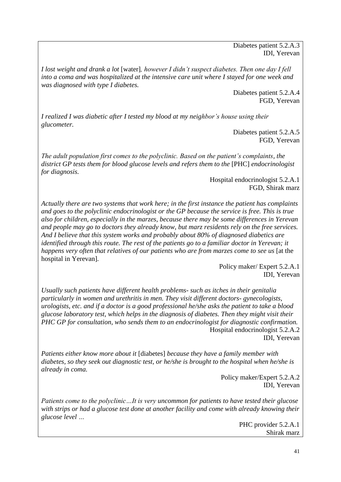Diabetes patient 5.2.A.3 IDI, Yerevan

*I lost weight and drank a lot* [water]*, however I didn't suspect diabetes. Then one day I fell into a coma and was hospitalized at the intensive care unit where I stayed for one week and was diagnosed with type I diabetes.*

> Diabetes patient 5.2.A.4 FGD, Yerevan

*I realized I was diabetic after I tested my blood at my neighbor's house using their glucometer.* 

> Diabetes patient 5.2.A.5 FGD, Yerevan

*The adult population first comes to the polyclinic. Based on the patient's complaints, the district GP tests them for blood glucose levels and refers them to the* [PHC] *endocrinologist for diagnosis.*

> Hospital endocrinologist 5.2.A.1 FGD, Shirak marz

*Actually there are two systems that work here; in the first instance the patient has complaints and goes to the polyclinic endocrinologist or the GP because the service is free. This is true also for children, especially in the marzes, because there may be some differences in Yerevan and people may go to doctors they already know, but marz residents rely on the free services. And I believe that this system works and probably about 80% of diagnosed diabetics are identified through this route. The rest of the patients go to a familiar doctor in Yerevan; it happens very often that relatives of our patients who are from marzes come to see us* [at the hospital in Yerevan]*.*

> Policy maker/ Expert 5.2.A.1 IDI, Yerevan

*Usually such patients have different health problems- such as itches in their genitalia particularly in women and urethritis in men. They visit different doctors- gynecologists, urologists, etc. and if a doctor is a good professional he/she asks the patient to take a blood glucose laboratory test, which helps in the diagnosis of diabetes. Then they might visit their PHC GP for consultation, who sends them to an endocrinologist for diagnostic confirmation.*  Hospital endocrinologist 5.2.A.2

IDI, Yerevan

*Patients either know more about it* [diabetes] *because they have a family member with diabetes, so they seek out diagnostic test, or he/she is brought to the hospital when he/she is already in coma.*

> Policy maker/Expert 5.2.A.2 IDI, Yerevan

*Patients come to the polyclinic…It is very uncommon for patients to have tested their glucose with strips or had a glucose test done at another facility and come with already knowing their glucose level …*

> PHC provider 5.2.A.1 Shirak marz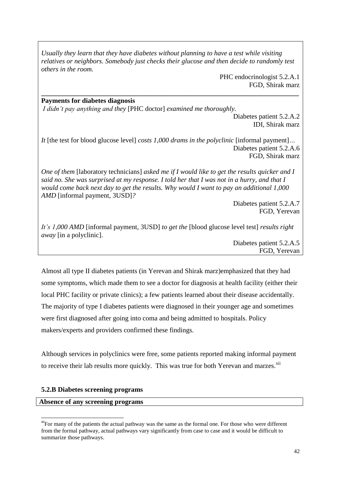*Usually they learn that they have diabetes without planning to have a test while visiting relatives or neighbors. Somebody just checks their glucose and then decide to randomly test others in the room.*

**\_\_\_\_\_\_\_\_\_\_\_\_\_\_\_\_\_\_\_\_\_\_\_\_\_\_\_\_\_\_\_\_\_\_\_\_\_\_\_\_\_\_\_\_\_\_\_\_\_\_\_\_\_\_\_\_\_\_\_\_\_\_\_\_\_\_\_\_\_\_\_\_\_\_\_**

PHC endocrinologist 5.2.A.1 FGD, Shirak marz

#### **Payments for diabetes diagnosis**

*I didn't pay anything and they* [PHC doctor] *examined me thoroughly.*

Diabetes patient 5.2.A.2 IDI, Shirak marz

*It* [the test for blood glucose level] *costs 1,000 drams in the polyclinic* [informal payment]... Diabetes patient 5.2.A.6 FGD, Shirak marz

*One of them* [laboratory technicians] *asked me if I would like to get the results quicker and I said no. She was surprised at my response. I told her that I was not in a hurry, and that I would come back next day to get the results. Why would I want to pay an additional 1,000 AMD* [informal payment, 3USD]*?*

> Diabetes patient 5.2.A.7 FGD, Yerevan

*It's 1,000 AMD* [informal payment, 3USD] *to get the* [blood glucose level test] *results right away* [in a polyclinic].

Diabetes patient 5.2.A.5 FGD, Yerevan

Almost all type II diabetes patients (in Yerevan and Shirak marz)emphasized that they had some symptoms, which made them to see a doctor for diagnosis at health facility (either their local PHC facility or private clinics); a few patients learned about their disease accidentally. The majority of type I diabetes patients were diagnosed in their younger age and sometimes were first diagnosed after going into coma and being admitted to hospitals. Policy makers/experts and providers confirmed these findings.

Although services in polyclinics were free, some patients reported making informal payment to receive their lab results more quickly. This was true for both Yerevan and marzes.<sup>xii</sup>

#### **5.2.B Diabetes screening programs**

#### **Absence of any screening programs**

1

<sup>&</sup>lt;sup>xii</sup>For many of the patients the actual pathway was the same as the formal one. For those who were different from the formal pathway, actual pathways vary significantly from case to case and it would be difficult to summarize those pathways.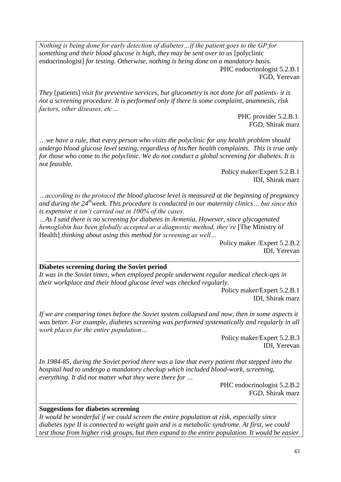*Nothing is being done for early detection of diabetes…if the patient goes to the GP for something and their blood glucose is high, they may be sent over to us* [polyclinic endocrinologist] *for testing. Otherwise, nothing is being done on a mandatory basis.*  PHC endocrinologist 5.2.B.1

FGD, Yerevan

*They* [patients] *visit for preventive services, but glucometry is not done for all patients- it is not a screening procedure. It is performed only if there is some complaint, anamnesis, risk factors, other diseases, etc…*

> PHC provider 5.2.B.1. FGD, Shirak marz

…*we have a rule, that every person who visits the polyclinic for any health problem should undergo blood glucose level testing, regardless of his/her health complaints. This is true only for those who come to the polyclinic. We do not conduct a global screening for diabetes. It is not feasible.*

> Policy maker/Expert 5.2.B.1 IDI, Shirak marz

*…according to the protocol the blood glucose level is measured at the beginning of pregnancy and during the 24thweek. This procedure is conducted in our maternity clinics… but since this is expensive it isn't carried out in 100% of the cases.* 

*…As I said there is no screening for diabetes in Armenia. However, since glycogenated hemoglobin has been globally accepted as a diagnostic method, they're* [The Ministry of Health] *thinking about using this method for screening as well…* 

> Policy maker /Expert 5.2.B.2 IDI, Yerevan

## **Diabetes screening during the Soviet period**

*It was in the Soviet times, when employed people underwent regular medical check-ups in their workplace and their blood glucose level was checked regularly.* 

\_\_\_\_\_\_\_\_\_\_\_\_\_\_\_\_\_\_\_\_\_\_\_\_\_\_\_\_\_\_\_\_\_\_\_\_\_\_\_\_\_\_\_\_\_\_\_\_\_\_\_\_\_\_\_\_\_\_\_\_\_\_\_\_\_\_\_\_\_\_\_\_\_\_

Policy maker/Expert 5.2.B.1 IDI, Shirak marz

*If we are comparing times before the Soviet system collapsed and now, then in some aspects it was better. For example, diabetes screening was performed systematically and regularly in all work places for the entire population…*

> Policy maker/Expert 5.2.B.3 IDI, Yerevan

*In 1984-85, during the Soviet period there was a law that every patient that stepped into the hospital had to undergo a mandatory checkup which included blood-work, screening, everything. It did not matter what they were there for …*

> PHC endocrinologist 5.2.B.2 FGD, Shirak marz

#### **Suggestions for diabetes screening**

*It would be wonderful if we could screen the entire population at risk, especially since diabetes type II is connected to weight gain and is a metabolic syndrome. At first, we could test those from higher risk groups, but then expand to the entire population. It would be easier* 

\_\_\_\_\_\_\_\_\_\_\_\_\_\_\_\_\_\_\_\_\_\_\_\_\_\_\_\_\_\_\_\_\_\_\_\_\_\_\_\_\_\_\_\_\_\_\_\_\_\_\_\_\_\_\_\_\_\_\_\_\_\_\_\_\_\_\_\_\_\_\_\_\_\_\_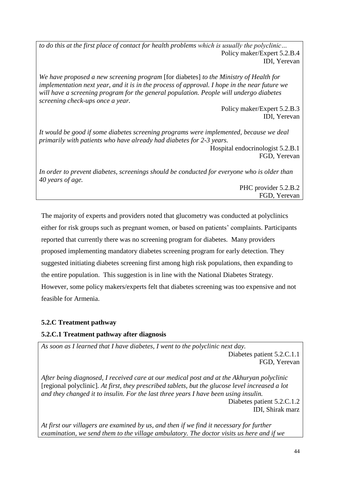*to do this at the first place of contact for health problems which is usually the polyclinic…* Policy maker/Expert 5.2.B.4 IDI, Yerevan

*We have proposed a new screening program* [for diabetes] *to the Ministry of Health for implementation next year, and it is in the process of approval. I hope in the near future we will have a screening program for the general population. People will undergo diabetes screening check-ups once a year.*

> Policy maker/Expert 5.2.B.3 IDI, Yerevan

*It would be good if some diabetes screening programs were implemented, because we deal primarily with patients who have already had diabetes for 2-3 years.*

> Hospital endocrinologist 5.2.B.1 FGD, Yerevan

*In order to prevent diabetes, screenings should be conducted for everyone who is older than 40 years of age.*

> PHC provider 5.2.B.2 FGD, Yerevan

The majority of experts and providers noted that glucometry was conducted at polyclinics either for risk groups such as pregnant women, or based on patients' complaints. Participants reported that currently there was no screening program for diabetes. Many providers proposed implementing mandatory diabetes screening program for early detection. They suggested initiating diabetes screening first among high risk populations, then expanding to the entire population. This suggestion is in line with the National Diabetes Strategy. However, some policy makers/experts felt that diabetes screening was too expensive and not feasible for Armenia.

# **5.2.C Treatment pathway**

## **5.2.C.1 Treatment pathway after diagnosis**

*As soon as I learned that I have diabetes, I went to the polyclinic next day.* 

Diabetes patient 5.2.C.1.1 FGD, Yerevan

*After being diagnosed, I received care at our medical post and at the Akhuryan polyclinic*  [regional polyclinic]*. At first, they prescribed tablets, but the glucose level increased a lot and they changed it to insulin. For the last three years I have been using insulin.* 

Diabetes patient 5.2.C.1.2 IDI, Shirak marz

*At first our villagers are examined by us, and then if we find it necessary for further examination, we send them to the village ambulatory. The doctor visits us here and if we*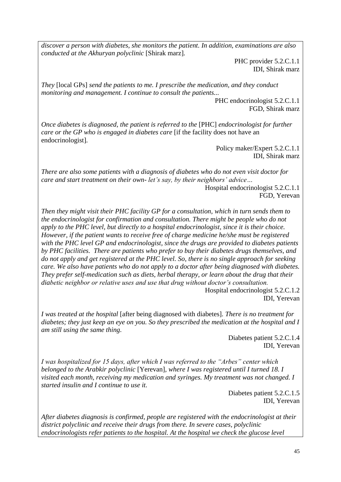*discover a person with diabetes, she monitors the patient. In addition, examinations are also conducted at the Akhuryan polyclinic* [Shirak marz]*.*

> PHC provider 5.2.C.1.1 IDI, Shirak marz

*They* [local GPs] *send the patients to me. I prescribe the medication, and they conduct monitoring and management. I continue to consult the patients...*

> PHC endocrinologist 5.2.C.1.1 FGD, Shirak marz

*Once diabetes is diagnosed, the patient is referred to the* [PHC] *endocrinologist for further care or the GP who is engaged in diabetes care* [if the facility does not have an endocrinologist]*.* 

Policy maker/Expert 5.2.C.1.1 IDI, Shirak marz

*There are also some patients with a diagnosis of diabetes who do not even visit doctor for care and start treatment on their own- let's say, by their neighbors' advice…*

Hospital endocrinologist 5.2.C.1.1 FGD, Yerevan

*Then they might visit their PHC facility GP for a consultation, which in turn sends them to the endocrinologist for confirmation and consultation. There might be people who do not apply to the PHC level, but directly to a hospital endocrinologist, since it is their choice. However, if the patient wants to receive free of charge medicine he/she must be registered with the PHC level GP and endocrinologist, since the drugs are provided to diabetes patients by PHC facilities. There are patients who prefer to buy their diabetes drugs themselves, and do not apply and get registered at the PHC level. So, there is no single approach for seeking care. We also have patients who do not apply to a doctor after being diagnosed with diabetes. They prefer self-medication such as diets, herbal therapy, or learn about the drug that their diabetic neighbor or relative uses and use that drug without doctor's consultation.* 

Hospital endocrinologist 5.2.C.1.2 IDI, Yerevan

*I was treated at the hospital* [after being diagnosed with diabetes]*. There is no treatment for diabetes; they just keep an eye on you. So they prescribed the medication at the hospital and I am still using the same thing.*

> Diabetes patient 5.2.C.1.4 IDI, Yerevan

*I was hospitalized for 15 days, after which I was referred to the "Arbes" center which belonged to the Arabkir polyclinic* [Yerevan]*, where I was registered until I turned 18. I visited each month, receiving my medication and syringes. My treatment was not changed. I started insulin and I continue to use it.* 

> Diabetes patient 5.2.C.1.5 IDI, Yerevan

*After diabetes diagnosis is confirmed, people are registered with the endocrinologist at their district polyclinic and receive their drugs from there. In severe cases, polyclinic endocrinologists refer patients to the hospital. At the hospital we check the glucose level*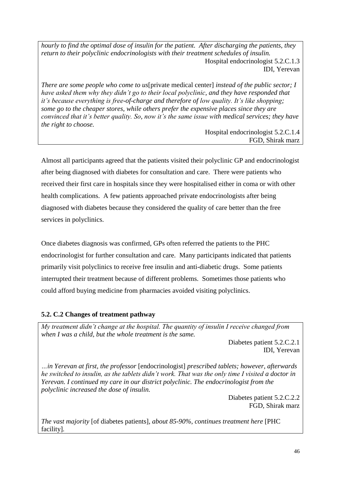*hourly to find the optimal dose of insulin for the patient. After discharging the patients, they return to their polyclinic endocrinologists with their treatment schedules of insulin.*  Hospital endocrinologist 5.2.C.1.3 IDI, Yerevan

*There are some people who come to us*[private medical center] *instead of the public sector; I have asked them why they didn't go to their local polyclinic, and they have responded that it's because everything is free-of-charge and therefore of low quality. It's like shopping; some go to the cheaper stores, while others prefer the expensive places since they are convinced that it's better quality. So, now it's the same issue with medical services; they have the right to choose.* 

Hospital endocrinologist 5.2.C.1.4 FGD, Shirak marz

Almost all participants agreed that the patients visited their polyclinic GP and endocrinologist after being diagnosed with diabetes for consultation and care. There were patients who received their first care in hospitals since they were hospitalised either in coma or with other health complications. A few patients approached private endocrinologists after being diagnosed with diabetes because they considered the quality of care better than the free services in polyclinics.

Once diabetes diagnosis was confirmed, GPs often referred the patients to the PHC endocrinologist for further consultation and care. Many participants indicated that patients primarily visit polyclinics to receive free insulin and anti-diabetic drugs. Some patients interrupted their treatment because of different problems. Sometimes those patients who could afford buying medicine from pharmacies avoided visiting polyclinics.

# **5.2. C.2 Changes of treatment pathway**

*My treatment didn't change at the hospital. The quantity of insulin I receive changed from when I was a child, but the whole treatment is the same.*

Diabetes patient 5.2.C.2.1 IDI, Yerevan

*…in Yerevan at first, the professor* [endocrinologist] *prescribed tablets; however, afterwards he switched to insulin, as the tablets didn't work. That was the only time I visited a doctor in Yerevan. I continued my care in our district polyclinic. The endocrinologist from the polyclinic increased the dose of insulin.* 

> Diabetes patient 5.2.C.2.2 FGD, Shirak marz

*The vast majority* [of diabetes patients]*, about 85-90%, continues treatment here* [PHC facility]*.*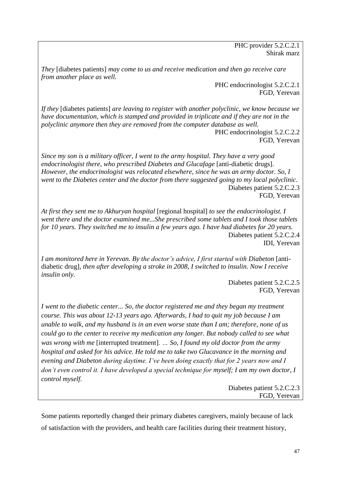PHC provider 5.2.C.2.1 Shirak marz

*They* [diabetes patients] *may come to us and receive medication and then go receive care from another place as well.*

> PHC endocrinologist 5.2.C.2.1 FGD, Yerevan

*If they* [diabetes patients] *are leaving to register with another polyclinic, we know because we have documentation, which is stamped and provided in triplicate and if they are not in the polyclinic anymore then they are removed from the computer database as well.*

PHC endocrinologist 5.2.C.2.2 FGD, Yerevan

*Since my son is a military officer, I went to the army hospital. They have a very good endocrinologist there, who prescribed Diabetes and Glucafage* [anti-diabetic drugs]. *However, the endocrinologist was relocated elsewhere, since he was an army doctor. So, I went to the Diabetes center and the doctor from there suggested going to my local polyclinic.* Diabetes patient 5.2.C.2.3 FGD, Yerevan

*At first they sent me to Akhuryan hospital* [regional hospital] *to see the endocrinologist. I went there and the doctor examined me...She prescribed some tablets and I took those tablets for 10 years. They switched me to insulin a few years ago. I have had diabetes for 20 years.*  Diabetes patient 5.2.C.2.4 IDI, Yerevan

*I am monitored here in Yerevan. By the doctor's advice, I first started with Diabeton [anti*diabetic drug]*, then after developing a stroke in 2008, I switched to insulin. Now I receive insulin only.*

> Diabetes patient 5.2.C.2.5 FGD, Yerevan

*I went to the diabetic center... So, the doctor registered me and they began my treatment course. This was about 12-13 years ago. Afterwards, I had to quit my job because I am unable to walk, and my husband is in an even worse state than I am; therefore, none of us could go to the center to receive my medication any longer. But nobody called to see what was wrong with me* [interrupted treatment]*. … So, I found my old doctor from the army hospital and asked for his advice. He told me to take two Glucavance in the morning and evening and Diabeton during daytime. I've been doing exactly that for 2 years now and I don't even control it. I have developed a special technique for myself; I am my own doctor, I control myself.* 

> Diabetes patient 5.2.C.2.3 FGD, Yerevan

Some patients reportedly changed their primary diabetes caregivers, mainly because of lack of satisfaction with the providers, and health care facilities during their treatment history,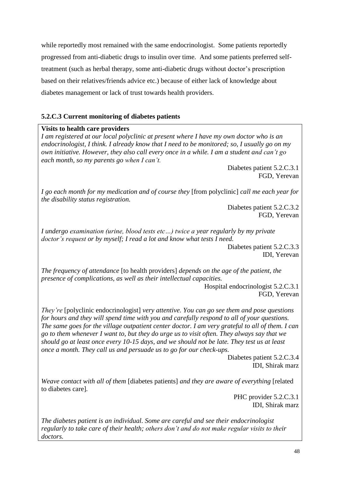while reportedly most remained with the same endocrinologist. Some patients reportedly progressed from anti-diabetic drugs to insulin over time. And some patients preferred selftreatment (such as herbal therapy, some anti-diabetic drugs without doctor's prescription based on their relatives/friends advice etc.) because of either lack of knowledge about diabetes management or lack of trust towards health providers.

# **5.2.C.3 Current monitoring of diabetes patients**

# **Visits to health care providers**

*I am registered at our local polyclinic at present where I have my own doctor who is an endocrinologist, I think. I already know that I need to be monitored; so, I usually go on my own initiative. However, they also call every once in a while. I am a student and can't go each month, so my parents go when I can't.* 

> Diabetes patient 5.2.C.3.1 FGD, Yerevan

*I go each month for my medication and of course they* [from polyclinic] *call me each year for the disability status registration.* 

Diabetes patient 5.2.C.3.2 FGD, Yerevan

*I undergo examination (urine, blood tests etc…) twice a year regularly by my private doctor's request or by myself; I read a lot and know what tests I need.* 

Diabetes patient 5.2.C.3.3 IDI, Yerevan

*The frequency of attendance* [to health providers] *depends on the age of the patient, the presence of complications, as well as their intellectual capacities.*

> Hospital endocrinologist 5.2.C.3.1 FGD, Yerevan

*They're* [polyclinic endocrinologist] *very attentive. You can go see them and pose questions for hours and they will spend time with you and carefully respond to all of your questions. The same goes for the village outpatient center doctor. I am very grateful to all of them. I can go to them whenever I want to, but they do urge us to visit often. They always say that we should go at least once every 10-15 days, and we should not be late. They test us at least once a month. They call us and persuade us to go for our check-ups.* 

Diabetes patient 5.2.C.3.4 IDI, Shirak marz

*Weave contact with all of them* [diabetes patients] *and they are aware of everything* [related to diabetes care]*.* 

> PHC provider 5.2.C.3.1 IDI, Shirak marz

*The diabetes patient is an individual. Some are careful and see their endocrinologist regularly to take care of their health; others don't and do not make regular visits to their doctors.*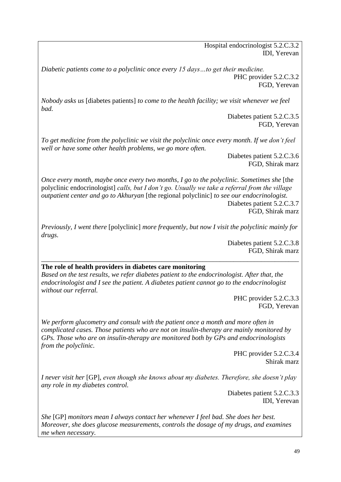Hospital endocrinologist 5.2.C.3.2 IDI, Yerevan

*Diabetic patients come to a polyclinic once every 15 days…to get their medicine.* PHC provider 5.2.C.3.2 FGD, Yerevan

*Nobody asks us* [diabetes patients] *to come to the health facility; we visit whenever we feel bad.*

> Diabetes patient 5.2.C.3.5 FGD, Yerevan

*To get medicine from the polyclinic we visit the polyclinic once every month. If we don't feel well or have some other health problems, we go more often.* 

> Diabetes patient 5.2.C.3.6 FGD, Shirak marz

*Once every month, maybe once every two months, I go to the polyclinic. Sometimes she* [the polyclinic endocrinologist] *calls, but I don't go. Usually we take a referral from the village outpatient center and go to Akhuryan* [the regional polyclinic] *to see our endocrinologist.* 

Diabetes patient 5.2.C.3.7 FGD, Shirak marz

*Previously, I went there* [polyclinic] *more frequently, but now I visit the polyclinic mainly for drugs.* 

\_\_\_\_\_\_\_\_\_\_\_\_\_\_\_\_\_\_\_\_\_\_\_\_\_\_\_\_\_\_\_\_\_\_\_\_\_\_\_\_\_\_\_\_\_\_\_\_\_\_\_\_\_\_\_\_\_\_\_\_\_\_\_\_\_\_\_\_\_\_\_\_\_\_\_

Diabetes patient 5.2.C.3.8 FGD, Shirak marz

#### **The role of health providers in diabetes care monitoring**

*Based on the test results, we refer diabetes patient to the endocrinologist. After that, the endocrinologist and I see the patient. A diabetes patient cannot go to the endocrinologist without our referral.* 

> PHC provider 5.2.C.3.3 FGD, Yerevan

*We perform glucometry and consult with the patient once a month and more often in complicated cases. Those patients who are not on insulin-therapy are mainly monitored by GPs. Those who are on insulin-therapy are monitored both by GPs and endocrinologists from the polyclinic.*

> PHC provider 5.2.C.3.4 Shirak marz

*I never visit her* [GP], *even though she knows about my diabetes. Therefore, she doesn't play any role in my diabetes control.*

> Diabetes patient 5.2.C.3.3 IDI, Yerevan

*She* [GP] *monitors mean I always contact her whenever I feel bad. She does her best. Moreover, she does glucose measurements, controls the dosage of my drugs, and examines me when necessary.*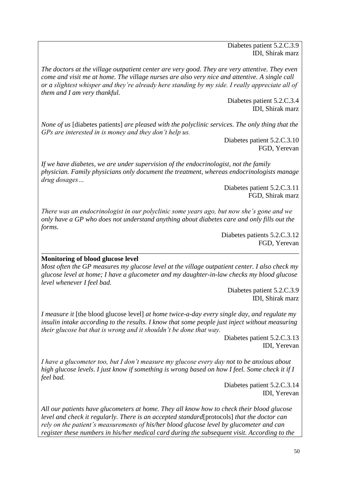Diabetes patient 5.2.C.3.9 IDI, Shirak marz

*The doctors at the village outpatient center are very good. They are very attentive. They even come and visit me at home. The village nurses are also very nice and attentive. A single call or a slightest whisper and they're already here standing by my side. I really appreciate all of them and I am very thankful.*

> Diabetes patient 5.2.C.3.4 IDI, Shirak marz

*None of us* [diabetes patients] *are pleased with the polyclinic services. The only thing that the GPs are interested in is money and they don't help us.*

> Diabetes patient 5.2.C.3.10 FGD, Yerevan

*If we have diabetes, we are under supervision of the endocrinologist, not the family physician. Family physicians only document the treatment, whereas endocrinologists manage drug dosages…*

> Diabetes patient 5.2.C.3.11 FGD, Shirak marz

*There was an endocrinologist in our polyclinic some years ago, but now she's gone and we only have a GP who does not understand anything about diabetes care and only fills out the forms.* 

> Diabetes patients 5.2.C.3.12 FGD, Yerevan

#### **Monitoring of blood glucose level**

*Most often the GP measures my glucose level at the village outpatient center. I also check my glucose level at home; I have a glucometer and my daughter-in-law checks my blood glucose level whenever I feel bad.* 

\_\_\_\_\_\_\_\_\_\_\_\_\_\_\_\_\_\_\_\_\_\_\_\_\_\_\_\_\_\_\_\_\_\_\_\_\_\_\_\_\_\_\_\_\_\_\_\_\_\_\_\_\_\_\_\_\_\_\_\_\_\_\_\_\_\_\_\_\_\_\_\_\_\_\_

Diabetes patient 5.2.C.3.9 IDI, Shirak marz

*I measure it* [the blood glucose level] *at home twice-a-day every single day, and regulate my insulin intake according to the results. I know that some people just inject without measuring their glucose but that is wrong and it shouldn't be done that way.* 

> Diabetes patient 5.2.C.3.13 IDI, Yerevan

*I have a glucometer too, but I don't measure my glucose every day not to be anxious about high glucose levels*. *I just know if something is wrong based on how I feel. Some check it if I feel bad.* 

> Diabetes patient 5.2.C.3.14 IDI, Yerevan

*All our patients have glucometers at home. They all know how to check their blood glucose level and check it regularly. There is an accepted standard*[protocols] *that the doctor can rely on the patient's measurements of his/her blood glucose level by glucometer and can register these numbers in his/her medical card during the subsequent visit. According to the*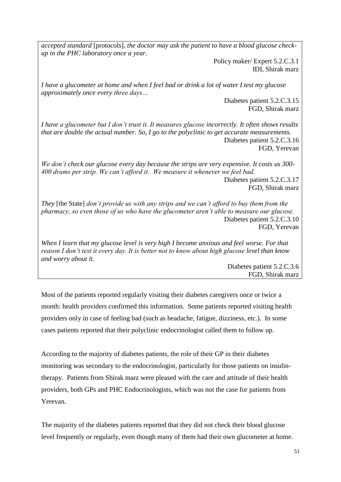*accepted standard* [protocols]*, the doctor may ask the patient to have a blood glucose checkup in the PHC laboratory once a year.* 

> Policy maker/ Expert 5.2.C.3.1 IDI, Shirak marz

*I have a glucometer at home and when I feel bad or drink a lot of water I test my glucose approximately once every three days…*

> Diabetes patient 5.2.C.3.15 FGD, Shirak marz

*I have a glucometer but I don't trust it. It measures glucose incorrectly. It often shows results that are double the actual number. So, I go to the polyclinic to get accurate measurements.*  Diabetes patient 5.2.C.3.16 FGD, Yerevan

*We don't check our glucose every day because the strips are very expensive. It costs us 300- 400 drams per strip. We can't afford it. We measure it whenever we feel bad.*  Diabetes patient 5.2.C.3.17 FGD, Shirak marz

*They* [the State] *don't provide us with any strips and we can't afford to buy them from the pharmacy, so even those of us who have the glucometer aren't able to measure our glucose.* Diabetes patient 5.2.C.3.10 FGD, Yerevan

*When I learn that my glucose level is very high I become anxious and feel worse. For that reason I don't test it every day. It is better not to know about high glucose level than know and worry about it.*

> Diabetes patient 5.2.C.3.6 FGD, Shirak marz

Most of the patients reported regularly visiting their diabetes caregivers once or twice a month: health providers confirmed this information. Some patients reported visiting health providers only in case of feeling bad (such as headache, fatigue, dizziness, etc.). In some cases patients reported that their polyclinic endocrinologist called them to follow up.

According to the majority of diabetes patients, the role of their GP in their diabetes monitoring was secondary to the endocrinologist, particularly for those patients on insulintherapy. Patients from Shirak marz were pleased with the care and attitude of their health providers, both GPs and PHC Endocrinologists, which was not the case for patients from Yerevan.

The majority of the diabetes patients reported that they did not check their blood glucose level frequently or regularly, even though many of them had their own glucometer at home.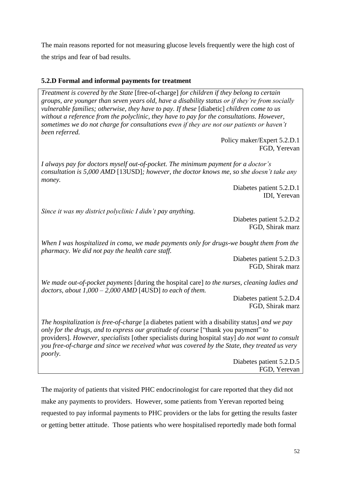The main reasons reported for not measuring glucose levels frequently were the high cost of the strips and fear of bad results.

# **5.2.D Formal and informal payments for treatment**

*Treatment is covered by the State* [free-of-charge] *for children if they belong to certain groups, are younger than seven years old, have a disability status or if they're from socially vulnerable families; otherwise, they have to pay. If these* [diabetic] *children come to us without a reference from the polyclinic, they have to pay for the consultations. However, sometimes we do not charge for consultations even if they are not our patients or haven't been referred.* 

> Policy maker/Expert 5.2.D.1 FGD, Yerevan

*I always pay for doctors myself out-of-pocket. The minimum payment for a doctor's consultation is 5,000 AMD* [13USD]*; however, the doctor knows me, so she doesn't take any money.*

> Diabetes patient 5.2.D.1 IDI, Yerevan

*Since it was my district polyclinic I didn't pay anything.* 

Diabetes patient 5.2.D.2 FGD, Shirak marz

*When I was hospitalized in coma, we made payments only for drugs-we bought them from the pharmacy. We did not pay the health care staff.*

> Diabetes patient 5.2.D.3 FGD, Shirak marz

*We made out-of-pocket payments* [during the hospital care] *to the nurses, cleaning ladies and doctors, about 1,000 – 2,000 AMD* [4USD] *to each of them.*

> Diabetes patient 5.2.D.4 FGD, Shirak marz

*The hospitalization is free-of-charge* [a diabetes patient with a disability status] *and we pay only for the drugs, and to express our gratitude of course* ["thank you payment" to providers]*. However, specialists* [other specialists during hospital stay] *do not want to consult you free-of-charge and since we received what was covered by the State, they treated us very poorly.*

Diabetes patient 5.2.D.5 FGD, Yerevan

The majority of patients that visited PHC endocrinologist for care reported that they did not make any payments to providers. However, some patients from Yerevan reported being requested to pay informal payments to PHC providers or the labs for getting the results faster or getting better attitude. Those patients who were hospitalised reportedly made both formal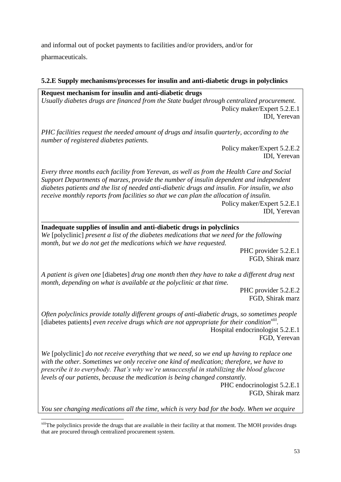and informal out of pocket payments to facilities and/or providers, and/or for pharmaceuticals.

# **5.2.E Supply mechanisms/processes for insulin and anti-diabetic drugs in polyclinics**

**Request mechanism for insulin and anti-diabetic drugs** *Usually diabetes drugs are financed from the State budget through centralized procurement.* Policy maker/Expert 5.2.E.1 IDI, Yerevan

*PHC facilities request the needed amount of drugs and insulin quarterly, according to the number of registered diabetes patients.*

Policy maker/Expert 5.2.E.2 IDI, Yerevan

*Every three months each facility from Yerevan, as well as from the Health Care and Social Support Departments of marzes, provide the number of insulin dependent and independent diabetes patients and the list of needed anti-diabetic drugs and insulin. For insulin, we also receive monthly reports from facilities so that we can plan the allocation of insulin.* 

\_\_\_\_\_\_\_\_\_\_\_\_\_\_\_\_\_\_\_\_\_\_\_\_\_\_\_\_\_\_\_\_\_\_\_\_\_\_\_\_\_\_\_\_\_\_\_\_\_\_\_\_\_\_\_\_\_\_\_\_\_\_\_\_\_\_\_\_\_\_\_\_\_\_\_

Policy maker/Expert 5.2.E.1 IDI, Yerevan

## **Inadequate supplies of insulin and anti-diabetic drugs in polyclinics**

*We* [polyclinic] *present a list of the diabetes medications that we need for the following month, but we do not get the medications which we have requested.*

> PHC provider 5.2.E.1 FGD, Shirak marz

*A patient is given one* [diabetes] *drug one month then they have to take a different drug next month, depending on what is available at the polyclinic at that time.*

> PHC provider 5.2.E.2 FGD, Shirak marz

*Often polyclinics provide totally different groups of anti-diabetic drugs, so sometimes people* [diabetes patients] *even receive drugs which are not appropriate for their condition<sup>xiii</sup>.* Hospital endocrinologist 5.2.E.1

FGD, Yerevan

*We* [polyclinic] *do not receive everything that we need, so we end up having to replace one with the other. Sometimes we only receive one kind of medication; therefore, we have to prescribe it to everybody. That's why we're unsuccessful in stabilizing the blood glucose levels of our patients, because the medication is being changed constantly.*

> PHC endocrinologist 5.2.E.1 FGD, Shirak marz

*You see changing medications all the time, which is very bad for the body. When we acquire* 

**<sup>.</sup>** <sup>xiii</sup>The polyclinics provide the drugs that are available in their facility at that moment. The MOH provides drugs that are procured through centralized procurement system.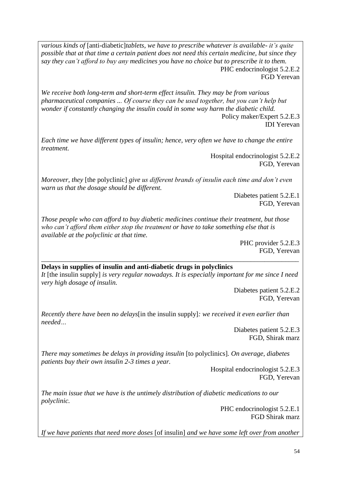*various kinds of* [anti-diabetic]*tablets, we have to prescribe whatever is available- it's quite possible that at that time a certain patient does not need this certain medicine, but since they say they can't afford to buy any medicines you have no choice but to prescribe it to them.*  PHC endocrinologist 5.2.E.2 FGD Yerevan

*We receive both long-term and short-term effect insulin. They may be from various pharmaceutical companies ... Of course they can be used together, but you can't help but wonder if constantly changing the insulin could in some way harm the diabetic child.* Policy maker/Expert 5.2.E.3 IDI Yerevan

*Each time we have different types of insulin; hence, very often we have to change the entire treatment.*

> Hospital endocrinologist 5.2.E.2 FGD, Yerevan

*Moreover, they* [the polyclinic] *give us different brands of insulin each time and don't even warn us that the dosage should be different.*

> Diabetes patient 5.2.E.1 FGD, Yerevan

*Those people who can afford to buy diabetic medicines continue their treatment, but those who can't afford them either stop the treatment or have to take something else that is available at the polyclinic at that time.* 

> PHC provider 5.2.E.3 FGD, Yerevan

#### **Delays in supplies of insulin and anti-diabetic drugs in polyclinics**

*It* [the insulin supply] *is very regular nowadays. It is especially important for me since I need very high dosage of insulin.*

\_\_\_\_\_\_\_\_\_\_\_\_\_\_\_\_\_\_\_\_\_\_\_\_\_\_\_\_\_\_\_\_\_\_\_\_\_\_\_\_\_\_\_\_\_\_\_\_\_\_\_\_\_\_\_\_\_\_\_\_\_\_\_\_\_\_\_\_\_\_\_\_\_\_\_

Diabetes patient 5.2.E.2 FGD, Yerevan

*Recently there have been no delays*[in the insulin supply]*: we received it even earlier than needed…*

> Diabetes patient 5.2.E.3 FGD, Shirak marz

*There may sometimes be delays in providing insulin* [to polyclinics]*. On average, diabetes patients buy their own insulin 2-3 times a year.*

> Hospital endocrinologist 5.2.E.3 FGD, Yerevan

*The main issue that we have is the untimely distribution of diabetic medications to our polyclinic.* 

> PHC endocrinologist 5.2.E.1 FGD Shirak marz

*If we have patients that need more doses* [of insulin] *and we have some left over from another*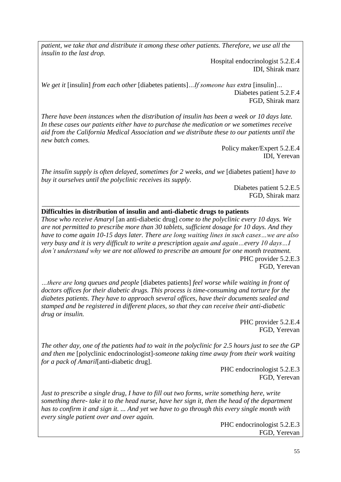*patient, we take that and distribute it among these other patients. Therefore, we use all the insulin to the last drop.*

> Hospital endocrinologist 5.2.E.4 IDI, Shirak marz

*We get it* [insulin] *from each other* [diabetes patients]*…If someone has extra* [insulin]*…*  Diabetes patient 5.2.F.4 FGD, Shirak marz

*There have been instances when the distribution of insulin has been a week or 10 days late. In these cases our patients either have to purchase the medication or we sometimes receive aid from the California Medical Association and we distribute these to our patients until the new batch comes.* 

> Policy maker/Expert 5.2.E.4 IDI, Yerevan

*The insulin supply is often delayed, sometimes for 2 weeks, and we* [diabetes patient] *have to buy it ourselves until the polyclinic receives its supply.* 

\_\_\_\_\_\_\_\_\_\_\_\_\_\_\_\_\_\_\_\_\_\_\_\_\_\_\_\_\_\_\_\_\_\_\_\_\_\_\_\_\_\_\_\_\_\_\_\_\_\_\_\_\_\_\_\_\_\_\_\_\_\_\_\_\_\_\_\_\_\_\_\_\_\_\_

Diabetes patient 5.2.E.5 FGD, Shirak marz

#### **Difficulties in distribution of insulin and anti-diabetic drugs to patients**

*Those who receive Amaryl* [an anti-diabetic drug] *come to the polyclinic every 10 days. We are not permitted to prescribe more than 30 tablets, sufficient dosage for 10 days. And they have to come again 10-15 days later. There are long waiting lines in such cases…we are also very busy and it is very difficult to write a prescription again and again…every 10 days…I don't understand why we are not allowed to prescribe an amount for one month treatment.*  PHC provider 5.2.E.3

FGD, Yerevan

*…there are long queues and people* [diabetes patients] *feel worse while waiting in front of doctors offices for their diabetic drugs. This process is time-consuming and torture for the diabetes patients. They have to approach several offices, have their documents sealed and stamped and be registered in different places, so that they can receive their anti-diabetic drug or insulin.*

> PHC provider 5.2.E.4 FGD, Yerevan

*The other day, one of the patients had to wait in the polyclinic for 2.5 hours just to see the GP and then me* [polyclinic endocrinologist]-*someone taking time away from their work waiting for a pack of Amaril*[anti-diabetic drug].

> PHC endocrinologist 5.2.E.3 FGD, Yerevan

*Just to prescribe a single drug, I have to fill out two forms, write something here, write something there- take it to the head nurse, have her sign it, then the head of the department has to confirm it and sign it. ... And yet we have to go through this every single month with every single patient over and over again.*

> PHC endocrinologist 5.2.E.3 FGD, Yerevan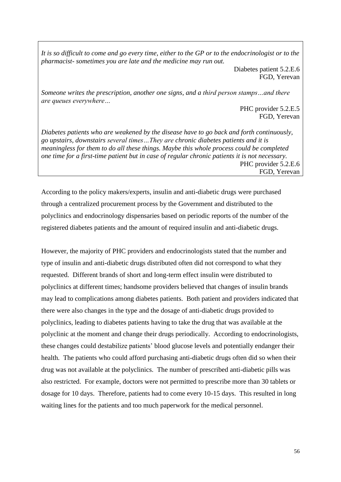*It is so difficult to come and go every time, either to the GP or to the endocrinologist or to the pharmacist- sometimes you are late and the medicine may run out.*

> Diabetes patient 5.2.E.6 FGD, Yerevan

*Someone writes the prescription, another one signs, and a third person stamps…and there are queues everywhere…*

> PHC provider 5.2.E.5 FGD, Yerevan

*Diabetes patients who are weakened by the disease have to go back and forth continuously, go upstairs, downstairs several times…They are chronic diabetes patients and it is meaningless for them to do all these things. Maybe this whole process could be completed one time for a first-time patient but in case of regular chronic patients it is not necessary.* PHC provider 5.2.E.6 FGD, Yerevan

According to the policy makers/experts, insulin and anti-diabetic drugs were purchased through a centralized procurement process by the Government and distributed to the polyclinics and endocrinology dispensaries based on periodic reports of the number of the registered diabetes patients and the amount of required insulin and anti-diabetic drugs.

However, the majority of PHC providers and endocrinologists stated that the number and type of insulin and anti-diabetic drugs distributed often did not correspond to what they requested. Different brands of short and long-term effect insulin were distributed to polyclinics at different times; handsome providers believed that changes of insulin brands may lead to complications among diabetes patients. Both patient and providers indicated that there were also changes in the type and the dosage of anti-diabetic drugs provided to polyclinics, leading to diabetes patients having to take the drug that was available at the polyclinic at the moment and change their drugs periodically. According to endocrinologists, these changes could destabilize patients' blood glucose levels and potentially endanger their health. The patients who could afford purchasing anti-diabetic drugs often did so when their drug was not available at the polyclinics. The number of prescribed anti-diabetic pills was also restricted. For example, doctors were not permitted to prescribe more than 30 tablets or dosage for 10 days. Therefore, patients had to come every 10-15 days. This resulted in long waiting lines for the patients and too much paperwork for the medical personnel.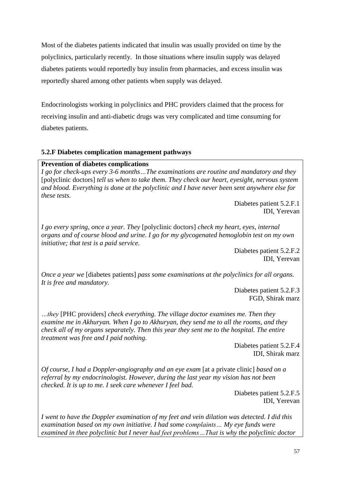Most of the diabetes patients indicated that insulin was usually provided on time by the polyclinics, particularly recently. In those situations where insulin supply was delayed diabetes patients would reportedly buy insulin from pharmacies, and excess insulin was reportedly shared among other patients when supply was delayed.

Endocrinologists working in polyclinics and PHC providers claimed that the process for receiving insulin and anti-diabetic drugs was very complicated and time consuming for diabetes patients.

# **5.2.F Diabetes complication management pathways**

**Prevention of diabetes complications** 

*I go for check-ups every 3-6 months…The examinations are routine and mandatory and they* [polyclinic doctors] *tell us when to take them. They check our heart, eyesight, nervous system and blood. Everything is done at the polyclinic and I have never been sent anywhere else for these tests.* 

> Diabetes patient 5.2.F.1 IDI, Yerevan

*I go every spring, once a year. They* [polyclinic doctors] *check my heart, eyes, internal organs and of course blood and urine. I go for my glycogenated hemoglobin test on my own initiative; that test is a paid service.*

> Diabetes patient 5.2.F.2 IDI, Yerevan

*Once a year we* [diabetes patients] *pass some examinations at the polyclinics for all organs. It is free and mandatory.* 

> Diabetes patient 5.2.F.3 FGD, Shirak marz

*…they* [PHC providers] *check everything. The village doctor examines me. Then they examine me in Akhuryan. When I go to Akhuryan, they send me to all the rooms, and they check all of my organs separately. Then this year they sent me to the hospital. The entire treatment was free and I paid nothing.* 

> Diabetes patient 5.2.F.4 IDI, Shirak marz

*Of course, I had a Doppler-angiography and an eye exam* [at a private clinic] *based on a referral by my endocrinologist. However, during the last year my vision has not been checked. It is up to me. I seek care whenever I feel bad.* 

Diabetes patient 5.2.F.5 IDI, Yerevan

*I went to have the Doppler examination of my feet and vein dilation was detected. I did this examination based on my own initiative. I had some complaints… My eye funds were examined in thee polyclinic but I never had feet problems…That is why the polyclinic doctor*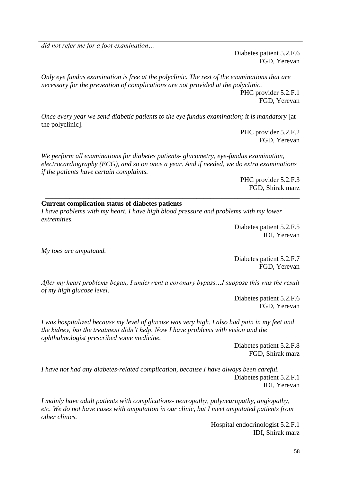*did not refer me for a foot examination…* 

Diabetes patient 5.2.F.6 FGD, Yerevan

*Only eye fundus examination is free at the polyclinic. The rest of the examinations that are necessary for the prevention of complications are not provided at the polyclinic*.

> PHC provider 5.2.F.1 FGD, Yerevan

*Once every year we send diabetic patients to the eye fundus examination; it is mandatory* [at the polyclinic].

> PHC provider 5.2.F.2 FGD, Yerevan

*We perform all examinations for diabetes patients- glucometry, eye-fundus examination, electrocardiography (ECG), and so on once a year. And if needed, we do extra examinations if the patients have certain complaints.*

\_\_\_\_\_\_\_\_\_\_\_\_\_\_\_\_\_\_\_\_\_\_\_\_\_\_\_\_\_\_\_\_\_\_\_\_\_\_\_\_\_\_\_\_\_\_\_\_\_\_\_\_\_\_\_\_\_\_\_\_\_\_\_\_\_\_\_\_\_\_\_\_\_\_

PHC provider 5.2.F.3 FGD, Shirak marz

#### **Current complication status of diabetes patients**

*I have problems with my heart. I have high blood pressure and problems with my lower extremities.* 

> Diabetes patient 5.2.F.5 IDI, Yerevan

*My toes are amputated.*

Diabetes patient 5.2.F.7 FGD, Yerevan

*After my heart problems began, I underwent a coronary bypass…I suppose this was the result of my high glucose level*.

> Diabetes patient 5.2.F.6 FGD, Yerevan

*I was hospitalized because my level of glucose was very high. I also had pain in my feet and the kidney, but the treatment didn't help. Now I have problems with vision and the ophthalmologist prescribed some medicine.*

> Diabetes patient 5.2.F.8 FGD, Shirak marz

*I have not had any diabetes-related complication, because I have always been careful.* Diabetes patient 5.2.F.1 IDI, Yerevan

*I mainly have adult patients with complications- neuropathy, polyneuropathy, angiopathy, etc. We do not have cases with amputation in our clinic, but I meet amputated patients from other clinics.*

> Hospital endocrinologist 5.2.F.1 IDI, Shirak marz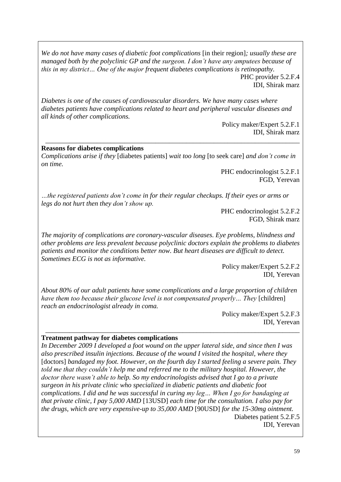*We do not have many cases of diabetic foot complications* [in their region]*; usually these are managed both by the polyclinic GP and the surgeon. I don't have any amputees because of this in my district… One of the major frequent diabetes complications is retinopathy.* PHC provider 5.2.F.4

IDI, Shirak marz

*Diabetes is one of the causes of cardiovascular disorders. We have many cases where diabetes patients have complications related to heart and peripheral vascular diseases and all kinds of other complications.*

> Policy maker/Expert 5.2.F.1 IDI, Shirak marz

## **Reasons for diabetes complications**

*Complications arise if they* [diabetes patients] *wait too long* [to seek care] *and don't come in on time.*

\_\_\_\_\_\_\_\_\_\_\_\_\_\_\_\_\_\_\_\_\_\_\_\_\_\_\_\_\_\_\_\_\_\_\_\_\_\_\_\_\_\_\_\_\_\_\_\_\_\_\_\_\_\_\_\_\_\_\_\_\_\_\_\_\_\_\_\_\_\_\_\_\_\_

PHC endocrinologist 5.2.F.1 FGD, Yerevan

*…the registered patients don't come in for their regular checkups. If their eyes or arms or legs do not hurt then they don't show up.*

> PHC endocrinologist 5.2.F.2 FGD, Shirak marz

*The majority of complications are coronary-vascular diseases. Eye problems, blindness and other problems are less prevalent because polyclinic doctors explain the problems to diabetes patients and monitor the conditions better now. But heart diseases are difficult to detect. Sometimes ECG is not as informative.* 

> Policy maker/Expert 5.2.F.2 IDI, Yerevan

*About 80% of our adult patients have some complications and a large proportion of children have them too because their glucose level is not compensated properly... They* [children] *reach an endocrinologist already in coma.*

\_\_\_\_\_\_\_\_\_\_\_\_\_\_\_\_\_\_\_\_\_\_\_\_\_\_\_\_\_\_\_\_\_\_\_\_\_\_\_\_\_\_\_\_\_\_\_\_\_\_\_\_\_\_\_\_\_\_\_\_\_\_\_\_\_\_\_\_\_\_\_\_\_\_

Policy maker/Expert 5.2.F.3 IDI, Yerevan

#### **Treatment pathway for diabetes complications**

*In December 2009 I developed a foot wound on the upper lateral side, and since then I was also prescribed insulin injections. Because of the wound I visited the hospital, where they* [doctors] *bandaged my foot. However, on the fourth day I started feeling a severe pain. They told me that they couldn't help me and referred me to the military hospital. However, the doctor there wasn't able to help. So my endocrinologists advised that I go to a private surgeon in his private clinic who specialized in diabetic patients and diabetic foot complications. I did and he was successful in curing my leg… When I go for bandaging at that private clinic, I pay 5,000 AMD* [13USD] *each time for the consultation. I also pay for the drugs, which are very expensive-up to 35,000 AMD* [90USD] *for the 15-30mg ointment.* Diabetes patient 5.2.F.5 IDI, Yerevan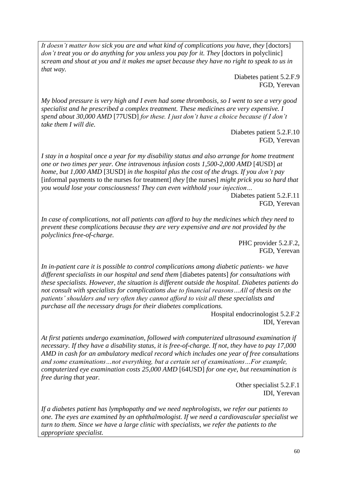*It doesn't matter how sick you are and what kind of complications you have, they* [doctors] *don't treat you or do anything for you unless you pay for it. They* [doctors in polyclinic] *scream and shout at you and it makes me upset because they have no right to speak to us in that way.* 

> Diabetes patient 5.2.F.9 FGD, Yerevan

*My blood pressure is very high and I even had some thrombosis, so I went to see a very good specialist and he prescribed a complex treatment. These medicines are very expensive. I spend about 30,000 AMD* [77USD] *for these. I just don't have a choice because if I don't take them I will die.* 

> Diabetes patient 5.2.F.10 FGD, Yerevan

*I stay in a hospital once a year for my disability status and also arrange for home treatment one or two times per year. One intravenous infusion costs 1,500-2,000 AMD* [4USD] *at home, but 1,000 AMD* [3USD] *in the hospital plus the cost of the drugs. If you don't pay* [informal payments to the nurses for treatment] *they* [the nurses] *might prick you so hard that you would lose your consciousness! They can even withhold your injection…*

> Diabetes patient 5.2.F.11 FGD, Yerevan

In case of complications, not all patients can afford to buy the medicines which they need to *prevent these complications because they are very expensive and are not provided by the polyclinics free-of-charge.*

> PHC provider 5.2.F.2, FGD, Yerevan

*In in-patient care it is possible to control complications among diabetic patients- we have different specialists in our hospital and send them* [diabetes patents] *for consultations with these specialists. However, the situation is different outside the hospital. Diabetes patients do not consult with specialists for complications due to financial reasons…All of thesis on the patients' shoulders and very often they cannot afford to visit all these specialists and purchase all the necessary drugs for their diabetes complications.*

> Hospital endocrinologist 5.2.F.2 IDI, Yerevan

*At first patients undergo examination, followed with computerized ultrasound examination if necessary. If they have a disability status, it is free-of-charge. If not, they have to pay 17,000 AMD in cash for an ambulatory medical record which includes one year of free consultations and some examinations…not everything, but a certain set of examinations…For example, computerized eye examination costs 25,000 AMD* [64USD] *for one eye, but reexamination is free during that year.* 

> Other specialist 5.2.F.1 IDI, Yerevan

*If a diabetes patient has lymphopathy and we need nephrologists, we refer our patients to one. The eyes are examined by an ophthalmologist. If we need a cardiovascular specialist we turn to them. Since we have a large clinic with specialists, we refer the patients to the appropriate specialist.*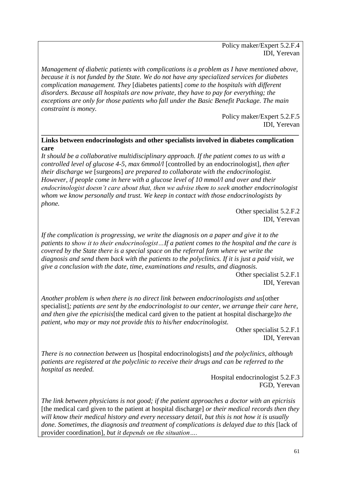Policy maker/Expert 5.2.F.4 IDI, Yerevan

*Management of diabetic patients with complications is a problem as I have mentioned above, because it is not funded by the State. We do not have any specialized services for diabetes complication management. They* [diabetes patients] *come to the hospitals with different disorders. Because all hospitals are now private, they have to pay for everything; the exceptions are only for those patients who fall under the Basic Benefit Package. The main constraint is money.* 

> Policy maker/Expert 5.2.F.5 IDI, Yerevan

#### **Links between endocrinologists and other specialists involved in diabetes complication care**

**\_\_\_\_\_\_\_\_\_\_\_\_\_\_\_\_\_\_\_\_\_\_\_\_\_\_\_\_\_\_\_\_\_\_\_\_\_\_\_\_\_\_\_\_\_\_\_\_\_\_\_\_\_\_\_\_\_\_\_\_\_\_\_\_\_\_\_\_\_\_\_\_\_\_\_**

*It should be a collaborative multidisciplinary approach. If the patient comes to us with a controlled level of glucose 4-5, max 6mmol/l* [controlled by an endocrinologist]*, then after their discharge we* [surgeons] *are prepared to collaborate with the endocrinologist. However, if people come in here with a glucose level of 10 mmol/l and over and their endocrinologist doesn't care about that, then we advise them to seek another endocrinologist whom we know personally and trust. We keep in contact with those endocrinologists by phone.* 

> Other specialist 5.2.F.2 IDI, Yerevan

*If the complication is progressing, we write the diagnosis on a paper and give it to the patients to show it to their endocrinologist…If a patient comes to the hospital and the care is covered by the State there is a special space on the referral form where we write the diagnosis and send them back with the patients to the polyclinics. If it is just a paid visit, we give a conclusion with the date, time, examinations and results, and diagnosis.* 

> Other specialist 5.2.F.1 IDI, Yerevan

*Another problem is when there is no direct link between endocrinologists and us*[other specialist]*; patients are sent by the endocrinologist to our center, we arrange their care here, and then give the epicrisis*[the medical card given to the patient at hospital discharge]*to the patient, who may or may not provide this to his/her endocrinologist.* 

> Other specialist 5.2.F.1 IDI, Yerevan

*There is no connection between us* [hospital endocrinologists] *and the polyclinics, although patients are registered at the polyclinic to receive their drugs and can be referred to the hospital as needed.*

> Hospital endocrinologist 5.2.F.3 FGD, Yerevan

*The link between physicians is not good; if the patient approaches a doctor with an epicrisis* [the medical card given to the patient at hospital discharge] *or their medical records then they will know their medical history and every necessary detail, but this is not how it is usually done. Sometimes, the diagnosis and treatment of complications is delayed due to this* [lack of provider coordination], *but it depends on the situation….*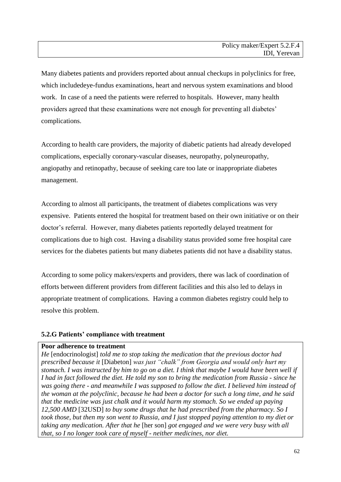Many diabetes patients and providers reported about annual checkups in polyclinics for free, which includedeye-fundus examinations, heart and nervous system examinations and blood work. In case of a need the patients were referred to hospitals. However, many health providers agreed that these examinations were not enough for preventing all diabetes' complications.

According to health care providers, the majority of diabetic patients had already developed complications, especially coronary-vascular diseases, neuropathy, polyneuropathy, angiopathy and retinopathy, because of seeking care too late or inappropriate diabetes management.

According to almost all participants, the treatment of diabetes complications was very expensive. Patients entered the hospital for treatment based on their own initiative or on their doctor's referral. However, many diabetes patients reportedly delayed treatment for complications due to high cost. Having a disability status provided some free hospital care services for the diabetes patients but many diabetes patients did not have a disability status.

According to some policy makers/experts and providers, there was lack of coordination of efforts between different providers from different facilities and this also led to delays in appropriate treatment of complications. Having a common diabetes registry could help to resolve this problem.

# **5.2.G Patients' compliance with treatment**

## **Poor adherence to treatment**

*He* [endocrinologist] *told me to stop taking the medication that the previous doctor had prescribed because it* [Diabeton] *was just "chalk" from Georgia and would only hurt my stomach. I was instructed by him to go on a diet. I think that maybe I would have been well if I had in fact followed the diet. He told my son to bring the medication from Russia - since he was going there - and meanwhile I was supposed to follow the diet. I believed him instead of the woman at the polyclinic, because he had been a doctor for such a long time, and he said that the medicine was just chalk and it would harm my stomach. So we ended up paying 12,500 AMD* [32USD] *to buy some drugs that he had prescribed from the pharmacy. So I took those, but then my son went to Russia, and I just stopped paying attention to my diet or taking any medication. After that he* [her son] *got engaged and we were very busy with all that, so I no longer took care of myself - neither medicines, nor diet.*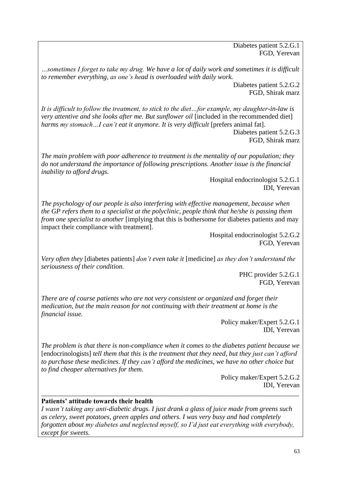Diabetes patient 5.2.G.1 FGD, Yerevan

*…sometimes I forget to take my drug. We have a lot of daily work and sometimes it is difficult to remember everything, as one's head is overloaded with daily work.*

Diabetes patient 5.2.G.2 FGD, Shirak marz

*It is difficult to follow the treatment, to stick to the diet…for example, my daughter-in-law is very attentive and she looks after me. But sunflower oil* [included in the recommended diet] *harms my stomach* ...*I can't eat it anymore. It is very difficult* [prefers animal fat].

Diabetes patient 5.2.G.3 FGD, Shirak marz

*The main problem with poor adherence to treatment is the mentality of our population; they do not understand the importance of following prescriptions. Another issue is the financial inability to afford drugs.*

> Hospital endocrinologist 5.2.G.1 IDI, Yerevan

*The psychology of our people is also interfering with effective management, because when the GP refers them to a specialist at the polyclinic, people think that he/she is passing them from one specialist to another* [implying that this is bothersome for diabetes patients and may impact their compliance with treatment].

> Hospital endocrinologist 5.2.G.2 FGD, Yerevan

*Very often they* [diabetes patients] *don't even take it* [medicine] *as they don't understand the seriousness of their condition.*

PHC provider 5.2.G.1 FGD, Yerevan

*There are of course patients who are not very consistent or organized and forget their medication, but the main reason for not continuing with their treatment at home is the financial issue.*

> Policy maker/Expert 5.2.G.1 IDI, Yerevan

*The problem is that there is non-compliance when it comes to the diabetes patient because we*  [endocrinologists] *tell them that this is the treatment that they need, but they just can't afford to purchase these medicines. If they can't afford the medicines, we have no other choice but to find cheaper alternatives for them.*

> Policy maker/Expert 5.2.G.2 IDI, Yerevan

#### **Patients' attitude towards their health**

*I wasn't taking any anti-diabetic drugs. I just drank a glass of juice made from greens such as celery, sweet potatoes, green apples and others. I was very busy and had completely forgotten about my diabetes and neglected myself, so I'd just eat everything with everybody, except for sweets.*

\_\_\_\_\_\_\_\_\_\_\_\_\_\_\_\_\_\_\_\_\_\_\_\_\_\_\_\_\_\_\_\_\_\_\_\_\_\_\_\_\_\_\_\_\_\_\_\_\_\_\_\_\_\_\_\_\_\_\_\_\_\_\_\_\_\_\_\_\_\_\_\_\_\_\_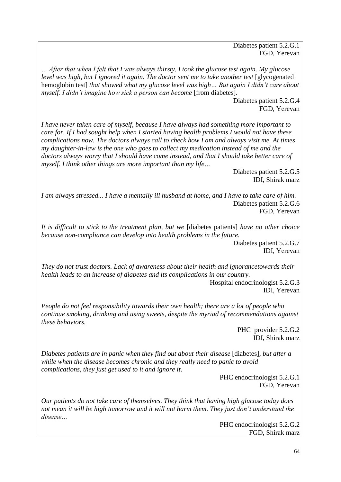Diabetes patient 5.2.G.1 FGD, Yerevan

*… After that when I felt that I was always thirsty, I took the glucose test again. My glucose level was high, but I ignored it again. The doctor sent me to take another test* [glycogenated hemoglobin test] *that showed what my glucose level was high… But again I didn't care about myself. I didn't imagine how sick a person can become* [from diabetes].

> Diabetes patient 5.2.G.4 FGD, Yerevan

*I have never taken care of myself, because I have always had something more important to care for. If I had sought help when I started having health problems I would not have these complications now. The doctors always call to check how I am and always visit me. At times my daughter-in-law is the one who goes to collect my medication instead of me and the doctors always worry that I should have come instead, and that I should take better care of myself. I think other things are more important than my life…* 

> Diabetes patient 5.2.G.5 IDI, Shirak marz

*I am always stressed... I have a mentally ill husband at home, and I have to take care of him.*  Diabetes patient 5.2.G.6 FGD, Yerevan

*It is difficult to stick to the treatment plan, but we* [diabetes patients] *have no other choice because non-compliance can develop into health problems in the future.*

Diabetes patient 5.2.G.7 IDI, Yerevan

*They do not trust doctors. Lack of awareness about their health and ignorancetowards their health leads to an increase of diabetes and its complications in our country.* 

Hospital endocrinologist 5.2.G.3 IDI, Yerevan

*People do not feel responsibility towards their own health; there are a lot of people who continue smoking, drinking and using sweets, despite the myriad of recommendations against these behaviors.*

> PHC provider 5.2.G.2 IDI, Shirak marz

*Diabetes patients are in panic when they find out about their disease* [diabetes]*, but after a while when the disease becomes chronic and they really need to panic to avoid complications, they just get used to it and ignore it*.

> PHC endocrinologist 5.2.G.1 FGD, Yerevan

*Our patients do not take care of themselves. They think that having high glucose today does not mean it will be high tomorrow and it will not harm them. They just don't understand the disease…* 

> PHC endocrinologist 5.2.G.2 FGD, Shirak marz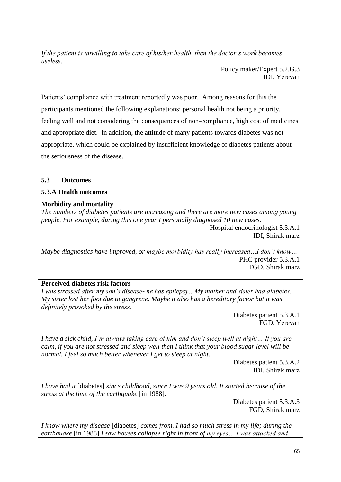*If the patient is unwilling to take care of his/her health, then the doctor's work becomes useless.* 

Patients' compliance with treatment reportedly was poor. Among reasons for this the participants mentioned the following explanations: personal health not being a priority, feeling well and not considering the consequences of non-compliance, high cost of medicines and appropriate diet. In addition, the attitude of many patients towards diabetes was not appropriate, which could be explained by insufficient knowledge of diabetes patients about the seriousness of the disease.

# **5.3 Outcomes**

# **5.3.A Health outcomes**

# **Morbidity and mortality**

*The numbers of diabetes patients are increasing and there are more new cases among young people. For example, during this one year I personally diagnosed 10 new cases.*

Hospital endocrinologist 5.3.A.1 IDI, Shirak marz

*Maybe diagnostics have improved, or maybe morbidity has really increased…I don't know…* PHC provider 5.3.A.1 FGD, Shirak marz

# **Perceived diabetes risk factors**

*I was stressed after my son's disease- he has epilepsy…My mother and sister had diabetes. My sister lost her foot due to gangrene. Maybe it also has a hereditary factor but it was definitely provoked by the stress.*

> Diabetes patient 5.3.A.1 FGD, Yerevan

*I have a sick child, I'm always taking care of him and don't sleep well at night… If you are calm, if you are not stressed and sleep well then I think that your blood sugar level will be normal. I feel so much better whenever I get to sleep at night.* 

Diabetes patient 5.3.A.2 IDI, Shirak marz

*I have had it* [diabetes] *since childhood, since I was 9 years old. It started because of the stress at the time of the earthquake* [in 1988].

Diabetes patient 5.3.A.3 FGD, Shirak marz

*I know where my disease* [diabetes] *comes from. I had so much stress in my life; during the earthquake* [in 1988] *I saw houses collapse right in front of my eyes… I was attacked and*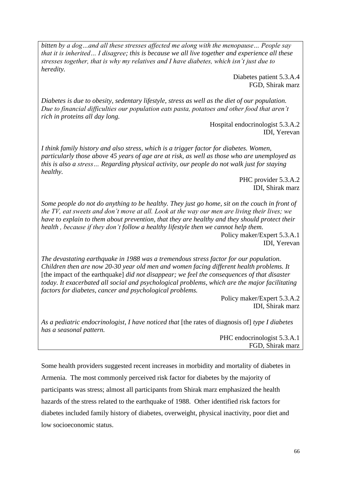*bitten by a dog…and all these stresses affected me along with the menopause… People say that it is inherited… I disagree; this is because we all live together and experience all these stresses together, that is why my relatives and I have diabetes, which isn't just due to heredity.* 

> Diabetes patient 5.3.A.4 FGD, Shirak marz

*Diabetes is due to obesity, sedentary lifestyle, stress as well as the diet of our population. Due to financial difficulties our population eats pasta, potatoes and other food that aren't rich in proteins all day long.*

Hospital endocrinologist 5.3.A.2 IDI, Yerevan

*I think family history and also stress, which is a trigger factor for diabetes. Women, particularly those above 45 years of age are at risk, as well as those who are unemployed as this is also a stress… Regarding physical activity, our people do not walk just for staying healthy.*

> PHC provider 5.3.A.2 IDI, Shirak marz

*Some people do not do anything to be healthy. They just go home, sit on the couch in front of the TV, eat sweets and don't move at all. Look at the way our men are living their lives; we have to explain to them about prevention, that they are healthy and they should protect their health , because if they don't follow a healthy lifestyle then we cannot help them.*  Policy maker/Expert 5.3.A.1

IDI, Yerevan

*The devastating earthquake in 1988 was a tremendous stress factor for our population. Children then are now 20-30 year old men and women facing different health problems. It*  [the impact of the earthquake] *did not disappear; we feel the consequences of that disaster today. It exacerbated all social and psychological problems, which are the major facilitating factors for diabetes, cancer and psychological problems.* 

> Policy maker/Expert 5.3.A.2 IDI, Shirak marz

*As a pediatric endocrinologist, I have noticed that* [the rates of diagnosis of] *type I diabetes has a seasonal pattern.* 

> PHC endocrinologist 5.3.A.1 FGD, Shirak marz

Some health providers suggested recent increases in morbidity and mortality of diabetes in Armenia. The most commonly perceived risk factor for diabetes by the majority of participants was stress; almost all participants from Shirak marz emphasized the health hazards of the stress related to the earthquake of 1988. Other identified risk factors for diabetes included family history of diabetes, overweight, physical inactivity, poor diet and low socioeconomic status.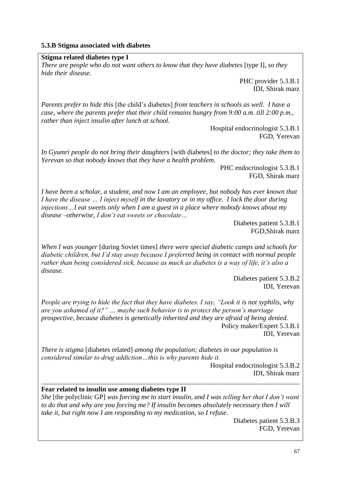## **5.3.B Stigma associated with diabetes**

#### **Stigma related diabetes type I**

*There are people who do not want others to know that they have diabetes* [type I]*, so they hide their disease.* 

> PHC provider 5.3.B.1 IDI, Shirak marz

*Parents prefer to hide this* [the child's diabetes] *from teachers in schools as well. I have a case, where the parents prefer that their child remains hungry from 9:00 a.m. till 2:00 p.m., rather than inject insulin after lunch at school.* 

> Hospital endocrinologist 5.3.B.1 FGD, Yerevan

*In Gyumri people do not bring their daughters* [with diabetes] *to the doctor; they take them to Yerevan so that nobody knows that they have a health problem*.

> PHC endocrinologist 5.3.B.1 FGD, Shirak marz

*I have been a scholar, a student, and now I am an employee, but nobody has ever known that I have the disease … I inject myself in the lavatory or in my office. I lock the door during injections…I eat sweets only when I am a guest in a place where nobody knows about my disease –otherwise, I don't eat sweets or chocolate…*

> Diabetes patient 5.3.B.1 FGD,Shirak marz

*When I was younger* [during Soviet times] *there were special diabetic camps and schools for diabetic children, but I'd stay away because I preferred being in contact with normal people rather than being considered sick, because as much as diabetes is a way of life, it's also a disease.* 

> Diabetes patient 5.3.B.2 IDI, Yerevan

*People are trying to hide the fact that they have diabetes. I say, "Look it is not syphilis, why are you ashamed of it?" … maybe such behavior is to protect the person's marriage prospective, because diabetes is genetically inherited and they are afraid of being denied.*  Policy maker/Expert 5.3.B.1 IDI, Yerevan

*There is stigma* [diabetes related] *among the population; diabetes in our population is considered similar to drug addiction…this is why parents hide it.*

> Hospital endocrinologist 5.3.B.2 IDI, Shirak marz

#### **Fear related to insulin use among diabetes type II**

*She* [the polyclinic GP] *was forcing me to start insulin, and I was telling her that I don't want to do that and why are you forcing me? If insulin becomes absolutely necessary then I will take it, but right now I am responding to my medication, so I refuse.*

\_\_\_\_\_\_\_\_\_\_\_\_\_\_\_\_\_\_\_\_\_\_\_\_\_\_\_\_\_\_\_\_\_\_\_\_\_\_\_\_\_\_\_\_\_\_\_\_\_\_\_\_\_\_\_\_\_\_\_\_\_\_\_\_\_\_\_\_\_\_\_\_\_\_\_

Diabetes patient 5.3.B.3 FGD, Yerevan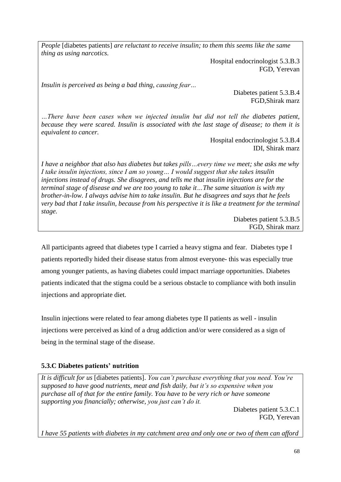*People* [diabetes patients] *are reluctant to receive insulin; to them this seems like the same thing as using narcotics.*

> Hospital endocrinologist 5.3.B.3 FGD, Yerevan

*Insulin is perceived as being a bad thing, causing fear…*

Diabetes patient 5.3.B.4 FGD,Shirak marz

*…There have been cases when we injected insulin but did not tell the diabetes patient, because they were scared. Insulin is associated with the last stage of disease; to them it is equivalent to cancer.* 

> Hospital endocrinologist 5.3.B.4 IDI, Shirak marz

*I have a neighbor that also has diabetes but takes pills…every time we meet; she asks me why I take insulin injections, since I am so young… I would suggest that she takes insulin injections instead of drugs. She disagrees, and tells me that insulin injections are for the terminal stage of disease and we are too young to take it…The same situation is with my brother-in-low. I always advise him to take insulin. But he disagrees and says that he feels very bad that I take insulin, because from his perspective it is like a treatment for the terminal stage.*

> Diabetes patient 5.3.B.5 FGD, Shirak marz

All participants agreed that diabetes type I carried a heavy stigma and fear. Diabetes type I patients reportedly hided their disease status from almost everyone- this was especially true among younger patients, as having diabetes could impact marriage opportunities. Diabetes patients indicated that the stigma could be a serious obstacle to compliance with both insulin injections and appropriate diet.

Insulin injections were related to fear among diabetes type II patients as well - insulin injections were perceived as kind of a drug addiction and/or were considered as a sign of being in the terminal stage of the disease.

## **5.3.C Diabetes patients' nutrition**

*It is difficult for us* [diabetes patients]. *You can't purchase everything that you need. You're supposed to have good nutrients, meat and fish daily, but it's so expensive when you purchase all of that for the entire family. You have to be very rich or have someone supporting you financially; otherwise, you just can't do it.*

> Diabetes patient 5.3.C.1 FGD, Yerevan

*I have 55 patients with diabetes in my catchment area and only one or two of them can afford*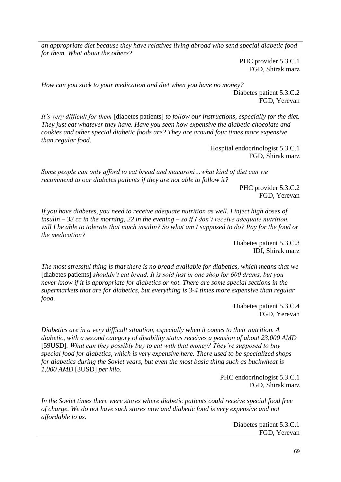*an appropriate diet because they have relatives living abroad who send special diabetic food for them. What about the others?* 

> PHC provider 5.3.C.1 FGD, Shirak marz

*How can you stick to your medication and diet when you have no money?* Diabetes patient 5.3.C.2 FGD, Yerevan

*It's very difficult for them* [diabetes patients] *to follow our instructions, especially for the diet. They just eat whatever they have. Have you seen how expensive the diabetic chocolate and cookies and other special diabetic foods are? They are around four times more expensive than regular food.* 

> Hospital endocrinologist 5.3.C.1 FGD, Shirak marz

*Some people can only afford to eat bread and macaroni…what kind of diet can we recommend to our diabetes patients if they are not able to follow it?*

> PHC provider 5.3.C.2 FGD, Yerevan

*If you have diabetes, you need to receive adequate nutrition as well. I inject high doses of insulin – 33 cc in the morning, 22 in the evening – so if I don't receive adequate nutrition, will I be able to tolerate that much insulin? So what am I supposed to do? Pay for the food or the medication?* 

> Diabetes patient 5.3.C.3 IDI, Shirak marz

*The most stressful thing is that there is no bread available for diabetics, which means that we* [diabetes patients] *shouldn't eat bread. It is sold just in one shop for 600 drams, but you never know if it is appropriate for diabetics or not. There are some special sections in the supermarkets that are for diabetics, but everything is 3-4 times more expensive than regular food.* 

> Diabetes patient 5.3.C.4 FGD, Yerevan

*Diabetics are in a very difficult situation, especially when it comes to their nutrition. A diabetic, with a second category of disability status receives a pension of about 23,000 AMD* [59USD]*. What can they possibly buy to eat with that money? They're supposed to buy special food for diabetics, which is very expensive here. There used to be specialized shops for diabetics during the Soviet years, but even the most basic thing such as buckwheat is 1,000 AMD* [3USD] *per kilo.*

> PHC endocrinologist 5.3.C.1 FGD, Shirak marz

*In the Soviet times there were stores where diabetic patients could receive special food free of charge. We do not have such stores now and diabetic food is very expensive and not affordable to us.* 

> Diabetes patient 5.3.C.1 FGD, Yerevan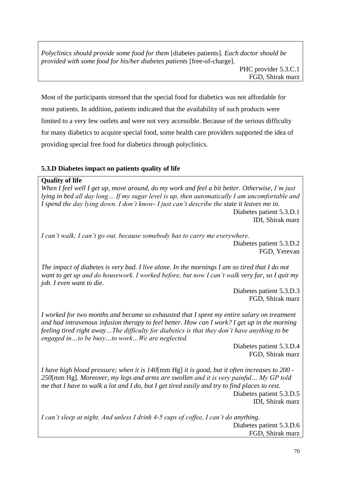*Polyclinics should provide some food for them* [diabetes patients]*. Each doctor should be provided with some food for his/her diabetes patients* [free-of-charge].

Most of the participants stressed that the special food for diabetics was not affordable for most patients. In addition, patients indicated that the availability of such products were limited to a very few outlets and were not very accessible. Because of the serious difficulty for many diabetics to acquire special food, some health care providers supported the idea of providing special free food for diabetics through polyclinics.

## **5.3.D Diabetes impact on patients quality of life**

**Quality of life** *When I feel well I get up, move around, do my work and feel a bit better. Otherwise, I'm just lying in bed all day long… If my sugar level is up, then automatically I am uncomfortable and I spend the day lying down. I don't know- I just can't describe the state it leaves me in.* Diabetes patient 5.3.D.1 IDI, Shirak marz

*I can't walk; I can't go out, because somebody has to carry me everywhere.* 

Diabetes patient 5.3.D.2 FGD, Yerevan

*The impact of diabetes is very bad. I live alone. In the mornings I am so tired that I do not want to get up and do housework. I worked before, but now I can't walk very far, so I quit my job. I even want to die.* 

Diabetes patient 5.3.D.3 FGD, Shirak marz

*I worked for two months and became so exhausted that I spent my entire salary on treatment and had intravenous infusion therapy to feel better. How can I work? I get up in the morning feeling tired right away…The difficulty for diabetics is that they don't have anything to be engaged in…to be busy…to work…We are neglected.* 

> Diabetes patient 5.3.D.4 FGD, Shirak marz

*I have high blood pressure; when it is 140*[mm Hg] *it is good, but it often increases to 200 - 250*[mm Hg]*. Moreover, my legs and arms are swollen and it is very painful… My GP told me that I have to walk a lot and I do, but I get tired easily and try to find places to rest.* Diabetes patient 5.3.D.5 IDI, Shirak marz

*I can't sleep at night. And unless I drink 4-5 cups of coffee, I can't do anything.* Diabetes patient 5.3.D.6 FGD, Shirak marz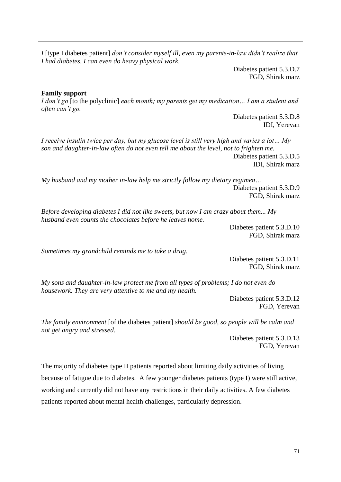*I* [type I diabetes patient] *don't consider myself ill, even my parents-in-law didn't realize that I had diabetes. I can even do heavy physical work.* 

> Diabetes patient 5.3.D.7 FGD, Shirak marz

### **Family support**

*I don't go* [to the polyclinic] *each month; my parents get my medication… I am a student and often can't go.*

> Diabetes patient 5.3.D.8 IDI, Yerevan

*I receive insulin twice per day, but my glucose level is still very high and varies a lot… My son and daughter-in-law often do not even tell me about the level, not to frighten me.* Diabetes patient 5.3.D.5 IDI, Shirak marz

*My husband and my mother in-law help me strictly follow my dietary regimen...* Diabetes patient 5.3.D.9 FGD, Shirak marz

*Before developing diabetes I did not like sweets, but now I am crazy about them... My husband even counts the chocolates before he leaves home.*

> Diabetes patient 5.3.D.10 FGD, Shirak marz

*Sometimes my grandchild reminds me to take a drug*.

Diabetes patient 5.3.D.11 FGD, Shirak marz

*My sons and daughter-in-law protect me from all types of problems; I do not even do housework. They are very attentive to me and my health.* 

> Diabetes patient 5.3.D.12 FGD, Yerevan

*The family environment* [of the diabetes patient] *should be good, so people will be calm and not get angry and stressed.*

> Diabetes patient 5.3.D.13 FGD, Yerevan

The majority of diabetes type II patients reported about limiting daily activities of living because of fatigue due to diabetes. A few younger diabetes patients (type I) were still active, working and currently did not have any restrictions in their daily activities. A few diabetes patients reported about mental health challenges, particularly depression.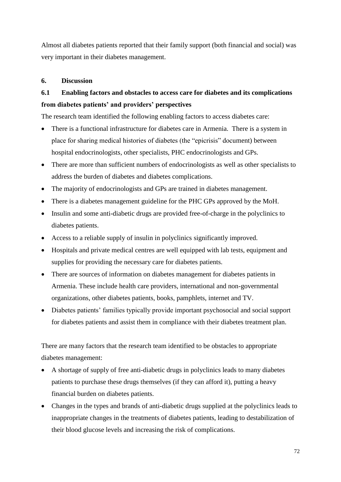Almost all diabetes patients reported that their family support (both financial and social) was very important in their diabetes management.

## **6. Discussion**

## **6.1 Enabling factors and obstacles to access care for diabetes and its complications from diabetes patients' and providers' perspectives**

The research team identified the following enabling factors to access diabetes care:

- There is a functional infrastructure for diabetes care in Armenia. There is a system in place for sharing medical histories of diabetes (the "epicrisis" document) between hospital endocrinologists, other specialists, PHC endocrinologists and GPs.
- There are more than sufficient numbers of endocrinologists as well as other specialists to address the burden of diabetes and diabetes complications.
- The majority of endocrinologists and GPs are trained in diabetes management.
- There is a diabetes management guideline for the PHC GPs approved by the MoH.
- Insulin and some anti-diabetic drugs are provided free-of-charge in the polyclinics to diabetes patients.
- Access to a reliable supply of insulin in polyclinics significantly improved.
- Hospitals and private medical centres are well equipped with lab tests, equipment and supplies for providing the necessary care for diabetes patients.
- There are sources of information on diabetes management for diabetes patients in Armenia. These include health care providers, international and non-governmental organizations, other diabetes patients, books, pamphlets, internet and TV.
- Diabetes patients' families typically provide important psychosocial and social support for diabetes patients and assist them in compliance with their diabetes treatment plan.

There are many factors that the research team identified to be obstacles to appropriate diabetes management:

- A shortage of supply of free anti-diabetic drugs in polyclinics leads to many diabetes patients to purchase these drugs themselves (if they can afford it), putting a heavy financial burden on diabetes patients.
- Changes in the types and brands of anti-diabetic drugs supplied at the polyclinics leads to inappropriate changes in the treatments of diabetes patients, leading to destabilization of their blood glucose levels and increasing the risk of complications.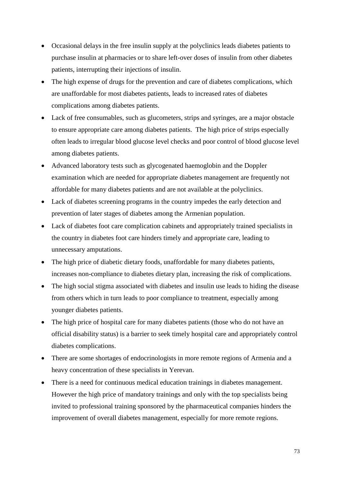- Occasional delays in the free insulin supply at the polyclinics leads diabetes patients to purchase insulin at pharmacies or to share left-over doses of insulin from other diabetes patients, interrupting their injections of insulin.
- The high expense of drugs for the prevention and care of diabetes complications, which are unaffordable for most diabetes patients, leads to increased rates of diabetes complications among diabetes patients.
- Lack of free consumables, such as glucometers, strips and syringes, are a major obstacle to ensure appropriate care among diabetes patients. The high price of strips especially often leads to irregular blood glucose level checks and poor control of blood glucose level among diabetes patients.
- Advanced laboratory tests such as glycogenated haemoglobin and the Doppler examination which are needed for appropriate diabetes management are frequently not affordable for many diabetes patients and are not available at the polyclinics.
- Lack of diabetes screening programs in the country impedes the early detection and prevention of later stages of diabetes among the Armenian population.
- Lack of diabetes foot care complication cabinets and appropriately trained specialists in the country in diabetes foot care hinders timely and appropriate care, leading to unnecessary amputations.
- The high price of diabetic dietary foods, unaffordable for many diabetes patients, increases non-compliance to diabetes dietary plan, increasing the risk of complications.
- The high social stigma associated with diabetes and insulin use leads to hiding the disease from others which in turn leads to poor compliance to treatment, especially among younger diabetes patients.
- The high price of hospital care for many diabetes patients (those who do not have an official disability status) is a barrier to seek timely hospital care and appropriately control diabetes complications.
- There are some shortages of endocrinologists in more remote regions of Armenia and a heavy concentration of these specialists in Yerevan.
- There is a need for continuous medical education trainings in diabetes management. However the high price of mandatory trainings and only with the top specialists being invited to professional training sponsored by the pharmaceutical companies hinders the improvement of overall diabetes management, especially for more remote regions.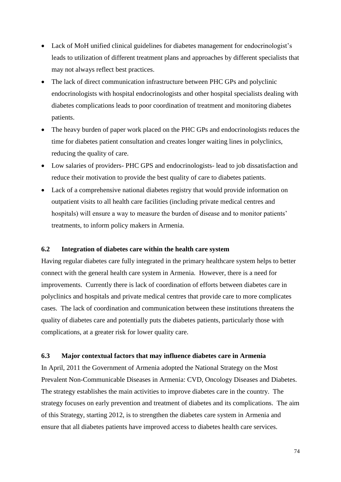- Lack of MoH unified clinical guidelines for diabetes management for endocrinologist's leads to utilization of different treatment plans and approaches by different specialists that may not always reflect best practices.
- The lack of direct communication infrastructure between PHC GPs and polyclinic endocrinologists with hospital endocrinologists and other hospital specialists dealing with diabetes complications leads to poor coordination of treatment and monitoring diabetes patients.
- The heavy burden of paper work placed on the PHC GPs and endocrinologists reduces the time for diabetes patient consultation and creates longer waiting lines in polyclinics, reducing the quality of care.
- Low salaries of providers- PHC GPS and endocrinologists- lead to job dissatisfaction and reduce their motivation to provide the best quality of care to diabetes patients.
- Lack of a comprehensive national diabetes registry that would provide information on outpatient visits to all health care facilities (including private medical centres and hospitals) will ensure a way to measure the burden of disease and to monitor patients' treatments, to inform policy makers in Armenia.

#### **6.2 Integration of diabetes care within the health care system**

Having regular diabetes care fully integrated in the primary healthcare system helps to better connect with the general health care system in Armenia. However, there is a need for improvements. Currently there is lack of coordination of efforts between diabetes care in polyclinics and hospitals and private medical centres that provide care to more complicates cases. The lack of coordination and communication between these institutions threatens the quality of diabetes care and potentially puts the diabetes patients, particularly those with complications, at a greater risk for lower quality care.

#### **6.3 Major contextual factors that may influence diabetes care in Armenia**

In April, 2011 the Government of Armenia adopted the National Strategy on the Most Prevalent Non-Communicable Diseases in Armenia: CVD, Oncology Diseases and Diabetes. The strategy establishes the main activities to improve diabetes care in the country. The strategy focuses on early prevention and treatment of diabetes and its complications. The aim of this Strategy, starting 2012, is to strengthen the diabetes care system in Armenia and ensure that all diabetes patients have improved access to diabetes health care services.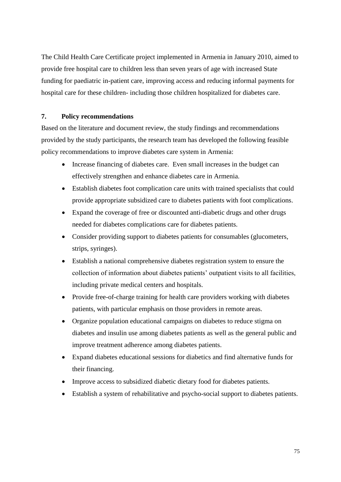The Child Health Care Certificate project implemented in Armenia in January 2010, aimed to provide free hospital care to children less than seven years of age with increased State funding for paediatric in-patient care, improving access and reducing informal payments for hospital care for these children- including those children hospitalized for diabetes care.

### **7. Policy recommendations**

Based on the literature and document review, the study findings and recommendations provided by the study participants, the research team has developed the following feasible policy recommendations to improve diabetes care system in Armenia:

- Increase financing of diabetes care. Even small increases in the budget can effectively strengthen and enhance diabetes care in Armenia.
- Establish diabetes foot complication care units with trained specialists that could provide appropriate subsidized care to diabetes patients with foot complications.
- Expand the coverage of free or discounted anti-diabetic drugs and other drugs needed for diabetes complications care for diabetes patients.
- Consider providing support to diabetes patients for consumables (glucometers, strips, syringes).
- Establish a national comprehensive diabetes registration system to ensure the collection of information about diabetes patients' outpatient visits to all facilities, including private medical centers and hospitals.
- Provide free-of-charge training for health care providers working with diabetes patients, with particular emphasis on those providers in remote areas.
- Organize population educational campaigns on diabetes to reduce stigma on diabetes and insulin use among diabetes patients as well as the general public and improve treatment adherence among diabetes patients.
- Expand diabetes educational sessions for diabetics and find alternative funds for their financing.
- Improve access to subsidized diabetic dietary food for diabetes patients.
- Establish a system of rehabilitative and psycho-social support to diabetes patients.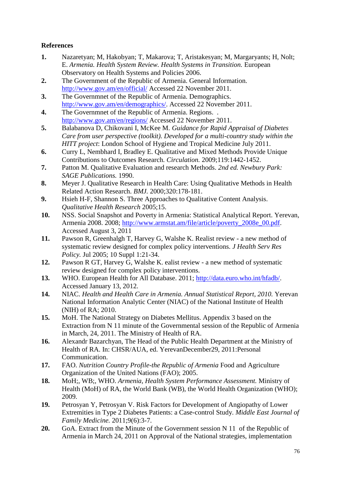## **References**

- **1.** Nazaretyan; M, Hakobyan; T, Makarova; T, Aristakesyan; M, Margaryants; H, Nolt; E. *Armenia. Health System Review. Health Systems in Transition.* European Observatory on Health Systems and Policies 2006.
- **2.** The Government of the Republic of Armenia. General Information. <http://www.gov.am/en/official/> Accessed 22 November 2011.
- **3.** The Governmnet of the Republic of Armenia. Demographics. [http://www.gov.am/en/demographics/.](http://www.gov.am/en/demographics/) Accessed 22 November 2011.
- **4.** The Governmnet of the Republic of Armenia. Regions. . <http://www.gov.am/en/regions/> Accessed 22 November 2011.
- **5.** Balabanova D, Chikovani I, McKee M. *Guidance for Rapid Appraisal of Diabetes Care from user perspective (toolkit). Developed for a multi-country study within the HITT project*: London School of Hygiene and Tropical Medicine July 2011.
- **6.** Curry L, Nembhard I, Bradley E. Qualitative and Mixed Methods Provide Unique Contributions to Outcomes Research. *Circulation.* 2009;119:1442-1452.
- **7.** Patton M. Qualitative Evaluation and research Methods. *2nd ed. Newbury Park: SAGE Publications.* 1990.
- **8.** Meyer J. Qualitative Research in Health Care: Using Qualitative Methods in Health Related Action Research. *BMJ.* 2000;320:178-181.
- **9.** Hsieh H-F, Shannon S. Three Approaches to Qualitative Content Analysis. *Qualitative Health Research* 2005;15.
- **10.** NSS. Social Snapshot and Poverty in Armenia: Statistical Analytical Report. Yerevan, Armenia 2008, 2008; [http://www.armstat.am/file/article/poverty\\_2008e\\_00.pdf.](http://www.armstat.am/file/article/poverty_2008e_00.pdf) Accessed August 3, 2011
- **11.** Pawson R, Greenhalgh T, Harvey G, Walshe K. Realist review a new method of systematic review designed for complex policy interventions. *J Health Serv Res Policy.* Jul 2005; 10 Suppl 1:21-34.
- **12.** Pawson R GT, Harvey G, Walshe K. ealist review a new method of systematic review designed for complex policy interventions.
- **13.** WHO. European Health for All Database. 2011; [http://data.euro.who.int/hfadb/.](http://data.euro.who.int/hfadb/) Accessed January 13, 2012.
- **14.** NIAC. *Health and Health Care in Armenia. Annual Statistical Report, 2010.* Yerevan National Information Analytic Center (NIAC) of the National Institute of Health (NIH) of RA; 2010.
- **15.** MoH. The National Strategy on Diabetes Mellitus. Appendix 3 based on the Extraction from N 11 minute of the Governmental session of the Republic of Armenia in March, 24, 2011. The Ministry of Health of RA.
- **16.** Alexandr Bazarchyan, The Head of the Public Health Department at the Ministry of Health of RA. In: CHSR/AUA, ed. YerevanDecember29, 2011:Personal Communication.
- **17.** FAO. *Nutrition Country Profile-the Republic of Armenia* Food and Agriculture Organization of the United Nations (FAO); 2005.
- **18.** MoH;, WB;, WHO. *Armenia, Health System Performance Assessment.* Ministry of Health (MoH) of RA, the World Bank (WB), the World Health Organization (WHO); 2009.
- **19.** Petrosyan Y, Petrosyan V. Risk Factors for Development of Angiopathy of Lower Extremities in Type 2 Diabetes Patients: a Case-control Study. *Middle East Journal of Family Medicine.* 2011;9(6):3-7.
- **20.** GoA. Extract from the Minute of the Government session N 11 of the Republic of Armenia in March 24, 2011 on Approval of the National strategies, implementation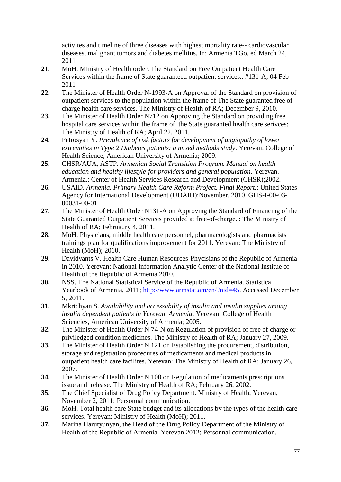activites and timeline of three diseases with highest mortality rate-- cardiovascular diseases, malignant tumors and diabetes mellitus. In: Armenia TGo, ed March 24, 2011

- **21.** MoH. MInistry of Health order. The Standard on Free Outpatient Health Care Services within the frame of State guaranteed outpatient services.. #131-A; 04 Feb 2011
- **22.** The Minister of Health Order N-1993-A on Approval of the Standard on provision of outpatient services to the population within the frame of The State guaranted free of charge health care services. The MInistry of Health of RA; December 9, 2010.
- **23.** The Minister of Health Order N712 on Approving the Standard on providing free hospital care services within the frame of the State guaranted health care serivces: The Ministry of Health of RA; April 22, 2011.
- **24.** Petrosyan Y. *Prevalence of risk factors for development of angiopathy of lower extremities in Type 2 Diabetes patients: a mixed methods study*. Yerevan: College of Health Science, American University of Armenia; 2009.
- **25.** CHSR/AUA, ASTP. *Armenian Social Transition Program. Manual on health education and healthy lifestyle-for providers and general population.* Yerevan. Armenia.: Center of Health Services Research and Development (CHSR);2002.
- **26.** USAID. *Armenia. Primary Health Care Reform Project. Final Report.*: United States Agency for International Development (UDAID);November, 2010. GHS-I-00-03- 00031-00-01
- **27.** The Minister of Health Order N131-A on Approving the Standard of Financing of the State Guaranted Outpatient Services provided at free-of-charge. : The Ministry of Health of RA; Februaury 4, 2011.
- **28.** MoH. Physicians, middle health care personnel, pharmacologists and pharmacists trainings plan for qualifications improvement for 2011. Yerevan: The Ministry of Health (MoH); 2010.
- **29.** Davidyants V. Health Care Human Resources-Phycisians of the Republic of Armenia in 2010. Yerevan: National Information Analytic Center of the National Institue of Health of the Republic of Armenia 2010.
- **30.** NSS. The National Statistical Service of the Republic of Armenia. Statistical Yearbook of Armenia, 2011; [http://www.armstat.am/en/?nid=45.](http://www.armstat.am/en/?nid=45) Accessed December 5, 2011.
- **31.** Mkrtchyan S. *Availability and accessability of insulin and insulin supplies among insulin dependent patients in Yerevan, Armenia*. Yerevan: College of Health Sciencies, American University of Armenia; 2005.
- **32.** The Minister of Health Order N 74-N on Regulation of provision of free of charge or priviledged condition medicines. The Ministry of Health of RA; January 27, 2009.
- **33.** The Minister of Health Order N 121 on Establishing the procurement, distribution, storage and registration procedures of medicaments and medical products in outpatient health care facilites. Yerevan: The Ministry of Health of RA; January 26, 2007.
- **34.** The Minister of Health Order N 100 on Regulation of medicaments prescriptions issue and release. The Ministry of Health of RA; February 26, 2002.
- **35.** The Chief Specialist of Drug Policy Department. Ministry of Health, Yerevan, November 2, 2011: Personnal communication.
- **36.** MoH. Total health care State budget and its allocations by the types of the health care services. Yerevan: Ministry of Health (MoH); 2011.
- **37.** Marina Harutyunyan, the Head of the Drug Policy Department of the Ministry of Health of the Republic of Armenia. Yerevan 2012; Personnal communication.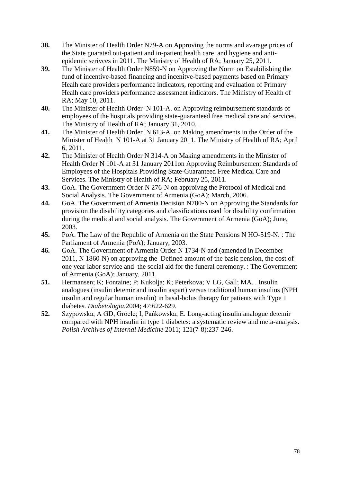- **38.** The Minister of Health Order N79-A on Approving the norms and avarage prices of the State guarated out-patient and in-patient health care and hygiene and antiepidemic serivces in 2011. The Ministry of Health of RA; January 25, 2011.
- **39.** The Minister of Health Order N859-N on Approving the Norm on Estabilishing the fund of incentive-based financing and incenitve-based payments based on Primary Healh care providers performance indicators, reporting and evaluation of Primary Healh care providers performance assessment indicators. The Ministry of Health of RA; May 10, 2011.
- **40.** The Minister of Health Order N 101-A. on Approving reimbursement standards of employees of the hospitals providing state-guaranteed free medical care and services. The Ministry of Health of RA; January 31, 2010. .
- **41.** The Minister of Health Order N 613-A. on Making amendments in the Order of the Minister of Health N 101-A at 31 January 2011. The Ministry of Health of RA; April 6, 2011.
- **42.** The Minister of Health Order N 314-A on Making amendments in the Minister of Health Order N 101-A at 31 January 2011on Approving Reimbursement Standards of Employees of the Hospitals Providing State-Guaranteed Free Medical Care and Services. The Ministry of Health of RA; February 25, 2011.
- **43.** GoA. The Government Order N 276-N on approivng the Protocol of Medical and Social Analysis. The Government of Armenia (GoA); March, 2006.
- **44.** GoA. The Government of Armenia Decision N780-N on Approving the Standards for provision the disability categories and classifications used for disability confirmation during the medical and social analysis. The Government of Armenia (GoA); June, 2003.
- **45.** PoA. The Law of the Republic of Armenia on the State Pensions N HO-519-N. : The Parliament of Armenia (PoA); January, 2003.
- **46.** GoA. The Government of Armenia Order N 1734-N and (amended in December 2011, N 1860-N) on approving the Defined amount of the basic pension, the cost of one year labor service and the social aid for the funeral ceremony. : The Government of Armenia (GoA); January, 2011.
- **51.** Hermansen; K; Fontaine; P; Kukolja; K; Peterkova; V LG, Gall; MA. . Insulin analogues (insulin detemir and insulin aspart) versus traditional human insulins (NPH insulin and regular human insulin) in basal-bolus therapy for patients with Type 1 diabetes. *Diabetologia.*2004; 47:622-629.
- **52.** Szypowska; A GD, Groele; I, Pańkowska; E. Long-acting insulin analogue detemir compared with NPH insulin in type 1 diabetes: a systematic review and meta-analysis. *Polish Archives of Internal Medicine* 2011; 121(7-8):237-246.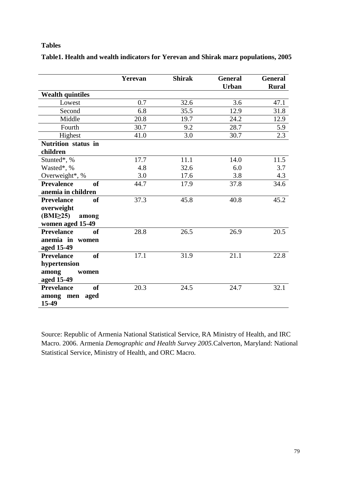## **Tables**

|                                    | Yerevan | <b>Shirak</b> | <b>General</b> | <b>General</b> |
|------------------------------------|---------|---------------|----------------|----------------|
|                                    |         |               | <b>Urban</b>   | <b>Rural</b>   |
| <b>Wealth quintiles</b>            |         |               |                |                |
| Lowest                             | 0.7     | 32.6          | 3.6            | 47.1           |
| Second                             | 6.8     | 35.5          | 12.9           | 31.8           |
| Middle                             | 20.8    | 19.7          | 24.2           | 12.9           |
| Fourth                             | 30.7    | 9.2           | 28.7           | 5.9            |
| Highest                            | 41.0    | 3.0           | 30.7           | 2.3            |
| Nutrition status in                |         |               |                |                |
| children                           |         |               |                |                |
| Stunted*, %                        | 17.7    | 11.1          | 14.0           | 11.5           |
| Wasted*, %                         | 4.8     | 32.6          | 6.0            | 3.7            |
| Overweight*, %                     | 3.0     | 17.6          | 3.8            | 4.3            |
| <b>Prevalence</b><br><sub>of</sub> | 44.7    | 17.9          | 37.8           | 34.6           |
| anemia in children                 |         |               |                |                |
| <b>Prevelance</b><br><sub>of</sub> | 37.3    | 45.8          | 40.8           | 45.2           |
| overweight                         |         |               |                |                |
| (BMI <sub>25</sub> )<br>among      |         |               |                |                |
| women aged 15-49                   |         |               |                |                |
| <b>Prevelance</b><br><sub>of</sub> | 28.8    | 26.5          | 26.9           | 20.5           |
| anemia in women                    |         |               |                |                |
| aged 15-49                         |         |               |                |                |
| <b>Prevelance</b><br><sub>of</sub> | 17.1    | 31.9          | 21.1           | 22.8           |
| hypertension                       |         |               |                |                |
| among<br>women                     |         |               |                |                |
| aged 15-49                         |         |               |                |                |
| <b>of</b><br><b>Prevelance</b>     | 20.3    | 24.5          | 24.7           | 32.1           |
| aged<br>among men                  |         |               |                |                |
| 15-49                              |         |               |                |                |

**Table1. Health and wealth indicators for Yerevan and Shirak marz populations, 2005**

Source: Republic of Armenia National Statistical Service, RA Ministry of Health, and IRC Macro. 2006. Armenia *Demographic and Health Survey 2005.*Calverton, Maryland: National Statistical Service, Ministry of Health, and ORC Macro.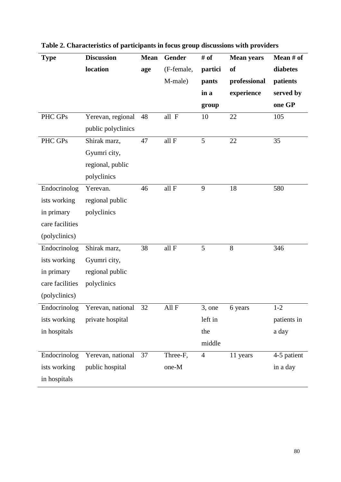| <b>Type</b>     | <b>Discussion</b>              | <b>Mean</b> | Gender     | # of           | <b>Mean years</b> | Mean # of   |
|-----------------|--------------------------------|-------------|------------|----------------|-------------------|-------------|
|                 | location                       | age         | (F-female, | partici        | of                | diabetes    |
|                 |                                |             | M-male)    | pants          | professional      | patients    |
|                 |                                |             |            | in a           | experience        | served by   |
|                 |                                |             |            | group          |                   | one GP      |
| PHC GPs         | Yerevan, regional              | 48          | all F      | 10             | 22                | 105         |
|                 | public polyclinics             |             |            |                |                   |             |
| PHC GPs         | Shirak marz,                   | 47          | all F      | 5              | 22                | 35          |
|                 | Gyumri city,                   |             |            |                |                   |             |
|                 | regional, public               |             |            |                |                   |             |
|                 | polyclinics                    |             |            |                |                   |             |
| Endocrinolog    | Yerevan.                       | 46          | all F      | 9              | 18                | 580         |
| ists working    | regional public                |             |            |                |                   |             |
| in primary      | polyclinics                    |             |            |                |                   |             |
| care facilities |                                |             |            |                |                   |             |
| (polyclinics)   |                                |             |            |                |                   |             |
| Endocrinolog    | Shirak marz,                   | 38          | all F      | 5              | 8                 | 346         |
| ists working    | Gyumri city,                   |             |            |                |                   |             |
| in primary      | regional public                |             |            |                |                   |             |
| care facilities | polyclinics                    |             |            |                |                   |             |
| (polyclinics)   |                                |             |            |                |                   |             |
|                 | Endocrinolog Yerevan, national | 32          | $AllF$     | 3, one         | 6 years           | $1-2$       |
| ists working    | private hospital               |             |            | left in        |                   | patients in |
| in hospitals    |                                |             |            | the            |                   | a day       |
|                 |                                |             |            | middle         |                   |             |
| Endocrinolog    | Yerevan, national              | 37          | Three-F,   | $\overline{4}$ | 11 years          | 4-5 patient |
| ists working    | public hospital                |             | one-M      |                |                   | in a day    |
| in hospitals    |                                |             |            |                |                   |             |

| Table 2. Characteristics of participants in focus group discussions with providers |  |  |  |  |
|------------------------------------------------------------------------------------|--|--|--|--|
|------------------------------------------------------------------------------------|--|--|--|--|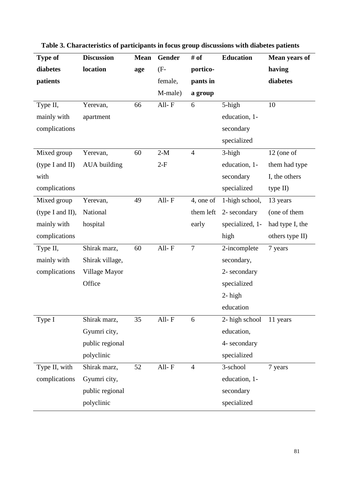| <b>Type of</b>   | <b>Discussion</b> | <b>Mean</b> | <b>Gender</b> | # of             | <b>Education</b> | <b>Mean years of</b> |
|------------------|-------------------|-------------|---------------|------------------|------------------|----------------------|
| diabetes         | location          | age         | $(F -$        | portico-         |                  | having               |
| patients         |                   |             | female,       | pants in         |                  | diabetes             |
|                  |                   |             | M-male)       | a group          |                  |                      |
| Type II,         | Yerevan,          | 66          | All-F         | 6                | 5-high           | 10                   |
| mainly with      | apartment         |             |               |                  | education, 1-    |                      |
| complications    |                   |             |               |                  | secondary        |                      |
|                  |                   |             |               |                  | specialized      |                      |
| Mixed group      | Yerevan,          | 60          | $2-M$         | $\overline{4}$   | 3-high           | $12$ (one of         |
| (type I and II)  | AUA building      |             | $2-F$         |                  | education, 1-    | them had type        |
| with             |                   |             |               |                  | secondary        | I, the others        |
| complications    |                   |             |               |                  | specialized      | type II)             |
| Mixed group      | Yerevan,          | 49          | All-F         | 4, one of        | 1-high school,   | 13 years             |
| (type I and II), | National          |             |               | them left        | 2- secondary     | (one of them         |
| mainly with      | hospital          |             |               | early            | specialized, 1-  | had type I, the      |
| complications    |                   |             |               |                  | high             | others type II)      |
| Type II,         | Shirak marz,      | 60          | All-F         | $\boldsymbol{7}$ | 2-incomplete     | 7 years              |
| mainly with      | Shirak village,   |             |               |                  | secondary,       |                      |
| complications    | Village Mayor     |             |               |                  | 2- secondary     |                      |
|                  | Office            |             |               |                  | specialized      |                      |
|                  |                   |             |               |                  | $2$ - high       |                      |
|                  |                   |             |               |                  | education        |                      |
| Type I           | Shirak marz,      | 35          | All-F         | 6                | 2- high school   | 11 years             |
|                  | Gyumri city,      |             |               |                  | education,       |                      |
|                  | public regional   |             |               |                  | 4- secondary     |                      |
|                  | polyclinic        |             |               |                  | specialized      |                      |
| Type II, with    | Shirak marz,      | 52          | All-F         | $\overline{4}$   | 3-school         | 7 years              |
| complications    | Gyumri city,      |             |               |                  | education, 1-    |                      |
|                  | public regional   |             |               |                  | secondary        |                      |
|                  | polyclinic        |             |               |                  | specialized      |                      |

**Table 3. Characteristics of participants in focus group discussions with diabetes patients**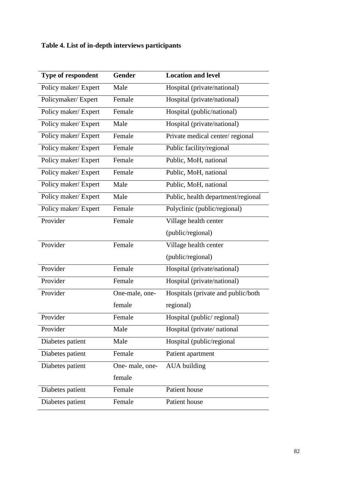# **Table 4. List of in-depth interviews participants**

| Type of respondent   | <b>Gender</b>  | <b>Location and level</b>          |
|----------------------|----------------|------------------------------------|
| Policy maker/Expert  | Male           | Hospital (private/national)        |
| Policymaker/Expert   | Female         | Hospital (private/national)        |
| Policy maker/Expert  | Female         | Hospital (public/national)         |
| Policy maker/ Expert | Male           | Hospital (private/national)        |
| Policy maker/Expert  | Female         | Private medical center/regional    |
| Policy maker/Expert  | Female         | Public facility/regional           |
| Policy maker/Expert  | Female         | Public, MoH, national              |
| Policy maker/Expert  | Female         | Public, MoH, national              |
| Policy maker/ Expert | Male           | Public, MoH, national              |
| Policy maker/ Expert | Male           | Public, health department/regional |
| Policy maker/Expert  | Female         | Polyclinic (public/regional)       |
| Provider             | Female         | Village health center              |
|                      |                | (public/regional)                  |
| Provider             | Female         | Village health center              |
|                      |                | (public/regional)                  |
| Provider             | Female         | Hospital (private/national)        |
| Provider             | Female         | Hospital (private/national)        |
| Provider             | One-male, one- | Hospitals (private and public/both |
|                      | female         | regional)                          |
| Provider             | Female         | Hospital (public/regional)         |
| Provider             | Male           | Hospital (private/national)        |
| Diabetes patient     | Male           | Hospital (public/regional          |
| Diabetes patient     | Female         | Patient apartment                  |
| Diabetes patient     | One-male, one- | <b>AUA</b> building                |
|                      | female         |                                    |
| Diabetes patient     | Female         | Patient house                      |
| Diabetes patient     | Female         | Patient house                      |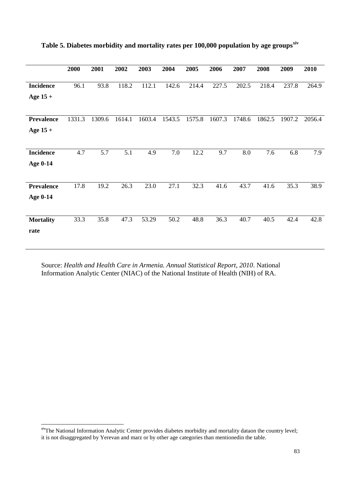|                   | 2000   | 2001   | 2002   | 2003   | 2004   | 2005   | 2006   | 2007   | 2008   | 2009   | 2010   |
|-------------------|--------|--------|--------|--------|--------|--------|--------|--------|--------|--------|--------|
|                   |        |        |        |        |        |        |        |        |        |        |        |
| <b>Incidence</b>  | 96.1   | 93.8   | 118.2  | 112.1  | 142.6  | 214.4  | 227.5  | 202.5  | 218.4  | 237.8  | 264.9  |
| Age $15 +$        |        |        |        |        |        |        |        |        |        |        |        |
|                   |        |        |        |        |        |        |        |        |        |        |        |
| <b>Prevalence</b> | 1331.3 | 1309.6 | 1614.1 | 1603.4 | 1543.5 | 1575.8 | 1607.3 | 1748.6 | 1862.5 | 1907.2 | 2056.4 |
|                   |        |        |        |        |        |        |        |        |        |        |        |
| Age $15 +$        |        |        |        |        |        |        |        |        |        |        |        |
|                   |        |        |        |        |        |        |        |        |        |        |        |
| <b>Incidence</b>  | 4.7    | 5.7    | 5.1    | 4.9    | 7.0    | 12.2   | 9.7    | 8.0    | 7.6    | 6.8    | 7.9    |
| Age 0-14          |        |        |        |        |        |        |        |        |        |        |        |
|                   |        |        |        |        |        |        |        |        |        |        |        |
| <b>Prevalence</b> | 17.8   | 19.2   | 26.3   | 23.0   | 27.1   | 32.3   | 41.6   | 43.7   | 41.6   | 35.3   | 38.9   |
| Age 0-14          |        |        |        |        |        |        |        |        |        |        |        |
|                   |        |        |        |        |        |        |        |        |        |        |        |
| <b>Mortality</b>  | 33.3   | 35.8   | 47.3   | 53.29  | 50.2   | 48.8   | 36.3   | 40.7   | 40.5   | 42.4   | 42.8   |
|                   |        |        |        |        |        |        |        |        |        |        |        |
| rate              |        |        |        |        |        |        |        |        |        |        |        |
|                   |        |        |        |        |        |        |        |        |        |        |        |

| Table 5. Diabetes morbidity and mortality rates per 100,000 population by age groups <sup>xiv</sup> |  |  |  |
|-----------------------------------------------------------------------------------------------------|--|--|--|
|                                                                                                     |  |  |  |
|                                                                                                     |  |  |  |
|                                                                                                     |  |  |  |

Source: *Health and Health Care in Armenia. Annual Statistical Report, 2010*. National Information Analytic Center (NIAC) of the National Institute of Health (NIH) of RA.

**.** 

xivThe National Information Analytic Center provides diabetes morbidity and mortality dataon the country level; it is not disaggregated by Yerevan and marz or by other age categories than mentionedin the table.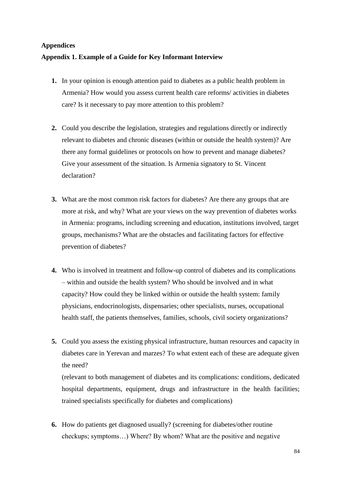## **Appendices Appendix 1. Example of a Guide for Key Informant Interview**

- **1.** In your opinion is enough attention paid to diabetes as a public health problem in Armenia? How would you assess current health care reforms/ activities in diabetes care? Is it necessary to pay more attention to this problem?
- **2.** Could you describe the legislation, strategies and regulations directly or indirectly relevant to diabetes and chronic diseases (within or outside the health system)? Are there any formal guidelines or protocols on how to prevent and manage diabetes? Give your assessment of the situation. Is Armenia signatory to St. Vincent declaration?
- **3.** What are the most common risk factors for diabetes? Are there any groups that are more at risk, and why? What are your views on the way prevention of diabetes works in Armenia: programs, including screening and education, institutions involved, target groups, mechanisms? What are the obstacles and facilitating factors for effective prevention of diabetes?
- **4.** Who is involved in treatment and follow-up control of diabetes and its complications – within and outside the health system? Who should be involved and in what capacity? How could they be linked within or outside the health system: family physicians, endocrinologists, dispensaries; other specialists, nurses, occupational health staff, the patients themselves, families, schools, civil society organizations?
- **5.** Could you assess the existing physical infrastructure, human resources and capacity in diabetes care in Yerevan and marzes? To what extent each of these are adequate given the need? (relevant to both management of diabetes and its complications: conditions, dedicated hospital departments, equipment, drugs and infrastructure in the health facilities;
- **6.** How do patients get diagnosed usually? (screening for diabetes/other routine checkups; symptoms…) Where? By whom? What are the positive and negative

trained specialists specifically for diabetes and complications)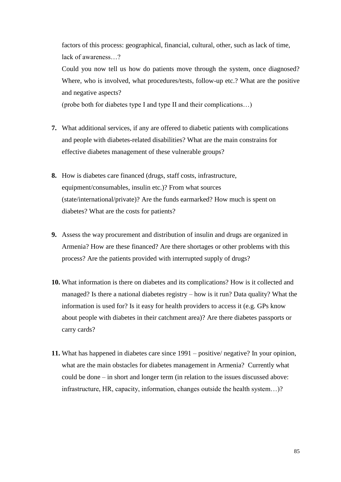factors of this process: geographical, financial, cultural, other, such as lack of time, lack of awareness…?

Could you now tell us how do patients move through the system, once diagnosed? Where, who is involved, what procedures/tests, follow-up etc.? What are the positive and negative aspects?

(probe both for diabetes type I and type II and their complications…)

- **7.** What additional services, if any are offered to diabetic patients with complications and people with diabetes-related disabilities? What are the main constrains for effective diabetes management of these vulnerable groups?
- **8.** How is diabetes care financed (drugs, staff costs, infrastructure, equipment/consumables, insulin etc.)? From what sources (state/international/private)? Are the funds earmarked? How much is spent on diabetes? What are the costs for patients?
- **9.** Assess the way procurement and distribution of insulin and drugs are organized in Armenia? How are these financed? Are there shortages or other problems with this process? Are the patients provided with interrupted supply of drugs?
- **10.** What information is there on diabetes and its complications? How is it collected and managed? Is there a national diabetes registry – how is it run? Data quality? What the information is used for? Is it easy for health providers to access it (e.g. GPs know about people with diabetes in their catchment area)? Are there diabetes passports or carry cards?
- **11.** What has happened in diabetes care since 1991 positive/ negative? In your opinion, what are the main obstacles for diabetes management in Armenia? Currently what could be done – in short and longer term (in relation to the issues discussed above: infrastructure, HR, capacity, information, changes outside the health system…)?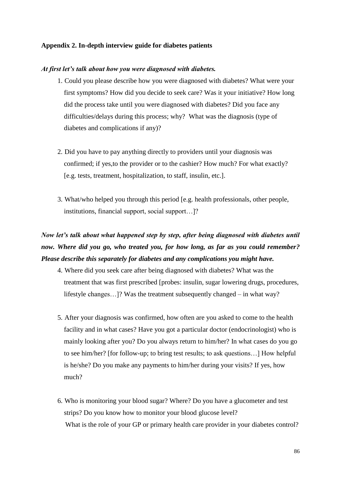#### **Appendix 2. In-depth interview guide for diabetes patients**

#### *At first let's talk about how you were diagnosed with diabetes.*

- 1. Could you please describe how you were diagnosed with diabetes? What were your first symptoms? How did you decide to seek care? Was it your initiative? How long did the process take until you were diagnosed with diabetes? Did you face any difficulties/delays during this process; why? What was the diagnosis (type of diabetes and complications if any)?
- 2. Did you have to pay anything directly to providers until your diagnosis was confirmed; if yes,to the provider or to the cashier? How much? For what exactly? [e.g. tests, treatment, hospitalization, to staff, insulin, etc.].
- 3. What/who helped you through this period [e.g. health professionals, other people, institutions, financial support, social support…]?

## *Now let's talk about what happened step by step, after being diagnosed with diabetes until now. Where did you go, who treated you, for how long, as far as you could remember? Please describe this separately for diabetes and any complications you might have.*

- 4. Where did you seek care after being diagnosed with diabetes? What was the treatment that was first prescribed [probes: insulin, sugar lowering drugs, procedures, lifestyle changes…]? Was the treatment subsequently changed – in what way?
- 5. After your diagnosis was confirmed, how often are you asked to come to the health facility and in what cases? Have you got a particular doctor (endocrinologist) who is mainly looking after you? Do you always return to him/her? In what cases do you go to see him/her? [for follow-up; to bring test results; to ask questions…] How helpful is he/she? Do you make any payments to him/her during your visits? If yes, how much?
- 6. Who is monitoring your blood sugar? Where? Do you have a glucometer and test strips? Do you know how to monitor your blood glucose level? What is the role of your GP or primary health care provider in your diabetes control?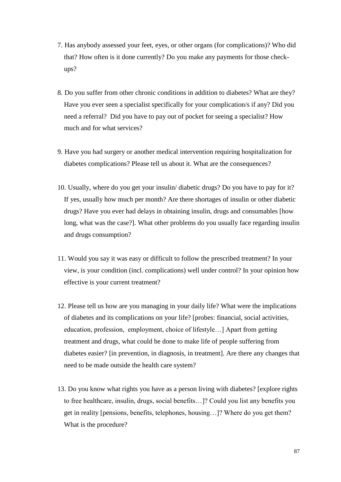- 7. Has anybody assessed your feet, eyes, or other organs (for complications)? Who did that? How often is it done currently? Do you make any payments for those checkups?
- 8. Do you suffer from other chronic conditions in addition to diabetes? What are they? Have you ever seen a specialist specifically for your complication/s if any? Did you need a referral? Did you have to pay out of pocket for seeing a specialist? How much and for what services?
- 9. Have you had surgery or another medical intervention requiring hospitalization for diabetes complications? Please tell us about it. What are the consequences?
- 10. Usually, where do you get your insulin/ diabetic drugs? Do you have to pay for it? If yes, usually how much per month? Are there shortages of insulin or other diabetic drugs? Have you ever had delays in obtaining insulin, drugs and consumables [how long, what was the case?]. What other problems do you usually face regarding insulin and drugs consumption?
- 11. Would you say it was easy or difficult to follow the prescribed treatment? In your view, is your condition (incl. complications) well under control? In your opinion how effective is your current treatment?
- 12. Please tell us how are you managing in your daily life? What were the implications of diabetes and its complications on your life? [probes: financial, social activities, education, profession, employment, choice of lifestyle…] Apart from getting treatment and drugs, what could be done to make life of people suffering from diabetes easier? [in prevention, in diagnosis, in treatment]. Are there any changes that need to be made outside the health care system?
- 13. Do you know what rights you have as a person living with diabetes? [explore rights to free healthcare, insulin, drugs, social benefits…]? Could you list any benefits you get in reality [pensions, benefits, telephones, housing…]? Where do you get them? What is the procedure?